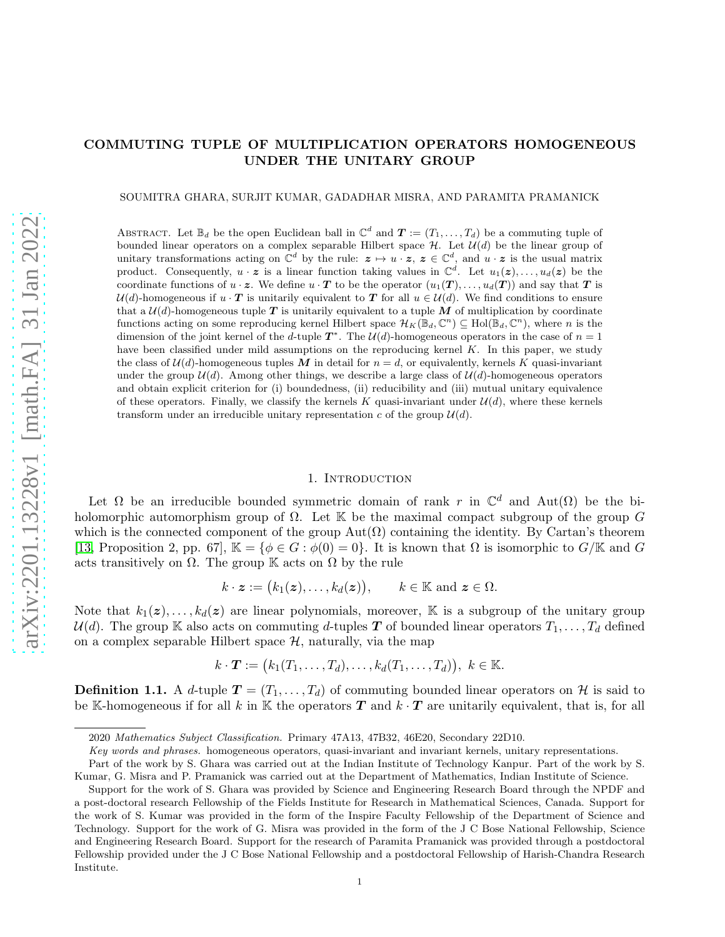# COMMUTING TUPLE OF MULTIPLICATION OPERATORS HOMOGENEOUS UNDER THE UNITARY GROUP

### SOUMITRA GHARA, SURJIT KUMAR, GADADHAR MISRA, AND PARAMITA PRAMANICK

ABSTRACT. Let  $\mathbb{B}_d$  be the open Euclidean ball in  $\mathbb{C}^d$  and  $\boldsymbol{T} := (T_1, \ldots, T_d)$  be a commuting tuple of bounded linear operators on a complex separable Hilbert space  $H$ . Let  $\mathcal{U}(d)$  be the linear group of unitary transformations acting on  $\mathbb{C}^d$  by the rule:  $z \mapsto u \cdot z$ ,  $z \in \mathbb{C}^d$ , and  $u \cdot z$  is the usual matrix product. Consequently,  $u \cdot z$  is a linear function taking values in  $\mathbb{C}^d$ . Let  $u_1(z), \ldots, u_d(z)$  be the coordinate functions of  $u \cdot z$ . We define  $u \cdot T$  to be the operator  $(u_1(T), \ldots, u_d(T))$  and say that T is  $U(d)$ -homogeneous if  $u \cdot T$  is unitarily equivalent to T for all  $u \in U(d)$ . We find conditions to ensure that a  $\mathcal{U}(d)$ -homogeneous tuple T is unitarily equivalent to a tuple M of multiplication by coordinate functions acting on some reproducing kernel Hilbert space  $\mathcal{H}_K(\mathbb{B}_d, \mathbb{C}^n) \subseteq Hol(\mathbb{B}_d, \mathbb{C}^n)$ , where n is the dimension of the joint kernel of the d-tuple  $T^*$ . The  $\mathcal{U}(d)$ -homogeneous operators in the case of  $n = 1$ have been classified under mild assumptions on the reproducing kernel K. In this paper, we study the class of  $\mathcal{U}(d)$ -homogeneous tuples M in detail for  $n = d$ , or equivalently, kernels K quasi-invariant under the group  $\mathcal{U}(d)$ . Among other things, we describe a large class of  $\mathcal{U}(d)$ -homogeneous operators and obtain explicit criterion for (i) boundedness, (ii) reducibility and (iii) mutual unitary equivalence of these operators. Finally, we classify the kernels K quasi-invariant under  $\mathcal{U}(d)$ , where these kernels transform under an irreducible unitary representation c of the group  $\mathcal{U}(d)$ .

#### 1. INTRODUCTION

Let  $\Omega$  be an irreducible bounded symmetric domain of rank r in  $\mathbb{C}^d$  and  $\text{Aut}(\Omega)$  be the biholomorphic automorphism group of  $\Omega$ . Let K be the maximal compact subgroup of the group G which is the connected component of the group  $Aut(\Omega)$  containing the identity. By Cartan's theorem [\[13,](#page-26-0) Proposition 2, pp. 67],  $\mathbb{K} = {\phi \in G : \phi(0) = 0}$ . It is known that  $\Omega$  is isomorphic to  $G/\mathbb{K}$  and G acts transitively on  $\Omega$ . The group K acts on  $\Omega$  by the rule

$$
k \cdot \boldsymbol{z} := (k_1(\boldsymbol{z}), \dots, k_d(\boldsymbol{z})), \qquad k \in \mathbb{K} \text{ and } \boldsymbol{z} \in \Omega.
$$

Note that  $k_1(z), \ldots, k_d(z)$  are linear polynomials, moreover, K is a subgroup of the unitary group  $U(d)$ . The group K also acts on commuting d-tuples T of bounded linear operators  $T_1, \ldots, T_d$  defined on a complex separable Hilbert space  $H$ , naturally, via the map

$$
k \cdot \boldsymbol{T} := (k_1(T_1, \ldots, T_d), \ldots, k_d(T_1, \ldots, T_d)), \ k \in \mathbb{K}.
$$

**Definition 1.1.** A d-tuple  $T = (T_1, \ldots, T_d)$  of commuting bounded linear operators on H is said to be K-homogeneous if for all k in K the operators  $T$  and  $k \cdot T$  are unitarily equivalent, that is, for all

<sup>2020</sup> *Mathematics Subject Classification.* Primary 47A13, 47B32, 46E20, Secondary 22D10.

*Key words and phrases.* homogeneous operators, quasi-invariant and invariant kernels, unitary representations.

Part of the work by S. Ghara was carried out at the Indian Institute of Technology Kanpur. Part of the work by S. Kumar, G. Misra and P. Pramanick was carried out at the Department of Mathematics, Indian Institute of Science.

Support for the work of S. Ghara was provided by Science and Engineering Research Board through the NPDF and a post-doctoral research Fellowship of the Fields Institute for Research in Mathematical Sciences, Canada. Support for the work of S. Kumar was provided in the form of the Inspire Faculty Fellowship of the Department of Science and Technology. Support for the work of G. Misra was provided in the form of the J C Bose National Fellowship, Science and Engineering Research Board. Support for the research of Paramita Pramanick was provided through a postdoctoral Fellowship provided under the J C Bose National Fellowship and a postdoctoral Fellowship of Harish-Chandra Research Institute.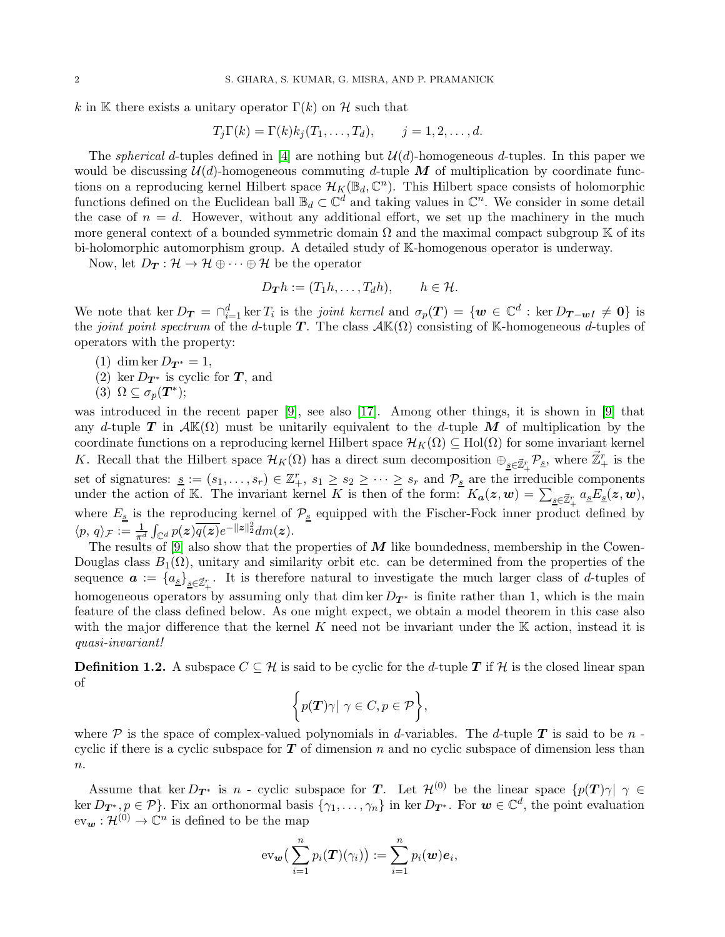k in K there exists a unitary operator  $\Gamma(k)$  on H such that

$$
T_j\Gamma(k) = \Gamma(k)k_j(T_1,\ldots,T_d), \qquad j=1,2,\ldots,d.
$$

The *spherical* d-tuples defined in [\[4\]](#page-26-1) are nothing but  $\mathcal{U}(d)$ -homogeneous d-tuples. In this paper we would be discussing  $\mathcal{U}(d)$ -homogeneous commuting d-tuple M of multiplication by coordinate functions on a reproducing kernel Hilbert space  $\mathcal{H}_K(\mathbb{B}_d, \mathbb{C}^n)$ . This Hilbert space consists of holomorphic functions defined on the Euclidean ball  $\mathbb{B}_d \subset \mathbb{C}^d$  and taking values in  $\mathbb{C}^n$ . We consider in some detail the case of  $n = d$ . However, without any additional effort, we set up the machinery in the much more general context of a bounded symmetric domain  $\Omega$  and the maximal compact subgroup K of its bi-holomorphic automorphism group. A detailed study of K-homogenous operator is underway.

Now, let  $D_T : \mathcal{H} \to \mathcal{H} \oplus \cdots \oplus \mathcal{H}$  be the operator

$$
D_{\mathbf{T}}h := (T_1h, \dots, T_dh), \qquad h \in \mathcal{H}.
$$

We note that  $\ker D_T = \bigcap_{i=1}^d \ker T_i$  is the *joint kernel* and  $\sigma_p(T) = \{w \in \mathbb{C}^d : \ker D_{T-wI} \neq 0\}$  is the *joint point spectrum* of the d-tuple **T**. The class  $\mathcal{A} \mathbb{K}(\Omega)$  consisting of K-homogeneous d-tuples of operators with the property:

- (1) dim ker  $D_{T^*} = 1$ ,
- (2) ker  $D_{\mathbf{T}^*}$  is cyclic for  $\mathbf{T}$ , and
- (3)  $\Omega \subseteq \sigma_p(\bm{T}^*)$ ;

was introduced in the recent paper [\[9\]](#page-26-2), see also [\[17\]](#page-26-3). Among other things, it is shown in [\[9\]](#page-26-2) that any d-tuple T in  $\mathcal{A}(\Omega)$  must be unitarily equivalent to the d-tuple M of multiplication by the coordinate functions on a reproducing kernel Hilbert space  $\mathcal{H}_K(\Omega) \subseteq Hol(\Omega)$  for some invariant kernel K. Recall that the Hilbert space  $\mathcal{H}_K(\Omega)$  has a direct sum decomposition  $\oplus_{\underline{s}\in\vec{\mathbb{Z}}_+^r}\mathcal{P}_{\underline{s}}$ , where  $\vec{\mathbb{Z}}_+^r$  is the set of signatures:  $\underline{s} := (s_1, \ldots, s_r) \in \mathbb{Z}_+^r$ ,  $s_1 \geq s_2 \geq \cdots \geq s_r$  and  $\mathcal{P}_{\underline{s}}$  are the irreducible components under the action of K. The invariant kernel K is then of the form:  $K_a(z, w) = \sum_{s \in \mathbb{Z}_+^r} a_s E_s(z, w)$ , where  $E_s$  is the reproducing kernel of  $\mathcal{P}_s$  equipped with the Fischer-Fock inner product defined by  $\langle p, q \rangle_{\mathcal{F}} := \frac{1}{\pi^d} \int_{\mathbb{C}^d} p(\boldsymbol{z}) \overline{q(\boldsymbol{z})} e^{-\|\boldsymbol{z}\|_2^2} dm(\boldsymbol{z}).$ 

The results of [\[9\]](#page-26-2) also show that the properties of  $M$  like boundedness, membership in the Cowen-Douglas class  $B_1(\Omega)$ , unitary and similarity orbit etc. can be determined from the properties of the sequence  $\boldsymbol{a} := \{a_{\underline{s}}\}_{\underline{s}\in\vec{\mathbb{Z}}_+^r}$ . It is therefore natural to investigate the much larger class of d-tuples of homogeneous operators by assuming only that dim ker  $D_{T^*}$  is finite rather than 1, which is the main feature of the class defined below. As one might expect, we obtain a model theorem in this case also with the major difference that the kernel K need not be invariant under the K action, instead it is *quasi-invariant!*

**Definition 1.2.** A subspace  $C \subseteq \mathcal{H}$  is said to be cyclic for the d-tuple T if  $\mathcal{H}$  is the closed linear span of

$$
\bigg\{p(\boldsymbol{T})\gamma|\ \gamma\in C, p\in\mathcal{P}\bigg\},\
$$

where  $P$  is the space of complex-valued polynomials in d-variables. The d-tuple T is said to be n cyclic if there is a cyclic subspace for  $T$  of dimension n and no cyclic subspace of dimension less than  $n$ .

Assume that ker  $D_{T^*}$  is n - cyclic subspace for T. Let  $\mathcal{H}^{(0)}$  be the linear space  $\{p(T)\gamma\,|\,\,\gamma\in\mathcal{H}^{(0)}\}$ ker  $D_{\mathbf{T}^*}, p \in \mathcal{P}$ . Fix an orthonormal basis  $\{\gamma_1, \ldots, \gamma_n\}$  in ker  $D_{\mathbf{T}^*}$ . For  $\mathbf{w} \in \mathbb{C}^d$ , the point evaluation  $ev_{\mathbf{w}}: \mathcal{H}^{(0)} \to \mathbb{C}^n$  is defined to be the map

$$
\mathrm{ev}_{\mathbf{w}}\big(\sum_{i=1}^n p_i(\boldsymbol{T})(\gamma_i)\big):=\sum_{i=1}^n p_i(\mathbf{w})\boldsymbol{e}_i,
$$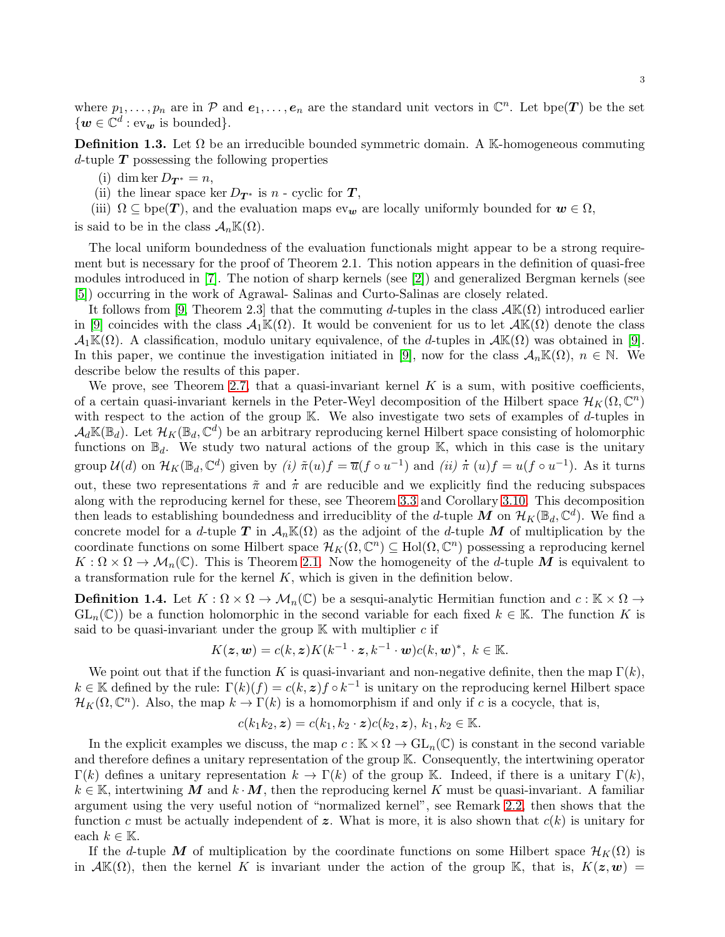where  $p_1, \ldots, p_n$  are in  $\mathcal P$  and  $e_1, \ldots, e_n$  are the standard unit vectors in  $\mathbb C^n$ . Let bpe(T) be the set  $\{w \in \mathbb{C}^d : \text{ev}_w \text{ is bounded}\}.$ 

**Definition 1.3.** Let  $\Omega$  be an irreducible bounded symmetric domain. A K-homogeneous commuting d-tuple  $T$  possessing the following properties

- (i) dim ker  $D_{\mathbf{T}^*} = n$ ,
- (ii) the linear space ker  $D_{\mathbf{T}^*}$  is  $n$  cyclic for  $\mathbf{T}$ ,
- (iii)  $\Omega \subseteq \text{bpe}(\mathbf{T})$ , and the evaluation maps  $ev_{\mathbf{w}}$  are locally uniformly bounded for  $\mathbf{w} \in \Omega$ ,

is said to be in the class  $\mathcal{A}_n\mathbb{K}(\Omega)$ .

The local uniform boundedness of the evaluation functionals might appear to be a strong requirement but is necessary for the proof of Theorem 2.1. This notion appears in the definition of quasi-free modules introduced in [\[7\]](#page-26-4). The notion of sharp kernels (see [\[2\]](#page-26-5)) and generalized Bergman kernels (see [\[5\]](#page-26-6)) occurring in the work of Agrawal- Salinas and Curto-Salinas are closely related.

It follows from [\[9,](#page-26-2) Theorem 2.3] that the commuting d-tuples in the class  $\mathcal{AK}(\Omega)$  introduced earlier in [\[9\]](#page-26-2) coincides with the class  $\mathcal{A}_1\mathbb{K}(\Omega)$ . It would be convenient for us to let  $\mathcal{A}\mathbb{K}(\Omega)$  denote the class  $\mathcal{A}_1\mathbb{K}(\Omega)$ . A classification, modulo unitary equivalence, of the d-tuples in  $\mathcal{A}\mathbb{K}(\Omega)$  was obtained in [\[9\]](#page-26-2). In this paper, we continue the investigation initiated in [\[9\]](#page-26-2), now for the class  $A_n\mathbb{K}(\Omega)$ ,  $n \in \mathbb{N}$ . We describe below the results of this paper.

We prove, see Theorem [2.7,](#page-7-0) that a quasi-invariant kernel  $K$  is a sum, with positive coefficients, of a certain quasi-invariant kernels in the Peter-Weyl decomposition of the Hilbert space  $\mathcal{H}_K(\Omega,\mathbb{C}^n)$ with respect to the action of the group  $\mathbb{K}$ . We also investigate two sets of examples of d-tuples in  $\mathcal{A}_d\mathbb{K}(\mathbb{B}_d)$ . Let  $\mathcal{H}_K(\mathbb{B}_d,\mathbb{C}^d)$  be an arbitrary reproducing kernel Hilbert space consisting of holomorphic functions on  $\mathbb{B}_d$ . We study two natural actions of the group K, which in this case is the unitary group  $\mathcal{U}(d)$  on  $\mathcal{H}_K(\mathbb{B}_d, \mathbb{C}^d)$  given by *(i)*  $\tilde{\pi}(u)f = \overline{u}(f \circ u^{-1})$  and *(ii)*  $\pi(u)f = u(f \circ u^{-1})$ . As it turns out, these two representations  $\tilde{\pi}$  and  $\pi$  are reducible and we explicitly find the reducing subspaces along with the reproducing kernel for these, see Theorem [3.3](#page-10-0) and Corollary [3.10.](#page-13-0) This decomposition then leads to establishing boundedness and irreduciblity of the *d*-tuple M on  $\mathcal{H}_K(\mathbb{B}_d, \mathbb{C}^d)$ . We find a concrete model for a d-tuple T in  $\mathcal{A}_n\mathbb{K}(\Omega)$  as the adjoint of the d-tuple M of multiplication by the coordinate functions on some Hilbert space  $\mathcal{H}_K(\Omega,\mathbb{C}^n) \subseteq Hol(\Omega,\mathbb{C}^n)$  possessing a reproducing kernel  $K:\Omega\times\Omega\to\mathcal{M}_n(\mathbb{C})$ . This is Theorem [2.1.](#page-4-0) Now the homogeneity of the d-tuple M is equivalent to a transformation rule for the kernel  $K$ , which is given in the definition below.

<span id="page-2-0"></span>**Definition 1.4.** Let  $K : \Omega \times \Omega \to \mathcal{M}_n(\mathbb{C})$  be a sesqui-analytic Hermitian function and  $c : \mathbb{K} \times \Omega \to$  $GL_n(\mathbb{C})$  be a function holomorphic in the second variable for each fixed  $k \in \mathbb{K}$ . The function K is said to be quasi-invariant under the group  $\mathbb K$  with multiplier c if

$$
K(\boldsymbol{z},\boldsymbol{w})=c(k,\boldsymbol{z})K(k^{-1}\cdot\boldsymbol{z},k^{-1}\cdot\boldsymbol{w})c(k,\boldsymbol{w})^*,\ k\in\mathbb{K}.
$$

We point out that if the function K is quasi-invariant and non-negative definite, then the map  $\Gamma(k)$ ,  $k \in \mathbb{K}$  defined by the rule:  $\Gamma(k)(f) = c(k, z) f \circ k^{-1}$  is unitary on the reproducing kernel Hilbert space  $\mathcal{H}_K(\Omega,\mathbb{C}^n)$ . Also, the map  $k \to \Gamma(k)$  is a homomorphism if and only if c is a cocycle, that is,

$$
c(k_1k_2, \mathbf{z}) = c(k_1, k_2 \cdot \mathbf{z})c(k_2, \mathbf{z}), k_1, k_2 \in \mathbb{K}.
$$

In the explicit examples we discuss, the map  $c : \mathbb{K} \times \Omega \to GL_n(\mathbb{C})$  is constant in the second variable and therefore defines a unitary representation of the group K. Consequently, the intertwining operator  $\Gamma(k)$  defines a unitary representation  $k \to \Gamma(k)$  of the group K. Indeed, if there is a unitary  $\Gamma(k)$ ,  $k \in \mathbb{K}$ , intertwining M and  $k \cdot M$ , then the reproducing kernel K must be quasi-invariant. A familiar argument using the very useful notion of "normalized kernel", see Remark [2.2,](#page-5-0) then shows that the function c must be actually independent of z. What is more, it is also shown that  $c(k)$  is unitary for each  $k \in \mathbb{K}$ .

If the d-tuple M of multiplication by the coordinate functions on some Hilbert space  $\mathcal{H}_K(\Omega)$  is in  $\mathcal{AK}(\Omega)$ , then the kernel K is invariant under the action of the group K, that is,  $K(z, w) =$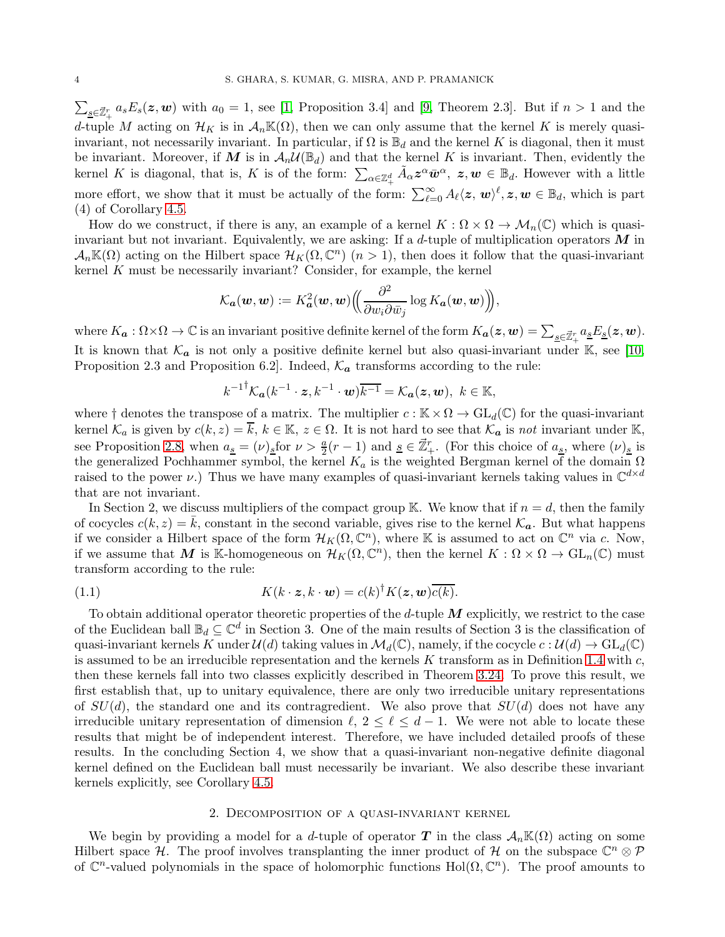$\sum_{s\in\mathbb{Z}_+^r}a_sE_s(z,\mathbf{w})$  with  $a_0=1$ , see [\[1,](#page-26-7) Proposition 3.4] and [\[9,](#page-26-2) Theorem 2.3]. But if  $n>1$  and the d-tuple M acting on  $\mathcal{H}_K$  is in  $\mathcal{A}_n\mathbb{K}(\Omega)$ , then we can only assume that the kernel K is merely quasiinvariant, not necessarily invariant. In particular, if  $\Omega$  is  $\mathbb{B}_d$  and the kernel K is diagonal, then it must be invariant. Moreover, if M is in  $\mathcal{A}_n\mathcal{U}(\mathbb{B}_d)$  and that the kernel K is invariant. Then, evidently the kernel K is diagonal, that is, K is of the form:  $\sum_{\alpha \in \mathbb{Z}_+^d} \tilde{A}_\alpha z^\alpha \bar{w}^\alpha$ ,  $z, w \in \mathbb{B}_d$ . However with a little more effort, we show that it must be actually of the form:  $\sum_{\ell=0}^{\infty} A_{\ell} \langle z, w \rangle^{\ell}, z, w \in \mathbb{B}_d$ , which is part (4) of Corollary [4.5.](#page-23-0)

How do we construct, if there is any, an example of a kernel  $K : \Omega \times \Omega \to \mathcal{M}_n(\mathbb{C})$  which is quasiinvariant but not invariant. Equivalently, we are asking: If a  $d$ -tuple of multiplication operators  $M$  in  $\mathcal{A}_n\mathbb{K}(\Omega)$  acting on the Hilbert space  $\mathcal{H}_K(\Omega,\mathbb{C}^n)$   $(n>1)$ , then does it follow that the quasi-invariant kernel K must be necessarily invariant? Consider, for example, the kernel

$$
\mathcal{K}_{\pmb{a}}(\pmb{w},\pmb{w}):=K_{\pmb{a}}^2(\pmb{w},\pmb{w})\Big(\!\!\Big(\frac{\partial^2}{\partial w_i \partial \bar{w}_j} \log K_{\pmb{a}}(\pmb{w},\pmb{w})\Big)\!\!\Big),
$$

where  $K_{a}: \Omega \times \Omega \to \mathbb{C}$  is an invariant positive definite kernel of the form  $K_{a}(z, w) = \sum_{\underline{s} \in \vec{\mathbb{Z}}_{+}^{r}} a_{\underline{s}} E_{\underline{s}}(z, w)$ . It is known that  $\mathcal{K}_a$  is not only a positive definite kernel but also quasi-invariant under K, see [\[10,](#page-26-8) Proposition 2.3 and Proposition 6.2. Indeed,  $\mathcal{K}_a$  transforms according to the rule:

$$
k^{-1} \mathcal{K}_a(k^{-1} \cdot \mathbf{z}, k^{-1} \cdot \mathbf{w}) \overline{k^{-1}} = \mathcal{K}_a(\mathbf{z}, \mathbf{w}), \ k \in \mathbb{K},
$$

where  $\dagger$  denotes the transpose of a matrix. The multiplier  $c : \mathbb{K} \times \Omega \to GL_d(\mathbb{C})$  for the quasi-invariant kernel  $\mathcal{K}_a$  is given by  $c(k, z) = \overline{k}, k \in \mathbb{K}, z \in \Omega$ . It is not hard to see that  $\mathcal{K}_a$  is *not* invariant under K, see Proposition [2.8,](#page-7-1) when  $a_{\underline{s}} = (\nu)_{\underline{s}}$  for  $\nu > \frac{a}{2}(r-1)$  and  $\underline{s} \in \mathbb{Z}_+^r$ . (For this choice of  $a_{\underline{s}}$ , where  $(\nu)_{\underline{s}}$  is the generalized Pochhammer symbol, the kernel  $K_a$  is the weighted Bergman kernel of the domain  $\Omega$ raised to the power  $\nu$ .) Thus we have many examples of quasi-invariant kernels taking values in  $\mathbb{C}^{d \times d}$ that are not invariant.

In Section 2, we discuss multipliers of the compact group K. We know that if  $n = d$ , then the family of cocycles  $c(k, z) = \overline{k}$ , constant in the second variable, gives rise to the kernel  $\mathcal{K}_a$ . But what happens if we consider a Hilbert space of the form  $\mathcal{H}_K(\Omega,\mathbb{C}^n)$ , where K is assumed to act on  $\mathbb{C}^n$  via c. Now, if we assume that M is K-homogeneous on  $\mathcal{H}_K(\Omega,\mathbb{C}^n)$ , then the kernel  $K:\Omega\times\Omega\to\mathrm{GL}_n(\mathbb{C})$  must transform according to the rule:

<span id="page-3-0"></span>(1.1) 
$$
K(k \cdot z, k \cdot w) = c(k)^{\dagger} K(z, w) \overline{c(k)}.
$$

To obtain additional operator theoretic properties of the  $d$ -tuple  $M$  explicitly, we restrict to the case of the Euclidean ball  $\mathbb{B}_d \subseteq \mathbb{C}^d$  in Section 3. One of the main results of Section 3 is the classification of quasi-invariant kernels K under  $\mathcal{U}(d)$  taking values in  $\mathcal{M}_d(\mathbb{C})$ , namely, if the cocycle  $c : \mathcal{U}(d) \to GL_d(\mathbb{C})$ is assumed to be an irreducible representation and the kernels K transform as in Definition [1.4](#page-2-0) with  $c$ , then these kernels fall into two classes explicitly described in Theorem [3.24.](#page-21-0) To prove this result, we first establish that, up to unitary equivalence, there are only two irreducible unitary representations of  $SU(d)$ , the standard one and its contragredient. We also prove that  $SU(d)$  does not have any irreducible unitary representation of dimension  $\ell, 2 \leq \ell \leq d-1$ . We were not able to locate these results that might be of independent interest. Therefore, we have included detailed proofs of these results. In the concluding Section 4, we show that a quasi-invariant non-negative definite diagonal kernel defined on the Euclidean ball must necessarily be invariant. We also describe these invariant kernels explicitly, see Corollary [4.5.](#page-23-0)

## 2. Decomposition of a quasi-invariant kernel

We begin by providing a model for a d-tuple of operator T in the class  $\mathcal{A}_n\mathbb{K}(\Omega)$  acting on some Hilbert space H. The proof involves transplanting the inner product of H on the subspace  $\mathbb{C}^n \otimes \mathcal{P}$ of  $\mathbb{C}^n$ -valued polynomials in the space of holomorphic functions Hol $(\Omega, \mathbb{C}^n)$ . The proof amounts to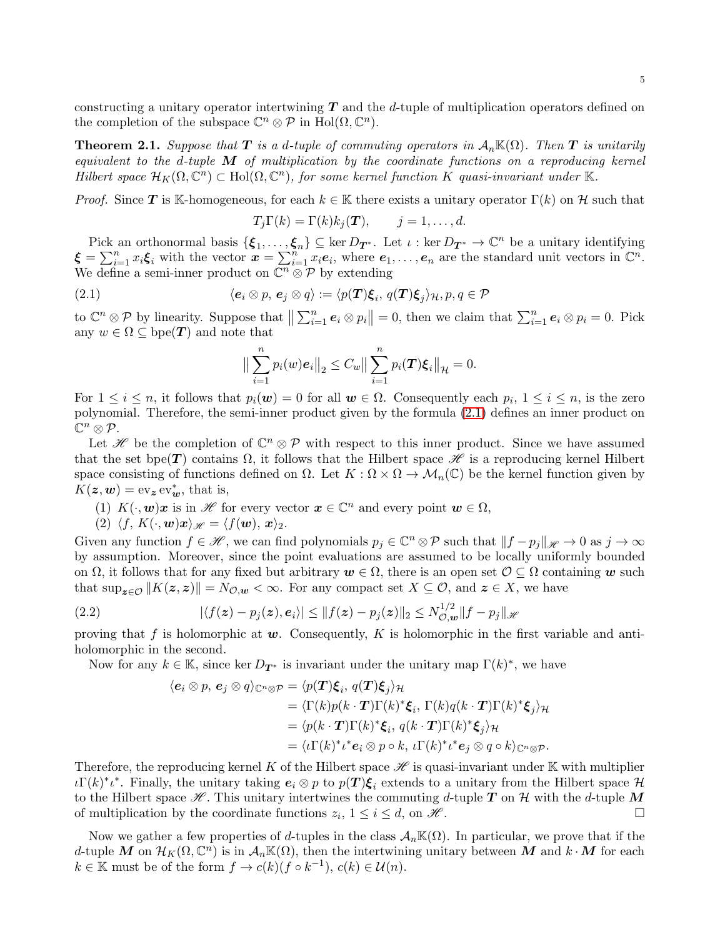<span id="page-4-0"></span>**Theorem 2.1.** *Suppose that*  $T$  *is a d-tuple of commuting operators in*  $A_nK(\Omega)$ *. Then*  $T$  *is unitarily equivalent to the* d*-tuple* M *of multiplication by the coordinate functions on a reproducing kernel Hilbert space*  $\mathcal{H}_K(\Omega, \mathbb{C}^n) \subset \text{Hol}(\Omega, \mathbb{C}^n)$ , for some kernel function K quasi-invariant under K.

*Proof.* Since T is K-homogeneous, for each  $k \in \mathbb{K}$  there exists a unitary operator  $\Gamma(k)$  on H such that

$$
T_j\Gamma(k) = \Gamma(k)k_j(\boldsymbol{T}), \qquad j=1,\ldots,d.
$$

Pick an orthonormal basis  $\{\xi_1,\ldots,\xi_n\} \subseteq \ker D_{\mathbf{T}^*}$ . Let  $\iota : \ker D_{\mathbf{T}^*} \to \mathbb{C}^n$  be a unitary identifying  $\boldsymbol{\xi} = \sum_{i=1}^n x_i \boldsymbol{\xi}_i$  with the vector  $\boldsymbol{x} = \sum_{i=1}^n x_i \boldsymbol{e}_i$ , where  $\boldsymbol{e}_1, \ldots, \boldsymbol{e}_n$  are the standard unit vectors in  $\mathbb{C}^n$ . We define a semi-inner product on  $\overline{\mathbb{C}^n \otimes \mathcal{P}}$  by extending

(2.1) 
$$
\langle e_i \otimes p, e_j \otimes q \rangle := \langle p(\mathbf{T})\xi_i, q(\mathbf{T})\xi_j \rangle_H, p, q \in \mathcal{P}
$$

to  $\mathbb{C}^n \otimes \mathcal{P}$  by linearity. Suppose that  $\left\| \sum_{i=1}^n \mathbf{e}_i \otimes p_i \right\| = 0$ , then we claim that  $\sum_{i=1}^n \mathbf{e}_i \otimes p_i = 0$ . Pick any  $w \in \Omega \subseteq \text{bpe}(\boldsymbol{T})$  and note that

<span id="page-4-1"></span>
$$
\left\| \sum_{i=1}^{n} p_i(w) \mathbf{e}_i \right\|_2 \leq C_w \left\| \sum_{i=1}^{n} p_i(T) \xi_i \right\|_{\mathcal{H}} = 0.
$$

For  $1 \leq i \leq n$ , it follows that  $p_i(\mathbf{w}) = 0$  for all  $\mathbf{w} \in \Omega$ . Consequently each  $p_i$ ,  $1 \leq i \leq n$ , is the zero polynomial. Therefore, the semi-inner product given by the formula [\(2.1\)](#page-4-1) defines an inner product on  $\mathbb{C}^n\otimes \mathcal{P}.$ 

Let H be the completion of  $\mathbb{C}^n \otimes \mathcal{P}$  with respect to this inner product. Since we have assumed that the set bpe(T) contains  $\Omega$ , it follows that the Hilbert space  $\mathscr H$  is a reproducing kernel Hilbert space consisting of functions defined on  $\Omega$ . Let  $K : \Omega \times \Omega \to \mathcal{M}_n(\mathbb{C})$  be the kernel function given by  $K(z, \mathbf{w}) = \text{ev}_{z} \text{ ev}_{\mathbf{w}}^{*}$ , that is,

- (1)  $K(\cdot, \mathbf{w})\mathbf{x}$  is in  $\mathscr{H}$  for every vector  $\mathbf{x} \in \mathbb{C}^n$  and every point  $\mathbf{w} \in \Omega$ ,
- (2)  $\langle f, K(\cdot, \mathbf{w})\mathbf{x} \rangle_{\mathscr{H}} = \langle f(\mathbf{w}), \mathbf{x} \rangle_2.$

Given any function  $f \in \mathcal{H}$ , we can find polynomials  $p_j \in \mathbb{C}^n \otimes \mathcal{P}$  such that  $||f - p_j||_{\mathcal{H}} \to 0$  as  $j \to \infty$ by assumption. Moreover, since the point evaluations are assumed to be locally uniformly bounded on  $\Omega$ , it follows that for any fixed but arbitrary  $w \in \Omega$ , there is an open set  $\mathcal{O} \subseteq \Omega$  containing w such that  $\sup_{z \in \mathcal{O}} ||K(z, z)|| = N_{\mathcal{O},w} < \infty$ . For any compact set  $X \subseteq \mathcal{O}$ , and  $z \in X$ , we have

(2.2) 
$$
|\langle f(z)-p_j(z),e_i\rangle|\leq ||f(z)-p_j(z)||_2\leq N_{\mathcal{O},\mathbf{w}}^{1/2}||f-p_j||_{\mathcal{H}}
$$

proving that f is holomorphic at  $w$ . Consequently, K is holomorphic in the first variable and antiholomorphic in the second.

Now for any  $k \in \mathbb{K}$ , since ker  $D_{\mathbf{T}^*}$  is invariant under the unitary map  $\Gamma(k)^*$ , we have

$$
\langle e_i \otimes p, e_j \otimes q \rangle_{\mathbb{C}^n \otimes \mathcal{P}} = \langle p(\mathbf{T})\xi_i, q(\mathbf{T})\xi_j \rangle_{\mathcal{H}}
$$
  
\n
$$
= \langle \Gamma(k)p(k \cdot \mathbf{T})\Gamma(k)^* \xi_i, \Gamma(k)q(k \cdot \mathbf{T})\Gamma(k)^* \xi_j \rangle_{\mathcal{H}}
$$
  
\n
$$
= \langle p(k \cdot \mathbf{T})\Gamma(k)^* \xi_i, q(k \cdot \mathbf{T})\Gamma(k)^* \xi_j \rangle_{\mathcal{H}}
$$
  
\n
$$
= \langle \iota \Gamma(k)^* \iota^* e_i \otimes p \circ k, \iota \Gamma(k)^* \iota^* e_j \otimes q \circ k \rangle_{\mathbb{C}^n \otimes \mathcal{P}}.
$$

Therefore, the reproducing kernel K of the Hilbert space  $\mathscr H$  is quasi-invariant under K with multiplier  $\iota\Gamma(k)^* \iota^*$ . Finally, the unitary taking  $e_i \otimes p$  to  $p(T) \xi_i$  extends to a unitary from the Hilbert space  $\mathcal H$ to the Hilbert space  $\mathscr{H}$ . This unitary intertwines the commuting d-tuple T on H with the d-tuple M of multiplication by the coordinate functions  $z_i$ ,  $1 \leq i \leq d$ , on  $\mathcal{H}$ .

Now we gather a few properties of d-tuples in the class  $\mathcal{A}_n\mathbb{K}(\Omega)$ . In particular, we prove that if the d-tuple M on  $\mathcal{H}_K(\Omega,\mathbb{C}^n)$  is in  $\mathcal{A}_n\mathbb{K}(\Omega)$ , then the intertwining unitary between M and  $k \cdot M$  for each  $k \in \mathbb{K}$  must be of the form  $f \to c(k)(f \circ k^{-1}), c(k) \in \mathcal{U}(n)$ .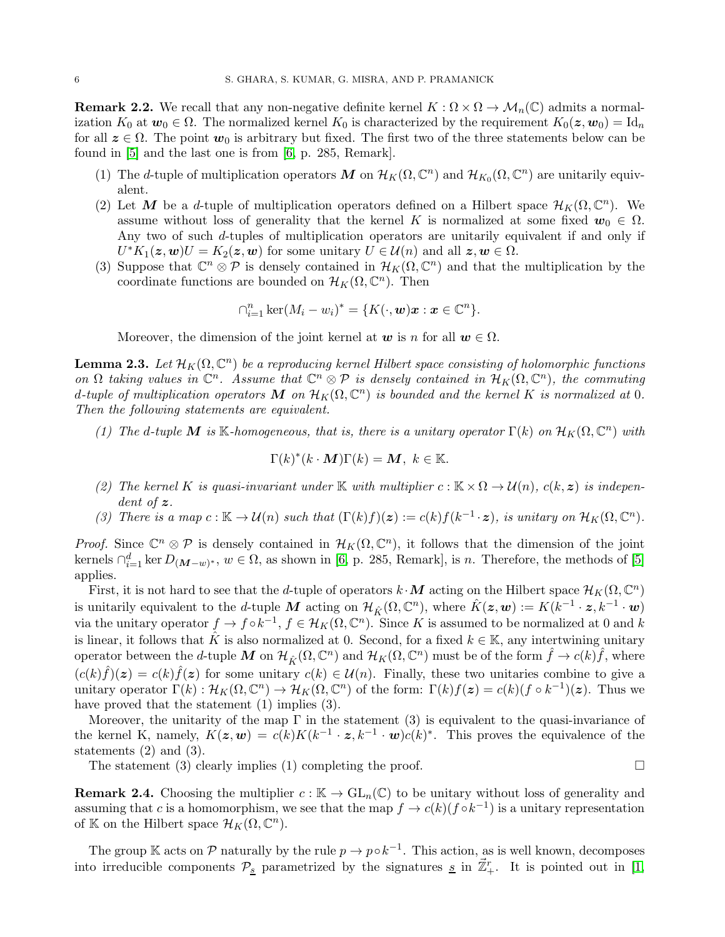<span id="page-5-0"></span>**Remark 2.2.** We recall that any non-negative definite kernel  $K : \Omega \times \Omega \to \mathcal{M}_n(\mathbb{C})$  admits a normalization  $K_0$  at  $w_0 \in \Omega$ . The normalized kernel  $K_0$  is characterized by the requirement  $K_0(z, w_0) = \mathrm{Id}_n$ for all  $z \in \Omega$ . The point  $w_0$  is arbitrary but fixed. The first two of the three statements below can be found in [\[5\]](#page-26-6) and the last one is from [\[6,](#page-26-9) p. 285, Remark].

- (1) The d-tuple of multiplication operators M on  $\mathcal{H}_K(\Omega,\mathbb{C}^n)$  and  $\mathcal{H}_{K_0}(\Omega,\mathbb{C}^n)$  are unitarily equivalent.
- (2) Let M be a d-tuple of multiplication operators defined on a Hilbert space  $\mathcal{H}_K(\Omega,\mathbb{C}^n)$ . We assume without loss of generality that the kernel K is normalized at some fixed  $w_0 \in \Omega$ . Any two of such d-tuples of multiplication operators are unitarily equivalent if and only if  $U^*K_1(\boldsymbol{z},\boldsymbol{w})U=K_2(\boldsymbol{z},\boldsymbol{w})$  for some unitary  $U\in\mathcal{U}(n)$  and all  $\boldsymbol{z},\boldsymbol{w}\in\Omega$ .
- (3) Suppose that  $\mathbb{C}^n \otimes \mathcal{P}$  is densely contained in  $\mathcal{H}_K(\Omega, \mathbb{C}^n)$  and that the multiplication by the coordinate functions are bounded on  $\mathcal{H}_K(\Omega,\mathbb{C}^n)$ . Then

$$
\bigcap_{i=1}^n \ker(M_i - w_i)^* = \{ K(\cdot, \boldsymbol{w})\boldsymbol{x} : \boldsymbol{x} \in \mathbb{C}^n \}.
$$

Moreover, the dimension of the joint kernel at  $w$  is n for all  $w \in \Omega$ .

<span id="page-5-1"></span>**Lemma 2.3.** Let  $\mathcal{H}_K(\Omega, \mathbb{C}^n)$  be a reproducing kernel Hilbert space consisting of holomorphic functions on  $\Omega$  taking values in  $\mathbb{C}^n$ . Assume that  $\mathbb{C}^n \otimes \mathcal{P}$  is densely contained in  $\mathcal{H}_K(\Omega, \mathbb{C}^n)$ , the commuting d-tuple of multiplication operators  $M$  on  $\mathcal{H}_K(\Omega,\mathbb{C}^n)$  is bounded and the kernel  $K$  is normalized at 0. *Then the following statements are equivalent.*

*(1)* The d-tuple M is K-homogeneous, that is, there is a unitary operator  $\Gamma(k)$  on  $\mathcal{H}_K(\Omega,\mathbb{C}^n)$  with

$$
\Gamma(k)^*(k \cdot \mathbf{M})\Gamma(k) = \mathbf{M}, \ k \in \mathbb{K}.
$$

- (2) The kernel K is quasi-invariant under K with multiplier  $c : K \times \Omega \to \mathcal{U}(n)$ ,  $c(k, z)$  is indepen*dent of* z*.*
- *(3) There is a map*  $c : \mathbb{K} \to \mathcal{U}(n)$  *such that*  $(\Gamma(k)f)(z) := c(k)f(k^{-1} \cdot z)$ *, is unitary on*  $\mathcal{H}_K(\Omega, \mathbb{C}^n)$ *.*

*Proof.* Since  $\mathbb{C}^n \otimes \mathcal{P}$  is densely contained in  $\mathcal{H}_K(\Omega, \mathbb{C}^n)$ , it follows that the dimension of the joint kernels  $\bigcap_{i=1}^d \ker D_{(\mathbf{M}-w)^*}, w \in \Omega$ , as shown in [\[6,](#page-26-9) p. 285, Remark], is n. Therefore, the methods of [\[5\]](#page-26-6) applies.

First, it is not hard to see that the d-tuple of operators  $k \cdot M$  acting on the Hilbert space  $\mathcal{H}_K(\Omega, \mathbb{C}^n)$ is unitarily equivalent to the *d*-tuple M acting on  $\mathcal{H}_{\hat{K}}(\Omega, \mathbb{C}^n)$ , where  $\hat{K}(z, w) := K(k^{-1} \cdot z, k^{-1} \cdot w)$ via the unitary operator  $f \to f \circ k^{-1}$ ,  $f \in \mathcal{H}_K(\Omega, \mathbb{C}^n)$ . Since K is assumed to be normalized at 0 and k is linear, it follows that K is also normalized at 0. Second, for a fixed  $k \in \mathbb{K}$ , any intertwining unitary operator between the *d*-tuple M on  $\mathcal{H}_{\hat{K}}(\Omega, \mathbb{C}^n)$  and  $\mathcal{H}_K(\Omega, \mathbb{C}^n)$  must be of the form  $\hat{f} \to c(k)\hat{f}$ , where  $(c(k)\hat{f})(z) = c(k)\hat{f}(z)$  for some unitary  $c(k) \in \mathcal{U}(n)$ . Finally, these two unitaries combine to give a unitary operator  $\Gamma(k) : \mathcal{H}_K(\Omega, \mathbb{C}^n) \to \mathcal{H}_K(\Omega, \mathbb{C}^n)$  of the form:  $\Gamma(k) f(z) = c(k)(f \circ k^{-1})(z)$ . Thus we have proved that the statement  $(1)$  implies  $(3)$ .

Moreover, the unitarity of the map  $\Gamma$  in the statement (3) is equivalent to the quasi-invariance of the kernel K, namely,  $K(z, w) = c(k)K(k^{-1} \cdot z, k^{-1} \cdot w)c(k)^*$ . This proves the equivalence of the statements (2) and (3).

The statement (3) clearly implies (1) completing the proof.  $\square$ 

**Remark 2.4.** Choosing the multiplier  $c : \mathbb{K} \to GL_n(\mathbb{C})$  to be unitary without loss of generality and assuming that c is a homomorphism, we see that the map  $f \to c(k)(f \circ k^{-1})$  is a unitary representation of K on the Hilbert space  $\mathcal{H}_K(\Omega, \mathbb{C}^n)$ .

The group K acts on  $\mathcal P$  naturally by the rule  $p \to p \circ k^{-1}$ . This action, as is well known, decomposes into irreducible components  $\mathcal{P}_{\underline{s}}$  parametrized by the signatures  $\underline{s}$  in  $\vec{\mathbb{Z}}_+^r$ . It is pointed out in [\[1,](#page-26-7)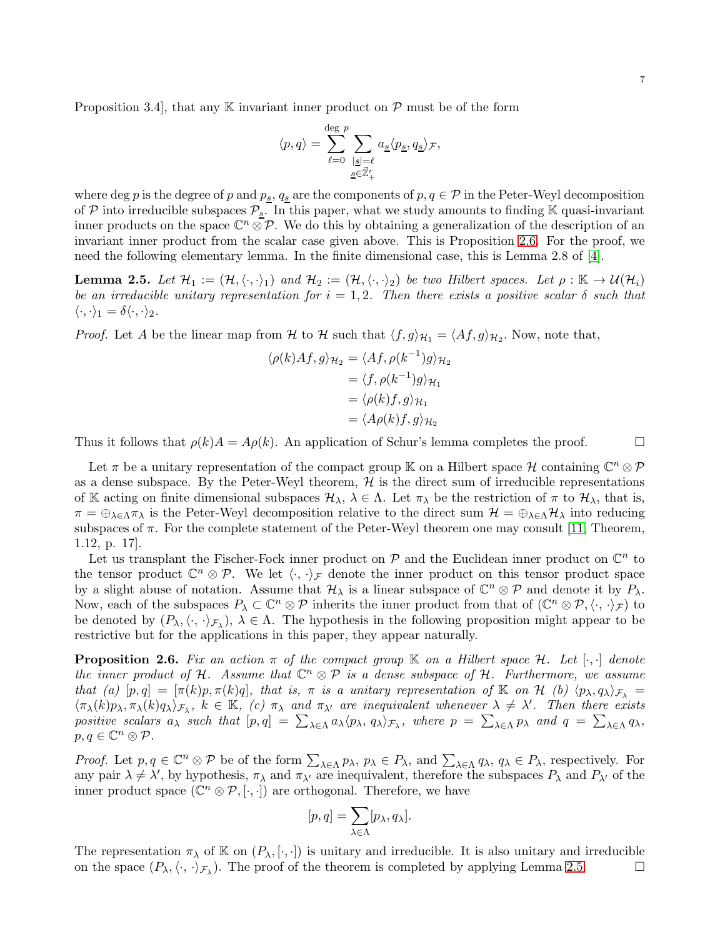7

Proposition 3.4, that any  $\mathbb K$  invariant inner product on  $\mathcal P$  must be of the form

$$
\langle p,q \rangle = \sum_{\ell=0}^{\deg \, p} \sum_{\substack{|\underline{s}|=\ell \\ \underline{s} \in \vec{\mathbb{Z}}_+^r}} a_{\underline{s}} \langle p_{\underline{s}}, q_{\underline{s}} \rangle_{\mathcal{F}},
$$

where deg p is the degree of p and  $p_s$ ,  $q_s$  are the components of  $p, q \in \mathcal{P}$  in the Peter-Weyl decomposition of P into irreducible subspaces  $\mathcal{P}_{s}$ . In this paper, what we study amounts to finding  $\mathbb{K}$  quasi-invariant inner products on the space  $\mathbb{C}^n \otimes \mathcal{P}$ . We do this by obtaining a generalization of the description of an invariant inner product from the scalar case given above. This is Proposition [2.6.](#page-6-0) For the proof, we need the following elementary lemma. In the finite dimensional case, this is Lemma 2.8 of [\[4\]](#page-26-1).

<span id="page-6-1"></span>**Lemma 2.5.** Let  $\mathcal{H}_1 := (\mathcal{H}, \langle \cdot, \cdot \rangle_1)$  and  $\mathcal{H}_2 := (\mathcal{H}, \langle \cdot, \cdot \rangle_2)$  be two Hilbert spaces. Let  $\rho : \mathbb{K} \to \mathcal{U}(\mathcal{H}_i)$ *be an irreducible unitary representation for*  $i = 1, 2$ *. Then there exists a positive scalar*  $\delta$  *such that*  $\langle \cdot, \cdot \rangle_1 = \delta \langle \cdot, \cdot \rangle_2.$ 

*Proof.* Let A be the linear map from H to H such that  $\langle f, g \rangle_{\mathcal{H}_1} = \langle Af, g \rangle_{\mathcal{H}_2}$ . Now, note that,

$$
\langle \rho(k)Af, g \rangle_{\mathcal{H}_2} = \langle Af, \rho(k^{-1})g \rangle_{\mathcal{H}_2}
$$
  
=  $\langle f, \rho(k^{-1})g \rangle_{\mathcal{H}_1}$   
=  $\langle \rho(k)f, g \rangle_{\mathcal{H}_1}$   
=  $\langle A\rho(k)f, g \rangle_{\mathcal{H}_2}$ 

Thus it follows that  $\rho(k)A = A\rho(k)$ . An application of Schur's lemma completes the proof.

Let  $\pi$  be a unitary representation of the compact group K on a Hilbert space H containing  $\mathbb{C}^n \otimes \mathcal{P}$ as a dense subspace. By the Peter-Weyl theorem,  $H$  is the direct sum of irreducible representations of K acting on finite dimensional subspaces  $\mathcal{H}_{\lambda}$ ,  $\lambda \in \Lambda$ . Let  $\pi_{\lambda}$  be the restriction of  $\pi$  to  $\mathcal{H}_{\lambda}$ , that is,  $\pi = \bigoplus_{\lambda \in \Lambda} \pi_{\lambda}$  is the Peter-Weyl decomposition relative to the direct sum  $\mathcal{H} = \bigoplus_{\lambda \in \Lambda} \mathcal{H}_{\lambda}$  into reducing subspaces of  $\pi$ . For the complete statement of the Peter-Weyl theorem one may consult [\[11,](#page-26-10) Theorem, 1.12, p. 17].

Let us transplant the Fischer-Fock inner product on  $P$  and the Euclidean inner product on  $\mathbb{C}^n$  to the tensor product  $\mathbb{C}^n \otimes \mathcal{P}$ . We let  $\langle \cdot, \cdot \rangle_{\mathcal{F}}$  denote the inner product on this tensor product space by a slight abuse of notation. Assume that  $\mathcal{H}_{\lambda}$  is a linear subspace of  $\mathbb{C}^n \otimes \mathcal{P}$  and denote it by  $P_{\lambda}$ . Now, each of the subspaces  $P_{\lambda} \subset \mathbb{C}^n \otimes \mathcal{P}$  inherits the inner product from that of  $(\mathbb{C}^n \otimes \mathcal{P}, \langle \cdot, \cdot \rangle_{\mathcal{F}})$  to be denoted by  $(P_\lambda,\langle\cdot,\cdot\rangle_{\mathcal{F}_\lambda}), \lambda \in \Lambda$ . The hypothesis in the following proposition might appear to be restrictive but for the applications in this paper, they appear naturally.

<span id="page-6-0"></span>**Proposition 2.6.** Fix an action  $\pi$  of the compact group  $\mathbb{K}$  on a Hilbert space  $\mathcal{H}$ . Let  $[\cdot, \cdot]$  denote *the inner product of*  $H$ *. Assume that*  $\mathbb{C}^n \otimes \mathcal{P}$  *is a dense subspace of*  $H$ *. Furthermore, we assume that (a)*  $[p,q] = [\pi(k)p, \pi(k)q]$ , that is,  $\pi$  *is a unitary representation of* K *on* H *(b)*  $\langle p_{\lambda}, q_{\lambda} \rangle_{\mathcal{F}_{\lambda}} =$  $\langle \pi_{\lambda}(k)p_{\lambda}, \pi_{\lambda}(k)q_{\lambda}\rangle_{\mathcal{F}_{\lambda}}, k \in \mathbb{K}$ , (c)  $\pi_{\lambda}$  and  $\pi_{\lambda'}$  are inequivalent whenever  $\lambda \neq \lambda'$ . Then there exists *positive scalars*  $a_{\lambda}$  *such that*  $[p,q] = \sum_{\lambda \in \Lambda} a_{\lambda} \langle p_{\lambda}, q_{\lambda} \rangle_{\mathcal{F}_{\lambda}}$ *, where*  $p = \sum_{\lambda \in \Lambda} p_{\lambda}$  *and*  $q = \sum_{\lambda \in \Lambda} q_{\lambda}$ *,*  $p,q\in\mathbb{C}^{n}\otimes\mathcal{P}.$ 

*Proof.* Let  $p, q \in \mathbb{C}^n \otimes \mathcal{P}$  be of the form  $\sum_{\lambda \in \Lambda} p_\lambda$ ,  $p_\lambda \in P_\lambda$ , and  $\sum_{\lambda \in \Lambda} q_\lambda$ ,  $q_\lambda \in P_\lambda$ , respectively. For any pair  $\lambda \neq \lambda'$ , by hypothesis,  $\pi_{\lambda}$  and  $\pi_{\lambda'}$  are inequivalent, therefore the subspaces  $P_{\lambda}$  and  $P_{\lambda'}$  of the inner product space  $(\mathbb{C}^n \otimes \mathcal{P}, [\cdot, \cdot])$  are orthogonal. Therefore, we have

$$
[p,q] = \sum_{\lambda \in \Lambda} [p_{\lambda}, q_{\lambda}].
$$

The representation  $\pi_{\lambda}$  of K on  $(P_{\lambda}, [\cdot, \cdot])$  is unitary and irreducible. It is also unitary and irreducible on the space  $(P_{\lambda}, \langle \cdot, \cdot \rangle_{\mathcal{F}_{\lambda}})$ . The proof of the theorem is completed by applying Lemma [2.5.](#page-6-1)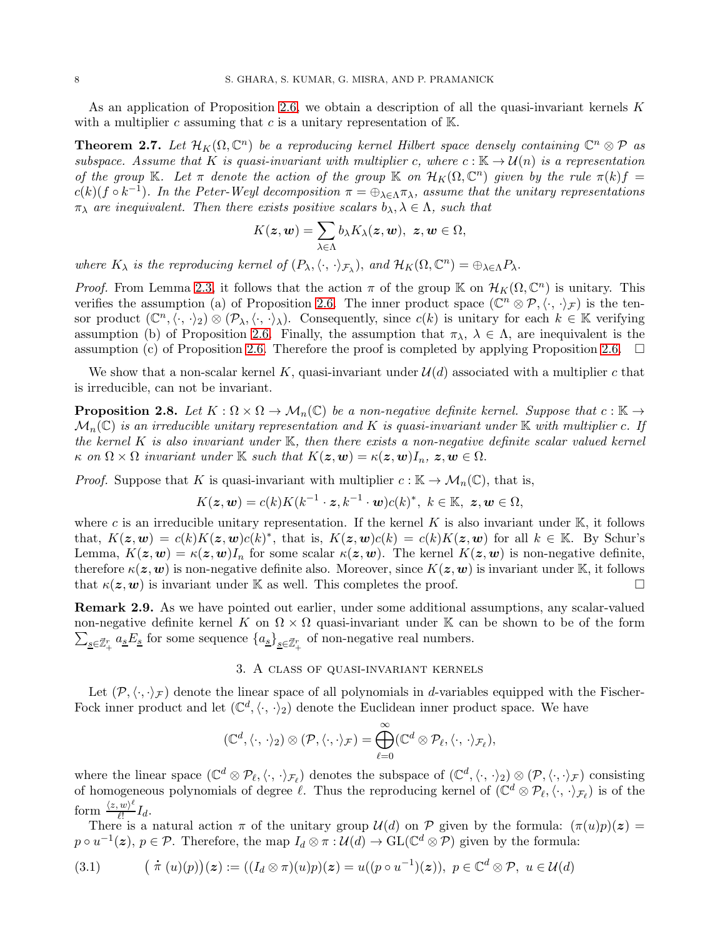As an application of Proposition [2.6,](#page-6-0) we obtain a description of all the quasi-invariant kernels K with a multiplier c assuming that  $c$  is a unitary representation of  $K$ .

<span id="page-7-0"></span>**Theorem 2.7.** Let  $\mathcal{H}_K(\Omega, \mathbb{C}^n)$  be a reproducing kernel Hilbert space densely containing  $\mathbb{C}^n \otimes \mathcal{P}$  as *subspace. Assume that* K *is quasi-invariant with multiplier* c, where  $c : \mathbb{K} \to \mathcal{U}(n)$  *is a representation of the group* K. Let  $\pi$  *denote the action of the group* K *on*  $\mathcal{H}_K(\Omega, \mathbb{C}^n)$  *given by the rule*  $\pi(k)f =$  $c(k)(f \circ k^{-1})$ . In the Peter-Weyl decomposition  $\pi = \bigoplus_{\lambda \in \Lambda} \pi_{\lambda}$ , assume that the unitary representations  $\pi_{\lambda}$  *are inequivalent. Then there exists positive scalars*  $b_{\lambda}, \lambda \in \Lambda$ *, such that* 

$$
K(\boldsymbol{z},\boldsymbol{w})=\sum_{\lambda\in\Lambda}b_{\lambda}K_{\lambda}(\boldsymbol{z},\boldsymbol{w}),\ \boldsymbol{z},\boldsymbol{w}\in\Omega,
$$

*where*  $K_{\lambda}$  *is the reproducing kernel of*  $(P_{\lambda}, \langle \cdot, \cdot \rangle_{\mathcal{F}_{\lambda}})$ *, and*  $\mathcal{H}_K(\Omega, \mathbb{C}^n) = \bigoplus_{\lambda \in \Lambda} P_{\lambda}$ *.* 

*Proof.* From Lemma [2.3,](#page-5-1) it follows that the action  $\pi$  of the group K on  $\mathcal{H}_K(\Omega,\mathbb{C}^n)$  is unitary. This verifies the assumption (a) of Proposition [2.6.](#page-6-0) The inner product space  $(\mathbb{C}^n \otimes \mathcal{P}, \langle \cdot, \cdot \rangle_{\mathcal{F}})$  is the tensor product  $(\mathbb{C}^n, \langle \cdot, \cdot \rangle_2) \otimes (\mathcal{P}_\lambda, \langle \cdot, \cdot \rangle_\lambda)$ . Consequently, since  $c(k)$  is unitary for each  $k \in \mathbb{K}$  verifying assumption (b) of Proposition [2.6.](#page-6-0) Finally, the assumption that  $\pi_{\lambda}, \lambda \in \Lambda$ , are inequivalent is the assumption (c) of Proposition [2.6.](#page-6-0) Therefore the proof is completed by applying Proposition 2.6.  $\Box$ 

We show that a non-scalar kernel K, quasi-invariant under  $\mathcal{U}(d)$  associated with a multiplier c that is irreducible, can not be invariant.

<span id="page-7-1"></span>**Proposition 2.8.** Let  $K : \Omega \times \Omega \to \mathcal{M}_n(\mathbb{C})$  be a non-negative definite kernel. Suppose that  $c : \mathbb{K} \to$  $\mathcal{M}_n(\mathbb{C})$  *is an irreducible unitary representation and* K *is quasi-invariant under* K *with multiplier* c. If *the kernel* K *is also invariant under* K*, then there exists a non-negative definite scalar valued kernel*  $\kappa$  *on*  $\Omega \times \Omega$  *invariant under* K *such that*  $K(z, w) = \kappa(z, w)I_n$ ,  $z, w \in \Omega$ .

*Proof.* Suppose that K is quasi-invariant with multiplier  $c : \mathbb{K} \to \mathcal{M}_n(\mathbb{C})$ , that is,

$$
K(\boldsymbol{z},\boldsymbol{w})=c(k)K(k^{-1}\cdot\boldsymbol{z},k^{-1}\cdot\boldsymbol{w})c(k)^*,\,\,k\in\mathbb{K},\,\,\boldsymbol{z},\boldsymbol{w}\in\Omega,
$$

where c is an irreducible unitary representation. If the kernel K is also invariant under  $\mathbb{K}$ , it follows that,  $K(z, w) = c(k)K(z, w)c(k)^*$ , that is,  $K(z, w)c(k) = c(k)K(z, w)$  for all  $k \in \mathbb{K}$ . By Schur's Lemma,  $K(z, w) = \kappa(z, w)I_n$  for some scalar  $\kappa(z, w)$ . The kernel  $K(z, w)$  is non-negative definite, therefore  $\kappa(z, w)$  is non-negative definite also. Moreover, since  $K(z, w)$  is invariant under K, it follows that  $\kappa(z, w)$  is invariant under K as well. This completes the proof.

Remark 2.9. As we have pointed out earlier, under some additional assumptions, any scalar-valued  $\sum_{\underline{s}\in\vec{\mathbb{Z}}_+^r} a_{\underline{s}} E_{\underline{s}}$  for some sequence  $\{a_{\underline{s}}\}_{\underline{s}\in\vec{\mathbb{Z}}_+^r}$  of non-negative real numbers. non-negative definite kernel K on  $\Omega \times \Omega$  quasi-invariant under K can be shown to be of the form

## 3. A class of quasi-invariant kernels

Let  $(\mathcal{P}, \langle \cdot, \cdot \rangle_{\mathcal{F}})$  denote the linear space of all polynomials in d-variables equipped with the Fischer-Fock inner product and let  $(\mathbb{C}^d, \langle \cdot, \cdot \rangle_2)$  denote the Euclidean inner product space. We have

$$
(\mathbb{C}^d,\langle\cdot,\,\cdot\rangle_2)\otimes(\mathcal{P},\langle\cdot,\cdot\rangle_{\mathcal{F}})=\bigoplus_{\ell=0}^\infty(\mathbb{C}^d\otimes\mathcal{P}_\ell,\langle\cdot,\,\cdot\rangle_{\mathcal{F}_\ell}),
$$

where the linear space  $(\mathbb{C}^d \otimes \mathcal{P}_{\ell},\langle\cdot,\cdot\rangle_{\mathcal{F}_{\ell}})$  denotes the subspace of  $(\mathbb{C}^d,\langle\cdot,\cdot\rangle_2) \otimes (\mathcal{P},\langle\cdot,\cdot\rangle_{\mathcal{F}})$  consisting of homogeneous polynomials of degree  $\ell$ . Thus the reproducing kernel of  $(\mathbb{C}^d \otimes \mathcal{P}_{\ell}, \langle \cdot, \cdot \rangle_{\mathcal{F}_{\ell}})$  is of the form  $\frac{\langle z, w \rangle^{\ell}}{\ell!}$  $\frac{w}{\ell!}I_d.$ 

There is a natural action  $\pi$  of the unitary group  $\mathcal{U}(d)$  on  $\mathcal P$  given by the formula:  $(\pi(u)p)(z) =$  $p \circ u^{-1}(z)$ ,  $p \in \mathcal{P}$ . Therefore, the map  $I_d \otimes \pi : \mathcal{U}(d) \to \text{GL}(\mathbb{C}^d \otimes \mathcal{P})$  given by the formula:

$$
(3.1) \qquad (\pi(u)(p))(z) := ((I_d \otimes \pi)(u)p)(z) = u((p \circ u^{-1})(z)), \ p \in \mathbb{C}^d \otimes \mathcal{P}, \ u \in \mathcal{U}(d))
$$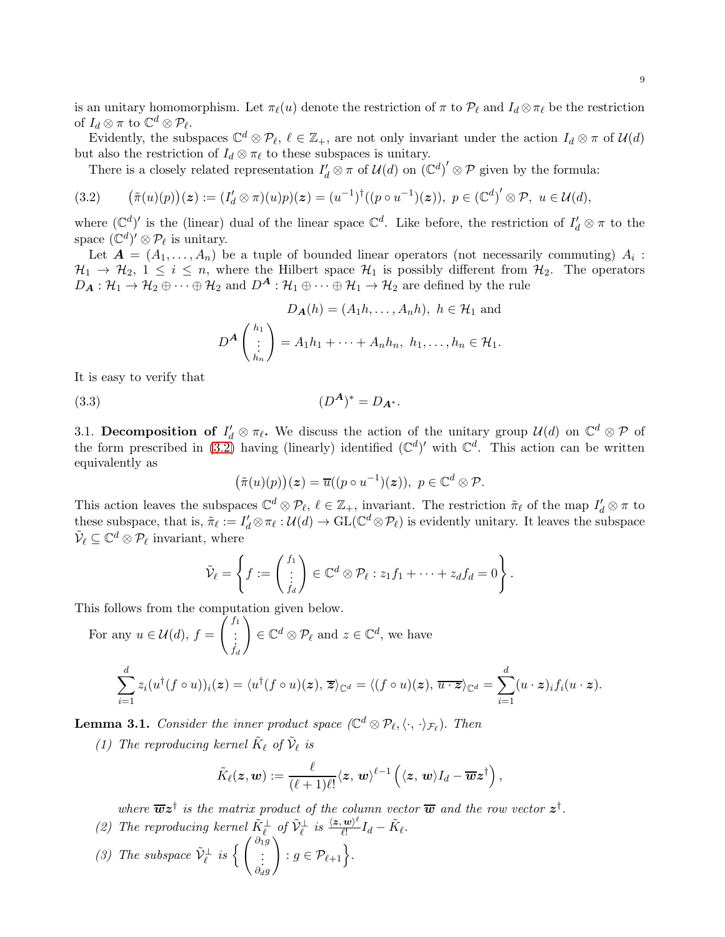is an unitary homomorphism. Let  $\pi_{\ell}(u)$  denote the restriction of  $\pi$  to  $\mathcal{P}_{\ell}$  and  $I_d \otimes \pi_{\ell}$  be the restriction of  $I_d \otimes \pi$  to  $\mathbb{C}^d \otimes \mathcal{P}_{\ell}$ .

Evidently, the subspaces  $\mathbb{C}^d \otimes \mathcal{P}_{\ell}, \ell \in \mathbb{Z}_+$ , are not only invariant under the action  $I_d \otimes \pi$  of  $\mathcal{U}(d)$ but also the restriction of  $I_d \otimes \pi_\ell$  to these subspaces is unitary.

<span id="page-8-0"></span>There is a closely related representation  $I'_d \otimes \pi$  of  $\mathcal{U}(d)$  on  $(\mathbb{C}^d)' \otimes \mathcal{P}$  given by the formula:

$$
(3.2) \qquad (\tilde{\pi}(u)(p))(z) := (I'_d \otimes \pi)(u)p)(z) = (u^{-1})^{\dagger}((p \circ u^{-1})(z)), \ p \in (\mathbb{C}^d)' \otimes \mathcal{P}, \ u \in \mathcal{U}(d),
$$

where  $(\mathbb{C}^d)'$  is the (linear) dual of the linear space  $\mathbb{C}^d$ . Like before, the restriction of  $I'_d \otimes \pi$  to the space  $(\mathbb{C}^d)' \otimes \mathcal{P}_{\ell}$  is unitary.

Let  $\boldsymbol{A} = (A_1, \ldots, A_n)$  be a tuple of bounded linear operators (not necessarily commuting)  $A_i$ :  $\mathcal{H}_1 \to \mathcal{H}_2$ ,  $1 \leq i \leq n$ , where the Hilbert space  $\mathcal{H}_1$  is possibly different from  $\mathcal{H}_2$ . The operators  $D_A: \mathcal{H}_1 \to \mathcal{H}_2 \oplus \cdots \oplus \mathcal{H}_2$  and  $D^A: \mathcal{H}_1 \oplus \cdots \oplus \mathcal{H}_1 \to \mathcal{H}_2$  are defined by the rule

$$
D_{\mathbf{A}}(h) = (A_1 h, \dots, A_n h), \ h \in \mathcal{H}_1 \text{ and}
$$

$$
D^{\mathbf{A}}\left(\begin{array}{c} h_1 \\ \vdots \\ h_n \end{array}\right) = A_1 h_1 + \dots + A_n h_n, \ h_1, \dots, h_n \in \mathcal{H}_1.
$$

It is easy to verify that

(3.3)  $(D^A)$  $(D^{A})^* = D_{A^*}.$ 

3.1. Decomposition of  $I'_d \otimes \pi_{\ell}$ . We discuss the action of the unitary group  $\mathcal{U}(d)$  on  $\mathbb{C}^d \otimes \mathcal{P}$  of the form prescribed in [\(3.2\)](#page-8-0) having (linearly) identified  $(\mathbb{C}^d)'$  with  $\mathbb{C}^d$ . This action can be written equivalently as

<span id="page-8-1"></span>
$$
(\tilde{\pi}(u)(p))(z) = \overline{u}((p \circ u^{-1})(z)), \ p \in \mathbb{C}^d \otimes \mathcal{P}.
$$

This action leaves the subspaces  $\mathbb{C}^d \otimes \mathcal{P}_\ell$ ,  $\ell \in \mathbb{Z}_+$ , invariant. The restriction  $\tilde{\pi}_\ell$  of the map  $I'_d \otimes \pi$  to these subspace, that is,  $\tilde{\pi}_{\ell} := I_d' \otimes \pi_{\ell} : \mathcal{U}(d) \to \text{GL}(\mathbb{C}^d \otimes \mathcal{P}_{\ell})$  is evidently unitary. It leaves the subspace  $\tilde{\mathcal{V}}_{\ell} \subseteq \mathbb{C}^{d} \otimes \mathcal{P}_{\ell}$  invariant, where

$$
\tilde{\mathcal{V}}_{\ell} = \left\{ f := \begin{pmatrix} f_1 \\ \vdots \\ f_d \end{pmatrix} \in \mathbb{C}^d \otimes \mathcal{P}_{\ell} : z_1 f_1 + \cdots + z_d f_d = 0 \right\}.
$$

This follows from the computation given below.

For any 
$$
u \in \mathcal{U}(d)
$$
,  $f = \begin{pmatrix} f_1 \\ \vdots \\ f_d \end{pmatrix} \in \mathbb{C}^d \otimes \mathcal{P}_\ell$  and  $z \in \mathbb{C}^d$ , we have\n
$$
\sum_{i=1}^d z_i (u^\dagger (f \circ u))_i(z) = \langle u^\dagger (f \circ u)(z), \overline{z} \rangle_{\mathbb{C}^d} = \langle (f \circ u)(z), \overline{u \cdot z} \rangle_{\mathbb{C}^d} = \sum_{i=1}^d (u \cdot z)_i f_i (u \cdot z).
$$

<span id="page-8-2"></span>**Lemma 3.1.** *Consider the inner product space*  $(\mathbb{C}^d \otimes \mathcal{P}_{\ell}, \langle \cdot, \cdot \rangle_{\mathcal{F}_{\ell}})$ *. Then* 

*(1)* The reproducing kernel  $\tilde{K}_{\ell}$  of  $\tilde{\mathcal{V}}_{\ell}$  is

$$
\tilde{K}_{\ell}(\boldsymbol{z},\boldsymbol{w}) := \frac{\ell}{(\ell+1)\ell!}\langle \boldsymbol{z},\,\boldsymbol{w}\rangle^{\ell-1}\left(\langle \boldsymbol{z},\,\boldsymbol{w}\rangle I_d - \overline{\boldsymbol{w}}\boldsymbol{z}^\dagger\right),
$$

where  $\overline{\boldsymbol{w}}\boldsymbol{z}^{\dagger}$  is the matrix product of the column vector  $\overline{\boldsymbol{w}}$  and the row vector  $\boldsymbol{z}^{\dagger}$ .

- (2) The reproducing kernel  $\tilde{K}_{\ell}^{\perp}$  of  $\tilde{V}_{\ell}^{\perp}$  is  $\frac{\langle z, w \rangle^{\ell}}{\ell!}$  $\frac{\mathbf{w})^{\ell}}{\ell!}I_d - \tilde{K}_{\ell}.$
- *(3)* The subspace  $\tilde{\mathcal{V}}_{\ell}^{\perp}$  is  $\left\{ \begin{pmatrix} \partial_1 g \\ \vdots \\ \partial_d g \end{pmatrix} \right\}$  $\Big\} : g \in \mathcal{P}_{\ell+1} \Big\}.$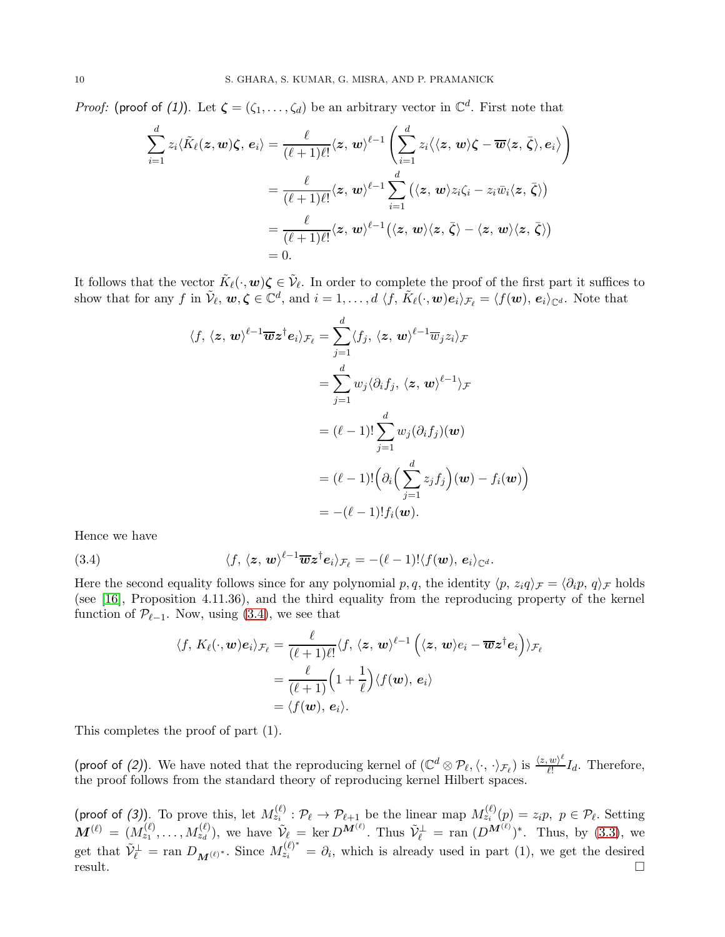*Proof:* (proof of (1)). Let  $\zeta = (\zeta_1, \ldots, \zeta_d)$  be an arbitrary vector in  $\mathbb{C}^d$ . First note that

$$
\sum_{i=1}^{d} z_i \langle \tilde{K}_{\ell}(z, w) \zeta, e_i \rangle = \frac{\ell}{(\ell+1)\ell!} \langle z, w \rangle^{\ell-1} \left( \sum_{i=1}^{d} z_i \langle \langle z, w \rangle \zeta - \overline{w} \langle z, \overline{\zeta} \rangle, e_i \rangle \right)
$$
  

$$
= \frac{\ell}{(\ell+1)\ell!} \langle z, w \rangle^{\ell-1} \sum_{i=1}^{d} (\langle z, w \rangle z_i \zeta_i - z_i \overline{w}_i \langle z, \overline{\zeta} \rangle)
$$
  

$$
= \frac{\ell}{(\ell+1)\ell!} \langle z, w \rangle^{\ell-1} (\langle z, w \rangle \langle z, \overline{\zeta} \rangle - \langle z, w \rangle \langle z, \overline{\zeta} \rangle)
$$
  
= 0.

It follows that the vector  $\tilde{K}_{\ell}(\cdot, \mathbf{w})\zeta \in \tilde{\mathcal{V}}_{\ell}$ . In order to complete the proof of the first part it suffices to show that for any f in  $\tilde{\mathcal{V}}_{\ell}$ ,  $\mathbf{w}, \boldsymbol{\zeta} \in \mathbb{C}^d$ , and  $i = 1, \ldots, d \langle f, \tilde{K}_{\ell}(\cdot, \boldsymbol{w}) e_i \rangle_{\mathcal{F}_{\ell}} = \langle f(\boldsymbol{w}), e_i \rangle_{\mathbb{C}^d}$ . Note that

$$
\langle f, \langle z, \mathbf{w} \rangle^{\ell-1} \overline{\mathbf{w}} z^{\dagger} \mathbf{e}_i \rangle_{\mathcal{F}_{\ell}} = \sum_{j=1}^d \langle f_j, \langle z, \mathbf{w} \rangle^{\ell-1} \overline{\mathbf{w}}_j z_i \rangle_{\mathcal{F}}
$$
  
\n
$$
= \sum_{j=1}^d w_j \langle \partial_i f_j, \langle z, \mathbf{w} \rangle^{\ell-1} \rangle_{\mathcal{F}}
$$
  
\n
$$
= (\ell - 1)! \sum_{j=1}^d w_j (\partial_i f_j) (\mathbf{w})
$$
  
\n
$$
= (\ell - 1)! \Big( \partial_i \Big( \sum_{j=1}^d z_j f_j \Big) (\mathbf{w}) - f_i(\mathbf{w}) \Big)
$$
  
\n
$$
= -(\ell - 1)! f_i(\mathbf{w}).
$$

Hence we have

(3.4) 
$$
\langle f, \langle z, w \rangle^{\ell-1} \overline{w} z^{\dagger} e_i \rangle_{\mathcal{F}_{\ell}} = -(\ell-1)! \langle f(w), e_i \rangle_{\mathbb{C}^d}.
$$

Here the second equality follows since for any polynomial p, q, the identity  $\langle p, z_i q \rangle_{\mathcal{F}} = \langle \partial_i p, q \rangle_{\mathcal{F}}$  holds (see [\[16\]](#page-26-11), Proposition 4.11.36), and the third equality from the reproducing property of the kernel function of  $\mathcal{P}_{\ell-1}$ . Now, using [\(3.4\)](#page-9-0), we see that

<span id="page-9-0"></span>
$$
\langle f, K_{\ell}(\cdot, \mathbf{w})e_i \rangle_{\mathcal{F}_{\ell}} = \frac{\ell}{(\ell+1)\ell!} \langle f, \langle \mathbf{z}, \mathbf{w} \rangle^{\ell-1} \left( \langle \mathbf{z}, \mathbf{w} \rangle e_i - \overline{\mathbf{w}} \mathbf{z}^{\dagger} e_i \right) \rangle_{\mathcal{F}_{\ell}}
$$
  

$$
= \frac{\ell}{(\ell+1)} \Big( 1 + \frac{1}{\ell} \Big) \langle f(\mathbf{w}), e_i \rangle
$$
  

$$
= \langle f(\mathbf{w}), e_i \rangle.
$$

This completes the proof of part (1).

(proof of (2)). We have noted that the reproducing kernel of  $(\mathbb{C}^d \otimes \mathcal{P}_{\ell}, \langle \cdot, \cdot \rangle_{\mathcal{F}_{\ell}})$  is  $\frac{\langle z, w \rangle^{\ell}}{\ell!}$  $\frac{w_i}{l!}I_d$ . Therefore, the proof follows from the standard theory of reproducing kernel Hilbert spaces.

(proof of (3)). To prove this, let  $M_{z_i}^{(\ell)}$  :  $\mathcal{P}_{\ell} \to \mathcal{P}_{\ell+1}$  be the linear map  $M_{z_i}^{(\ell)}(p) = z_i p, p \in \mathcal{P}_{\ell}$ . Setting  $\mathbf{M}^{(\ell)} = (M_{z_1}^{(\ell)}, \dots, M_{z_d}^{(\ell)}),$  we have  $\tilde{\mathcal{V}}_{\ell} = \text{ker } D^{\mathbf{M}^{(\ell)}}$ . Thus  $\tilde{\mathcal{V}}_{\ell}^{\perp} = \text{ran } (D^{\mathbf{M}^{(\ell)}})^*$ . Thus, by [\(3.3\)](#page-8-1), we get that  $\tilde{\mathcal{V}}_{\ell}^{\perp} = \text{ran } D_{\mathbf{M}^{(\ell)}}^*$ . Since  $M_{z_i}^{(\ell)^*} = \partial_i$ , which is already used in part (1), we get the desired  $\Box$  result.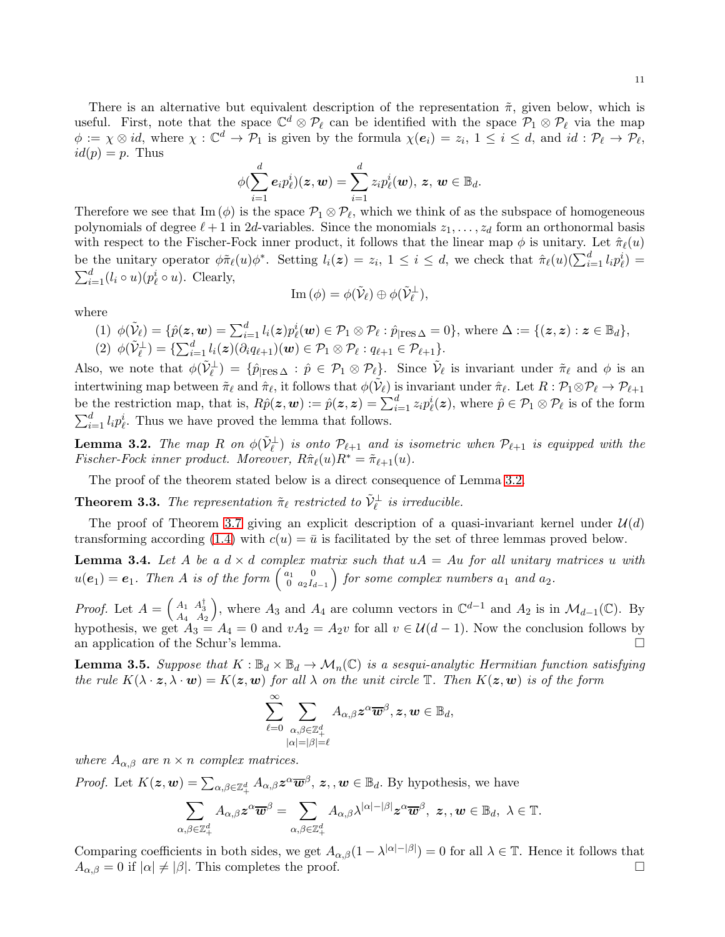There is an alternative but equivalent description of the representation  $\tilde{\pi}$ , given below, which is useful. First, note that the space  $\mathbb{C}^d \otimes \mathcal{P}_\ell$  can be identified with the space  $\mathcal{P}_1 \otimes \mathcal{P}_\ell$  via the map  $\phi := \chi \otimes id$ , where  $\chi : \mathbb{C}^d \to \mathcal{P}_1$  is given by the formula  $\chi(e_i) = z_i$ ,  $1 \leq i \leq d$ , and  $id : \mathcal{P}_\ell \to \mathcal{P}_\ell$ ,  $id(p) = p$ . Thus

$$
\phi(\sum_{i=1}^d \boldsymbol e_i p^i_\ell)(\boldsymbol z, \boldsymbol w) = \sum_{i=1}^d z_i p^i_\ell(\boldsymbol w),\, \boldsymbol z,\, \boldsymbol w \in \mathbb B_d.
$$

Therefore we see that  $\text{Im}(\phi)$  is the space  $\mathcal{P}_1 \otimes \mathcal{P}_\ell$ , which we think of as the subspace of homogeneous polynomials of degree  $\ell + 1$  in 2d-variables. Since the monomials  $z_1, \ldots, z_d$  form an orthonormal basis with respect to the Fischer-Fock inner product, it follows that the linear map  $\phi$  is unitary. Let  $\hat{\pi}_{\ell}(u)$ be the unitary operator  $\phi \tilde{\pi}_{\ell}(u) \phi^*$ . Setting  $l_i(z) = z_i, 1 \leq i \leq d$ , we check that  $\hat{\pi}_{\ell}(u) \left( \sum_{i=1}^d l_i p_{\ell}^i \right) =$  $\sum_{i=1}^{d} (l_i \circ u)(p_{\ell}^i \circ u)$ . Clearly,

$$
\text{Im}(\phi) = \phi(\tilde{\mathcal{V}}_{\ell}) \oplus \phi(\tilde{\mathcal{V}}_{\ell}^{\perp}),
$$

where

(1)  $\phi(\tilde{\mathcal{V}}_{\ell}) = \{ \hat{p}(\mathbf{z}, \mathbf{w}) = \sum_{i=1}^{d} l_i(\mathbf{z}) p_{\ell}^i(\mathbf{w}) \in \mathcal{P}_1 \otimes \mathcal{P}_{\ell} : \hat{p}_{|\text{res}\,\Delta} = 0 \}, \text{ where } \Delta := \{(\mathbf{z}, \mathbf{z}) : \mathbf{z} \in \mathbb{B}_d \},$ (2)  $\phi(\tilde{\mathcal{V}}_{\ell}^{\perp}) = {\sum_{i=1}^d l_i(\boldsymbol{z}) (\partial_i q_{\ell+1})(\boldsymbol{w}) \in \mathcal{P}_1 \otimes \mathcal{P}_{\ell} : q_{\ell+1} \in \mathcal{P}_{\ell+1}}.$ 

Also, we note that  $\phi(\tilde{\mathcal{V}}_{\ell}^{\perp}) = \{\hat{p}_{|\text{res}\,\Delta} : \hat{p} \in \mathcal{P}_1 \otimes \mathcal{P}_{\ell}\}\$ . Since  $\tilde{\mathcal{V}}_{\ell}$  is invariant under  $\tilde{\pi}_{\ell}$  and  $\phi$  is an intertwining map between  $\tilde{\pi}_{\ell}$  and  $\hat{\pi}_{\ell}$ , it follows that  $\phi(\tilde{\mathcal{V}}_{\ell})$  is invariant under  $\hat{\pi}_{\ell}$ . Let  $R: \mathcal{P}_1 \otimes \mathcal{P}_{\ell} \to \mathcal{P}_{\ell+1}$ be the restriction map, that is,  $R\hat{p}(\mathbf{z}, \mathbf{w}) := \hat{p}(\mathbf{z}, \mathbf{z}) = \sum_{i=1}^{d} z_i p_{\ell}^{i}(\mathbf{z})$ , where  $\hat{p} \in \mathcal{P}_1 \otimes \mathcal{P}_\ell$  is of the form  $\sum_{i=1}^{d} l_i p_{\ell}^{i}$ . Thus we have proved the lemma that follows.

<span id="page-10-1"></span>**Lemma 3.2.** The map R on  $\phi(\tilde{V}_{\ell}^{\perp})$  is onto  $\mathcal{P}_{\ell+1}$  and is isometric when  $\mathcal{P}_{\ell+1}$  is equipped with the *Fischer-Fock inner product. Moreover,*  $R\hat{\pi}_{\ell}(u)R^* = \tilde{\pi}_{\ell+1}(u)$ .

The proof of the theorem stated below is a direct consequence of Lemma [3.2.](#page-10-1)

<span id="page-10-0"></span>**Theorem 3.3.** The representation  $\tilde{\pi}_{\ell}$  restricted to  $\tilde{\mathcal{V}}_{\ell}^{\perp}$  is irreducible.

The proof of Theorem [3.7](#page-11-0) giving an explicit description of a quasi-invariant kernel under  $\mathcal{U}(d)$ transforming according [\(1.4\)](#page-2-0) with  $c(u) = \bar{u}$  is facilitated by the set of three lemmas proved below.

<span id="page-10-2"></span>**Lemma 3.4.** Let A be a  $d \times d$  complex matrix such that  $uA = Au$  for all unitary matrices u with  $u(e_1) = e_1$ . Then A is of the form  $\begin{pmatrix} a_1 & 0 \\ 0 & a_2 I_c \end{pmatrix}$  $\left(\begin{smallmatrix} a_1 & 0 \\ 0 & a_2I_{d-1} \end{smallmatrix}\right)$  for some complex numbers  $a_1$  and  $a_2$ .

*Proof.* Let  $A = \begin{pmatrix} A_1 & A_3^{\dagger} \\ A_4 & A_2 \end{pmatrix}$ ), where  $A_3$  and  $A_4$  are column vectors in  $\mathbb{C}^{d-1}$  and  $A_2$  is in  $\mathcal{M}_{d-1}(\mathbb{C})$ . By hypothesis, we get  $A_3 = A_4 = 0$  and  $vA_2 = A_2v$  for all  $v \in \mathcal{U}(d-1)$ . Now the conclusion follows by an application of the Schur's lemma.

<span id="page-10-3"></span>**Lemma 3.5.** Suppose that  $K : \mathbb{B}_d \times \mathbb{B}_d \to \mathcal{M}_n(\mathbb{C})$  is a sesqui-analytic Hermitian function satisfying *the rule*  $K(\lambda \cdot z, \lambda \cdot w) = K(z, w)$  *for all*  $\lambda$  *on the unit circle*  $\mathbb{T}$ *. Then*  $K(z, w)$  *is of the form* 

$$
\sum_{\ell=0}^{\infty}\sum_{\substack{\alpha,\beta\in\mathbb{Z}_+^d\\|\alpha|=|\beta|=\ell}}A_{\alpha,\beta}\boldsymbol{z}^{\alpha}\overline{\boldsymbol{w}}^{\beta},\boldsymbol{z},\boldsymbol{w}\in\mathbb{B}_d,
$$

*where*  $A_{\alpha,\beta}$  *are*  $n \times n$  *complex matrices.* 

*Proof.* Let  $K(z, w) = \sum_{\alpha, \beta \in \mathbb{Z}_+^d} A_{\alpha, \beta} z^{\alpha} \overline{w}^{\beta}, z, w \in \mathbb{B}_d$ . By hypothesis, we have

$$
\sum_{\alpha,\beta\in\mathbb{Z}_+^d}A_{\alpha,\beta}\boldsymbol{z}^{\alpha}\overline{\boldsymbol{w}}^{\beta}=\sum_{\alpha,\beta\in\mathbb{Z}_+^d}A_{\alpha,\beta}\lambda^{|\alpha|-|\beta|}\boldsymbol{z}^{\alpha}\overline{\boldsymbol{w}}^{\beta},\ \boldsymbol{z},\,,\boldsymbol{w}\in\mathbb{B}_d,\ \lambda\in\mathbb{T}.
$$

Comparing coefficients in both sides, we get  $A_{\alpha,\beta}(1-\lambda^{|\alpha|-|\beta|})=0$  for all  $\lambda \in \mathbb{T}$ . Hence it follows that  $A_{\alpha,\beta} = 0$  if  $|\alpha| \neq |\beta|$ . This completes the proof.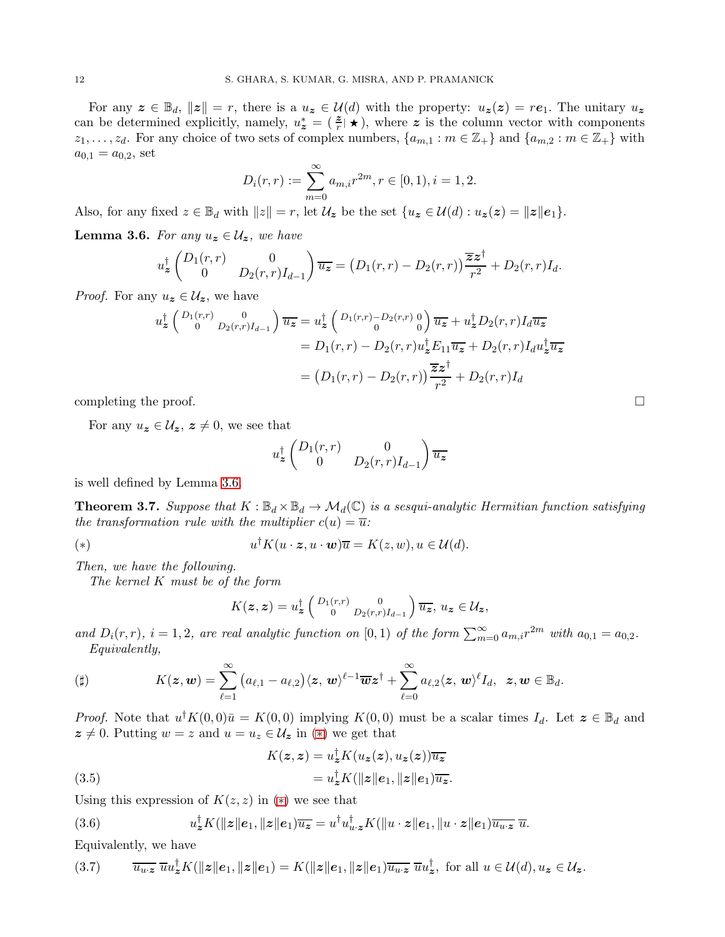For any  $z \in \mathbb{B}_d$ ,  $||z|| = r$ , there is a  $u_z \in \mathcal{U}(d)$  with the property:  $u_z(z) = re_1$ . The unitary  $u_z$ can be determined explicitly, namely,  $u_z^* = (\frac{z}{r} | \star)$ , where z is the column vector with components  $z_1, \ldots, z_d$ . For any choice of two sets of complex numbers,  $\{a_{m,1} : m \in \mathbb{Z}_+\}$  and  $\{a_{m,2} : m \in \mathbb{Z}_+\}$  with  $a_{0,1} = a_{0,2}$ , set

$$
D_i(r,r) := \sum_{m=0}^{\infty} a_{m,i} r^{2m}, r \in [0,1), i = 1,2.
$$

Also, for any fixed  $z \in \mathbb{B}_d$  with  $||z|| = r$ , let  $\mathcal{U}_z$  be the set  $\{u_z \in \mathcal{U}(d) : u_z(z) = ||z||e_1\}.$ 

<span id="page-11-1"></span>**Lemma 3.6.** *For any*  $u_z \in \mathcal{U}_z$ *, we have* 

$$
u_{\boldsymbol{z}}^{\dagger} \begin{pmatrix} D_1(r,r) & 0 \\ 0 & D_2(r,r)I_{d-1} \end{pmatrix} \overline{u_{\boldsymbol{z}}} = (D_1(r,r) - D_2(r,r)) \frac{\overline{\boldsymbol{z}} \boldsymbol{z}^{\dagger}}{r^2} + D_2(r,r)I_d.
$$

*Proof.* For any  $u_z \in \mathcal{U}_z$ , we have

$$
u_z^{\dagger} \begin{pmatrix} D_1(r,r) & 0 \\ 0 & D_2(r,r)I_{d-1} \end{pmatrix} \overline{u_z} = u_z^{\dagger} \begin{pmatrix} D_1(r,r) - D_2(r,r) & 0 \\ 0 & 0 \end{pmatrix} \overline{u_z} + u_z^{\dagger} D_2(r,r) I_d \overline{u_z}
$$
  
= 
$$
D_1(r,r) - D_2(r,r) u_z^{\dagger} E_{11} \overline{u_z} + D_2(r,r) I_d u_z^{\dagger} \overline{u_z}
$$
  
= 
$$
(D_1(r,r) - D_2(r,r)) \frac{\overline{z}z^{\dagger}}{r^2} + D_2(r,r) I_d
$$

completing the proof.  $\Box$ 

For any  $u_z \in \mathcal{U}_z$ ,  $z \neq 0$ , we see that

$$
u_z^{\dagger} \begin{pmatrix} D_1(r,r) & 0\\ 0 & D_2(r,r)I_{d-1} \end{pmatrix} \overline{u_z}
$$

is well defined by Lemma [3.6.](#page-11-1)

<span id="page-11-0"></span>**Theorem 3.7.** Suppose that  $K : \mathbb{B}_d \times \mathbb{B}_d \to \mathcal{M}_d(\mathbb{C})$  is a sesqui-analytic Hermitian function satisfying *the transformation rule with the multiplier*  $c(u) = \overline{u}$ .

<span id="page-11-2"></span>(\*) 
$$
u^{\dagger} K(u \cdot z, u \cdot w) \overline{u} = K(z, w), u \in \mathcal{U}(d).
$$

*Then, we have the following.*

*The kernel* K *must be of the form*

$$
K(\boldsymbol{z},\boldsymbol{z})=u_{\boldsymbol{z}}^{\dagger}\left(\begin{smallmatrix}D_{1}(r,r)&0\\0&D_{2}(r,r)I_{d-1}\end{smallmatrix}\right)\overline{u_{\boldsymbol{z}}},\,u_{\boldsymbol{z}}\in\mathcal{U}_{\boldsymbol{z}},
$$

and  $D_i(r,r)$ ,  $i = 1, 2$ , are real analytic function on [0, 1) of the form  $\sum_{m=0}^{\infty} a_{m,i} r^{2m}$  with  $a_{0,1} = a_{0,2}$ . *Equivalently,*

<span id="page-11-5"></span>
$$
(\sharp) \qquad \qquad K(\boldsymbol z, \boldsymbol w) = \sum_{\ell=1}^\infty \big(a_{\ell,1} - a_{\ell,2}\big) \langle \boldsymbol z, \boldsymbol w \rangle^{\ell-1} \overline{\boldsymbol w} \boldsymbol z^\dagger + \sum_{\ell=0}^\infty a_{\ell,2} \langle \boldsymbol z, \boldsymbol w \rangle^\ell I_d, \ \ \boldsymbol z, \boldsymbol w \in \mathbb B_d.
$$

*Proof.* Note that  $u^{\dagger} K(0,0) \bar{u} = K(0,0)$  implying  $K(0,0)$  must be a scalar times  $I_d$ . Let  $\mathbf{z} \in \mathbb{B}_d$  and  $z \neq 0$ . Putting  $w = z$  and  $u = u_z \in \mathcal{U}_z$  in  $(*)$  we get that

<span id="page-11-4"></span>(3.5) 
$$
K(z, z) = u_z^{\dagger} K(u_z(z), u_z(z)) \overline{u_z}
$$

$$
= u_z^{\dagger} K(||z||e_1, ||z||e_1) \overline{u_z}.
$$

Using this expression of  $K(z, z)$  in  $(*)$  we see that

(3.6) 
$$
u_z^{\dagger} K(||z||e_1, ||z||e_1) \overline{u_z} = u^{\dagger} u_{u \cdot z}^{\dagger} K(||u \cdot z||e_1, ||u \cdot z||e_1) \overline{u_{u \cdot z}} \overline{u}.
$$

Equivalently, we have

<span id="page-11-3"></span>
$$
(3.7) \t\t \overline{u_{u\cdot z}} \ \overline{u}u_z^{\dagger} K(\Vert z \Vert e_1, \Vert z \Vert e_1) = K(\Vert z \Vert e_1, \Vert z \Vert e_1) \overline{u_{u\cdot z}} \ \overline{u}u_z^{\dagger}, \text{ for all } u \in \mathcal{U}(d), u_z \in \mathcal{U}_z.
$$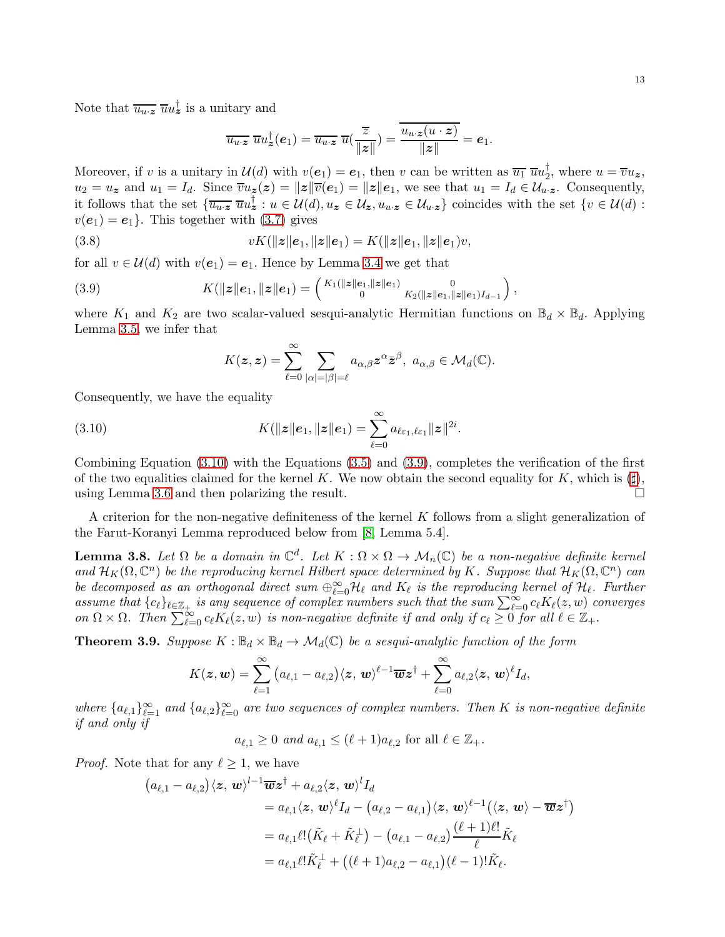Note that  $\overline{u_{u\cdot z}} \ \overline{u} u_z^{\dagger}$  is a unitary and

$$
\overline{u_{u\cdot z}}\,\,\overline{u}u_z^{\dagger}(e_1)=\overline{u_{u\cdot z}}\,\,\overline{u}(\frac{\overline{z}}{\|z\|})=\overline{\frac{u_{u\cdot z}(u\cdot z)}{\|z\|}}=e_1.
$$

Moreover, if v is a unitary in  $\mathcal{U}(d)$  with  $v(e_1) = e_1$ , then v can be written as  $\overline{u_1} \ \overline{u} \overline{u_2}$ , where  $u = \overline{v} u_z$ ,  $u_2 = u_z$  and  $u_1 = I_d$ . Since  $\overline{v}u_z(z) = ||z|| \overline{v}(e_1) = ||z|| e_1$ , we see that  $u_1 = I_d \in \mathcal{U}_{u,z}$ . Consequently, it follows that the set  $\{\overline{u_{u\cdot z}} \ \overline{u}u_z^{\dagger} : u \in \mathcal{U}(d), u_z \in \mathcal{U}_z, u_{u\cdot z} \in \mathcal{U}_{u\cdot z}\}$  coincides with the set  $\{v \in \mathcal{U}(d) : u_z \in \mathcal{U}_z\}$  $v(e_1) = e_1$ . This together with [\(3.7\)](#page-11-3) gives

(3.8) 
$$
vK(\|z\|e_1, \|z\|e_1) = K(\|z\|e_1, \|z\|e_1)v,
$$

for all  $v \in \mathcal{U}(d)$  with  $v(e_1) = e_1$ . Hence by Lemma [3.4](#page-10-2) we get that

(3.9) 
$$
K(\|z\|e_1, \|z\|e_1) = \begin{pmatrix} K_1(\|z\|e_1, \|z\|e_1) & 0 \\ 0 & K_2(\|z\|e_1, \|z\|e_1)I_{d-1} \end{pmatrix},
$$

where  $K_1$  and  $K_2$  are two scalar-valued sesqui-analytic Hermitian functions on  $\mathbb{B}_d \times \mathbb{B}_d$ . Applying Lemma [3.5,](#page-10-3) we infer that

<span id="page-12-1"></span><span id="page-12-0"></span>
$$
K(\boldsymbol{z},\boldsymbol{z})=\sum_{\ell=0}^{\infty}\sum_{|\alpha|=|\beta|=\ell}a_{\alpha,\beta}\boldsymbol{z}^{\alpha}\bar{\boldsymbol{z}}^{\beta},\,\,a_{\alpha,\beta}\in\mathcal{M}_d(\mathbb{C}).
$$

Consequently, we have the equality

(3.10) 
$$
K(\|z\|e_1, \|z\|e_1) = \sum_{\ell=0}^{\infty} a_{\ell \varepsilon_1, \ell \varepsilon_1} \|z\|^{2i}.
$$

Combining Equation [\(3.10\)](#page-12-0) with the Equations [\(3.5\)](#page-11-4) and [\(3.9\)](#page-12-1), completes the verification of the first of the two equalities claimed for the kernel K. We now obtain the second equality for K, which is  $(\sharp)$ , using Lemma [3.6](#page-11-1) and then polarizing the result.

A criterion for the non-negative definiteness of the kernel K follows from a slight generalization of the Farut-Koranyi Lemma reproduced below from [\[8,](#page-26-12) Lemma 5.4].

<span id="page-12-2"></span>**Lemma 3.8.** Let  $\Omega$  be a domain in  $\mathbb{C}^d$ . Let  $K : \Omega \times \Omega \to \mathcal{M}_n(\mathbb{C})$  be a non-negative definite kernel and  $\mathcal{H}_K(\Omega,\mathbb{C}^n)$  *be the reproducing kernel Hilbert space determined by* K. Suppose that  $\mathcal{H}_K(\Omega,\mathbb{C}^n)$  *can be decomposed as an orthogonal direct sum*  $\bigoplus_{\ell=0}^{\infty} \mathcal{H}_{\ell}$  and  $K_{\ell}$  is the reproducing kernel of  $\mathcal{H}_{\ell}$ . Further *assume that*  ${c_\ell}_{\ell \in \mathbb{Z}_+}$  *is any sequence of complex numbers such that the sum*  $\sum_{\ell=0}^{\infty} c_\ell K_\ell(z,w)$  *converges on*  $\Omega \times \Omega$ . Then  $\sum_{\ell=0}^{\infty} c_{\ell} K_{\ell}(z, w)$  *is non-negative definite if and only if*  $c_{\ell} \geq 0$  *for all*  $\ell \in \mathbb{Z}_{+}$ .

<span id="page-12-3"></span>**Theorem 3.9.** *Suppose*  $K : \mathbb{B}_d \times \mathbb{B}_d \to \mathcal{M}_d(\mathbb{C})$  *be a sesqui-analytic function of the form* 

$$
K(\boldsymbol{z},\boldsymbol{w})=\sum_{\ell=1}^{\infty}\big(a_{\ell,1}-a_{\ell,2}\big)\langle \boldsymbol{z},\,\boldsymbol{w}\rangle^{\ell-1}\overline{\boldsymbol{w}}\boldsymbol{z}^{\dagger}+\sum_{\ell=0}^{\infty}a_{\ell,2}\langle \boldsymbol{z},\,\boldsymbol{w}\rangle^{\ell}I_d,
$$

where  $\{a_{\ell,1}\}_{\ell=1}^{\infty}$  and  $\{a_{\ell,2}\}_{\ell=0}^{\infty}$  are two sequences of complex numbers. Then K is non-negative definite *if and only if*

 $a_{\ell,1} \geq 0$  *and*  $a_{\ell,1} \leq (\ell+1)a_{\ell,2}$  for all  $\ell \in \mathbb{Z}_+$ .

*Proof.* Note that for any  $\ell \geq 1$ , we have

$$
(a_{\ell,1} - a_{\ell,2})\langle \mathbf{z}, \mathbf{w} \rangle^{l-1} \overline{\mathbf{w}} \mathbf{z}^{\dagger} + a_{\ell,2} \langle \mathbf{z}, \mathbf{w} \rangle^{l} I_{d}
$$
  
\n
$$
= a_{\ell,1} \langle \mathbf{z}, \mathbf{w} \rangle^{\ell} I_{d} - (a_{\ell,2} - a_{\ell,1}) \langle \mathbf{z}, \mathbf{w} \rangle^{\ell-1} (\langle \mathbf{z}, \mathbf{w} \rangle - \overline{\mathbf{w}} \mathbf{z}^{\dagger})
$$
  
\n
$$
= a_{\ell,1} \ell! (\tilde{K}_{\ell} + \tilde{K}_{\ell}^{\perp}) - (a_{\ell,1} - a_{\ell,2}) \frac{(\ell+1)\ell!}{\ell} \tilde{K}_{\ell}
$$
  
\n
$$
= a_{\ell,1} \ell! \tilde{K}_{\ell}^{\perp} + ((\ell+1)a_{\ell,2} - a_{\ell,1}) (\ell-1)! \tilde{K}_{\ell}.
$$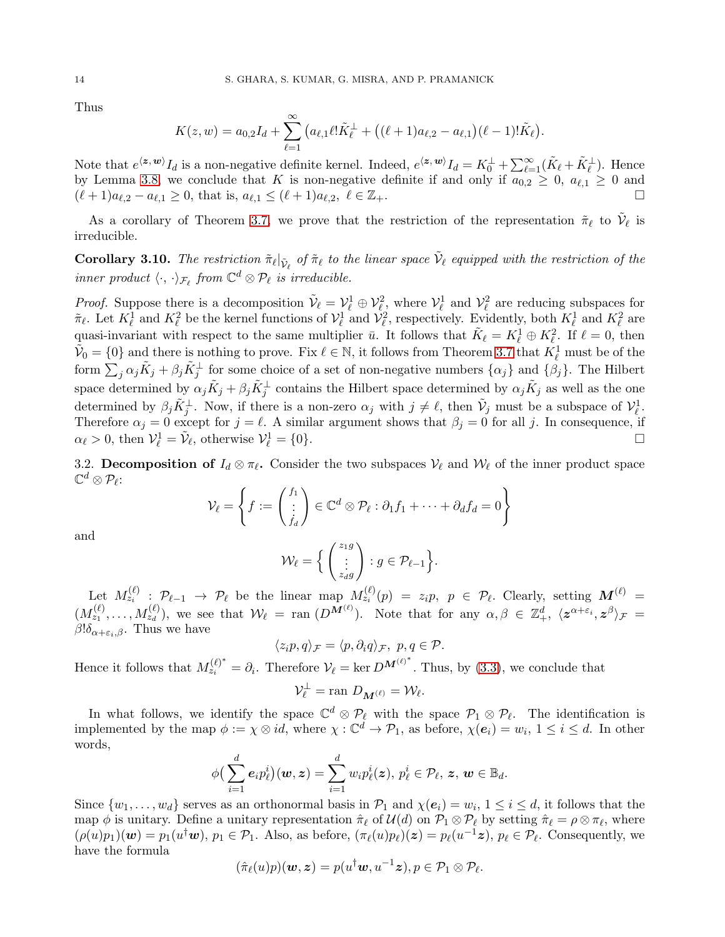Thus

$$
K(z, w) = a_{0,2}I_d + \sum_{\ell=1}^{\infty} \left( a_{\ell,1} \ell! \tilde{K}_{\ell}^{\perp} + \left( (\ell+1) a_{\ell,2} - a_{\ell,1} \right) (\ell-1)! \tilde{K}_{\ell} \right).
$$

Note that  $e^{\langle \mathbf{z}, \mathbf{w} \rangle} I_d$  is a non-negative definite kernel. Indeed,  $e^{\langle \mathbf{z}, \mathbf{w} \rangle} I_d = K_0^{\perp} + \sum_{\ell=1}^{\infty} (\tilde{K}_{\ell} + \tilde{K}_{\ell}^{\perp})$ . Hence by Lemma [3.8,](#page-12-2) we conclude that K is non-negative definite if and only if  $a_{0,2} \geq 0$ ,  $a_{\ell,1} \geq 0$  and  $(\ell+1)a_{\ell,2} - a_{\ell,1} \geq 0$ , that is,  $a_{\ell,1} \leq (\ell+1)a_{\ell,2}, \ell \in \mathbb{Z}_+$ .

As a corollary of Theorem [3.7,](#page-11-0) we prove that the restriction of the representation  $\tilde{\pi}_{\ell}$  to  $\tilde{\mathcal{V}}_{\ell}$  is irreducible.

<span id="page-13-0"></span>**Corollary 3.10.** The restriction  $\tilde{\pi}_{\ell} |_{\tilde{\mathcal{V}}_{\ell}}$  of  $\tilde{\pi}_{\ell}$  to the linear space  $\tilde{\mathcal{V}}_{\ell}$  equipped with the restriction of the  $\lim_{\epsilon \to \infty} \text{ product } \langle \cdot, \cdot \rangle_{\mathcal{F}_{\ell}} \text{ from } \mathbb{C}^d \otimes \mathcal{P}_{\ell} \text{ is irreducible.}$ 

*Proof.* Suppose there is a decomposition  $\tilde{\mathcal{V}}_{\ell} = \mathcal{V}_{\ell}^1 \oplus \mathcal{V}_{\ell}^2$ , where  $\mathcal{V}_{\ell}^1$  and  $\mathcal{V}_{\ell}^2$  are reducing subspaces for  $\tilde{\pi}_{\ell}$ . Let  $K_{\ell}^1$  and  $K_{\ell}^2$  be the kernel functions of  $\mathcal{V}_{\ell}^1$  and  $\mathcal{V}_{\ell}^2$ , respectively. Evidently, both  $K_{\ell}^1$  and  $K_{\ell}^2$  are quasi-invariant with respect to the same multiplier  $\bar{u}$ . It follows that  $\tilde{K}_{\ell} = K_{\ell}^1 \oplus K_{\ell}^2$ . If  $\ell = 0$ , then  $\tilde{\mathcal{V}}_0 = \{0\}$  and there is nothing to prove. Fix  $\ell \in \mathbb{N}$ , it follows from Theorem [3.7](#page-11-0) that  $K^1_{\ell}$  must be of the form  $\sum_j \alpha_j \tilde{K}_j + \beta_j \tilde{K}_j^{\perp}$  for some choice of a set of non-negative numbers  $\{\alpha_j\}$  and  $\{\beta_j\}$ . The Hilbert space determined by  $\alpha_j \tilde{K}_j + \beta_j \tilde{K}_j^{\perp}$  contains the Hilbert space determined by  $\alpha_j \tilde{K}_j$  as well as the one determined by  $\beta_j \tilde{K}_j^{\perp}$ . Now, if there is a non-zero  $\alpha_j$  with  $j \neq \ell$ , then  $\tilde{\mathcal{V}}_j$  must be a subspace of  $\mathcal{V}_{\ell}^1$ . Therefore  $\alpha_j = 0$  except for  $j = \ell$ . A similar argument shows that  $\beta_j = 0$  for all j. In consequence, if  $\alpha_{\ell} > 0$ , then  $\mathcal{V}_{\ell}^1 = \tilde{\mathcal{V}}_{\ell}$ , otherwise  $\mathcal{V}_{\ell}^1$  $\mathcal{L}^{1}_{\ell} = \{0\}.$ 

3.2. Decomposition of  $I_d \otimes \pi_{\ell}$ . Consider the two subspaces  $\mathcal{V}_{\ell}$  and  $\mathcal{W}_{\ell}$  of the inner product space  $\mathbb{C}^d\otimes \mathcal{P}_\ell$  :

$$
\mathcal{V}_{\ell} = \left\{ f := \begin{pmatrix} f_1 \\ \vdots \\ f_d \end{pmatrix} \in \mathbb{C}^d \otimes \mathcal{P}_{\ell} : \partial_1 f_1 + \cdots + \partial_d f_d = 0 \right\}
$$

and

$$
\mathcal{W}_{\ell} = \Big\{ \begin{pmatrix} z_{1}g \\ \vdots \\ z_{d}g \end{pmatrix} : g \in \mathcal{P}_{\ell-1} \Big\}.
$$

Let  $M_{z_i}^{(\ell)}$  :  $\mathcal{P}_{\ell-1} \to \mathcal{P}_{\ell}$  be the linear  $\max_{z_i} M_{z_i}^{(\ell)}(p) = z_i p, p \in \mathcal{P}_{\ell}$ . Clearly, setting  $\mathbf{M}^{(\ell)}$  =  $(M_{z_1}^{(\ell)},\ldots,M_{z_d}^{(\ell)}),$  we see that  $\mathcal{W}_{\ell} = \text{ran}(D^{\mathbf{M}^{(\ell)}}).$  Note that for any  $\alpha,\beta \in \mathbb{Z}_+^d$ ,  $\langle \mathbf{z}^{\alpha+\varepsilon_i}, \mathbf{z}^{\beta} \rangle_{\mathcal{F}} =$  $\beta$ ! $\delta_{\alpha+\varepsilon_i,\beta}$ . Thus we have

$$
\langle z_i p, q \rangle_{\mathcal{F}} = \langle p, \partial_i q \rangle_{\mathcal{F}}, \ p, q \in \mathcal{P}.
$$

Hence it follows that  $M_{z_i}^{(\ell)^*} = \partial_i$ . Therefore  $V_\ell = \ker D^{\mathbf{M}^{(\ell)^*}}$ . Thus, by [\(3.3\)](#page-8-1), we conclude that

$$
\mathcal{V}_\ell^\perp = \text{ran } D_{\mathbf{M}^{(\ell)}} = \mathcal{W}_\ell.
$$

In what follows, we identify the space  $\mathbb{C}^d \otimes \mathcal{P}_\ell$  with the space  $\mathcal{P}_1 \otimes \mathcal{P}_\ell$ . The identification is implemented by the map  $\phi := \chi \otimes id$ , where  $\chi : \mathbb{C}^d \to \mathcal{P}_1$ , as before,  $\chi(e_i) = w_i$ ,  $1 \leq i \leq d$ . In other words,

$$
\phi\big(\sum_{i=1}^d \boldsymbol e_i p^i_{\ell}\big)(\boldsymbol w, \boldsymbol z) = \sum_{i=1}^d w_i p^i_{\ell}(\boldsymbol z),\, p^i_{\ell} \in \mathcal P_{\ell},\, \boldsymbol z,\, \boldsymbol w \in \mathbb B_d.
$$

Since  $\{w_1, \ldots, w_d\}$  serves as an orthonormal basis in  $\mathcal{P}_1$  and  $\chi(e_i) = w_i, 1 \le i \le d$ , it follows that the map  $\phi$  is unitary. Define a unitary representation  $\hat{\pi}_{\ell}$  of  $\mathcal{U}(d)$  on  $\mathcal{P}_1 \otimes \mathcal{P}_{\ell}$  by setting  $\hat{\pi}_{\ell} = \rho \otimes \pi_{\ell}$ , where  $(\rho(u)p_1)(\mathbf{w}) = p_1(u^{\dagger}\mathbf{w}), p_1 \in \mathcal{P}_1$ . Also, as before,  $(\pi_{\ell}(u)p_{\ell})(\mathbf{z}) = p_{\ell}(u^{-1}\mathbf{z}), p_{\ell} \in \mathcal{P}_{\ell}$ . Consequently, we have the formula

$$
(\hat{\pi}_{\ell}(u)p)(\boldsymbol{w},\boldsymbol{z})=p(u^{\dagger}\boldsymbol{w},u^{-1}\boldsymbol{z}),p\in\mathcal{P}_{1}\otimes\mathcal{P}_{\ell}.
$$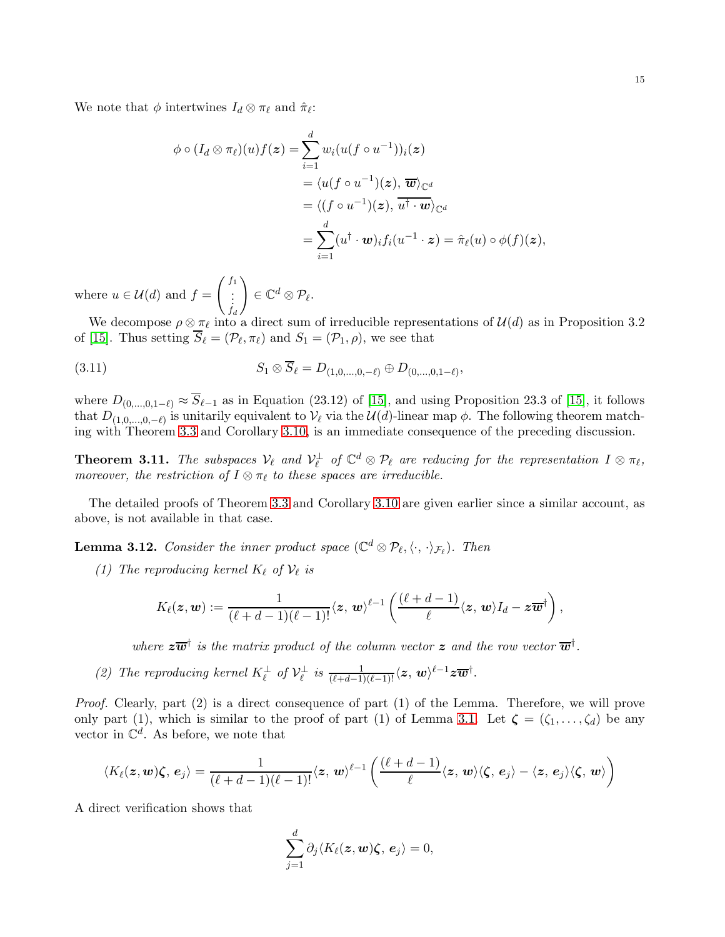We note that  $\phi$  intertwines  $I_d \otimes \pi_\ell$  and  $\hat{\pi}_\ell$ :

$$
\phi \circ (I_d \otimes \pi_{\ell})(u) f(\boldsymbol{z}) = \sum_{i=1}^d w_i (u(f \circ u^{-1}))_i(\boldsymbol{z})
$$
  

$$
= \langle u(f \circ u^{-1})(\boldsymbol{z}), \overline{\boldsymbol{w}} \rangle_{\mathbb{C}^d}
$$
  

$$
= \langle (f \circ u^{-1})(\boldsymbol{z}), \overline{u^{\dagger} \cdot \boldsymbol{w}} \rangle_{\mathbb{C}^d}
$$
  

$$
= \sum_{i=1}^d (u^{\dagger} \cdot \boldsymbol{w})_i f_i(u^{-1} \cdot \boldsymbol{z}) = \hat{\pi}_{\ell}(u) \circ \phi(f)(\boldsymbol{z}),
$$

where  $u \in \mathcal{U}(d)$  and  $f =$  $\begin{pmatrix} f_1 \\ \vdots \\ f_d \end{pmatrix}$  $\setminus$  $\in \mathbb{C}^d\otimes \mathcal{P}_{\ell}.$ 

We decompose  $\rho \otimes \pi_{\ell}$  into a direct sum of irreducible representations of  $\mathcal{U}(d)$  as in Proposition 3.2 of [\[15\]](#page-26-13). Thus setting  $S_{\ell} = (\mathcal{P}_{\ell}, \pi_{\ell})$  and  $S_1 = (\mathcal{P}_1, \rho)$ , we see that

$$
(3.11) \t S_1 \otimes S_\ell = D_{(1,0,\ldots,0,-\ell)} \oplus D_{(0,\ldots,0,1-\ell)},
$$

where  $D_{(0,\dots,0,1-\ell)} \approx S_{\ell-1}$  as in Equation (23.12) of [\[15\]](#page-26-13), and using Proposition 23.3 of [\[15\]](#page-26-13), it follows that  $D_{(1,0,...,0,-\ell)}$  is unitarily equivalent to  $\mathcal{V}_{\ell}$  via the  $\mathcal{U}(d)$ -linear map  $\phi$ . The following theorem matching with Theorem [3.3](#page-10-0) and Corollary [3.10,](#page-13-0) is an immediate consequence of the preceding discussion.

**Theorem 3.11.** The subspaces  $V_{\ell}$  and  $V_{\ell}^{\perp}$  of  $\mathbb{C}^{d} \otimes \mathcal{P}_{\ell}$  are reducing for the representation  $I \otimes \pi_{\ell}$ , *moreover, the restriction of*  $I \otimes \pi_{\ell}$  *to these spaces are irreducible.* 

The detailed proofs of Theorem [3.3](#page-10-0) and Corollary [3.10](#page-13-0) are given earlier since a similar account, as above, is not available in that case.

**Lemma 3.12.** Consider the inner product space  $(\mathbb{C}^d \otimes \mathcal{P}_{\ell}, \langle \cdot, \cdot \rangle_{\mathcal{F}_{\ell}})$ . Then

*(1)* The reproducing kernel  $K_{\ell}$  of  $\mathcal{V}_{\ell}$  is

$$
K_{\ell}(z,w):=\frac{1}{(\ell+d-1)(\ell-1)!}\langle z, w\rangle^{\ell-1}\left(\frac{(\ell+d-1)}{\ell}\langle z, w\rangle I_d-z\overline{w}^{\dagger}\right),\,
$$

where  $z\overline{w}^{\dagger}$  is the matrix product of the column vector z and the row vector  $\overline{w}^{\dagger}$ .

(2) The reproducing kernel  $K_{\ell}^{\perp}$  of  $\mathcal{V}_{\ell}^{\perp}$  is  $\frac{1}{(\ell+d-1)(\ell-1)!}\langle z, w \rangle^{\ell-1}z\overline{w}^{\dagger}$ .

*Proof.* Clearly, part (2) is a direct consequence of part (1) of the Lemma. Therefore, we will prove only part (1), which is similar to the proof of part (1) of Lemma [3.1.](#page-8-2) Let  $\zeta = (\zeta_1, \ldots, \zeta_d)$  be any vector in  $\mathbb{C}^d$ . As before, we note that

$$
\langle K_{\ell}(z,w)\zeta,e_j\rangle=\frac{1}{(\ell+d-1)(\ell-1)!}\langle z,w\rangle^{\ell-1}\left(\frac{(\ell+d-1)}{\ell}\langle z,w\rangle\langle\zeta,e_j\rangle-\langle z,e_j\rangle\langle\zeta,w\rangle\right)
$$

A direct verification shows that

$$
\sum_{j=1}^d \partial_j \langle K_\ell(\boldsymbol z, \boldsymbol w) \boldsymbol \zeta, \, \boldsymbol e_j \rangle = 0,
$$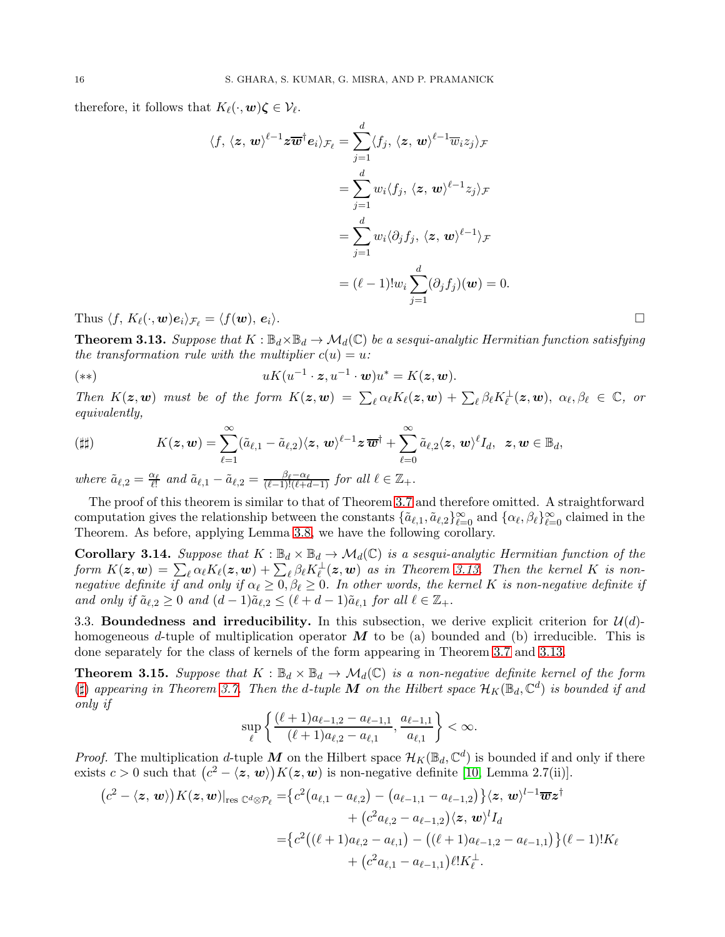therefore, it follows that  $K_{\ell}(\cdot, \mathbf{w})\zeta \in \mathcal{V}_{\ell}$ .

$$
\langle f, \langle z, \mathbf{w} \rangle^{\ell-1} z \overline{\mathbf{w}}^{\dagger} \mathbf{e}_i \rangle_{\mathcal{F}_{\ell}} = \sum_{j=1}^d \langle f_j, \langle z, \mathbf{w} \rangle^{\ell-1} \overline{w}_i z_j \rangle_{\mathcal{F}}
$$
  

$$
= \sum_{j=1}^d w_i \langle f_j, \langle z, \mathbf{w} \rangle^{\ell-1} z_j \rangle_{\mathcal{F}}
$$
  

$$
= \sum_{j=1}^d w_i \langle \partial_j f_j, \langle z, \mathbf{w} \rangle^{\ell-1} \rangle_{\mathcal{F}}
$$
  

$$
= (\ell - 1)! w_i \sum_{j=1}^d (\partial_j f_j)(\mathbf{w}) = 0.
$$

Thus  $\langle f, K_\ell(\cdot, \mathbf{w})e_i \rangle_{\mathcal{F}_{\ell}} = \langle f(\mathbf{w}), e_i \rangle$ .

<span id="page-15-0"></span>**Theorem 3.13.** Suppose that  $K : \mathbb{B}_d \times \mathbb{B}_d \to \mathcal{M}_d(\mathbb{C})$  be a sesqui-analytic Hermitian function satisfying *the transformation rule with the multiplier*  $c(u) = u$ :

$$
uK(u^{-1}\cdot z,u^{-1}\cdot w)u^*=K(z,w).
$$

*Then*  $K(z, w)$  *must be of the form*  $K(z, w) = \sum_{\ell} \alpha_{\ell} K_{\ell}(z, w) + \sum_{\ell} \beta_{\ell} K_{\ell}^{\perp}(z, w), \alpha_{\ell}, \beta_{\ell} \in \mathbb{C}$ , or *equivalently,*

<span id="page-15-1"></span>
$$
\text{(iii)} \qquad \qquad K(\boldsymbol{z},\boldsymbol{w}) = \sum_{\ell=1}^{\infty} (\tilde{a}_{\ell,1} - \tilde{a}_{\ell,2}) \langle \boldsymbol{z}, \boldsymbol{w} \rangle^{\ell-1} \boldsymbol{z} \, \overline{\boldsymbol{w}}^{\dagger} + \sum_{\ell=0}^{\infty} \tilde{a}_{\ell,2} \langle \boldsymbol{z}, \boldsymbol{w} \rangle^{\ell} I_d, \ \ \boldsymbol{z},\boldsymbol{w} \in \mathbb{B}_d,
$$

*where*  $\tilde{a}_{\ell,2} = \frac{\alpha_{\ell}}{\ell!}$  and  $\tilde{a}_{\ell,1} - \tilde{a}_{\ell,2} = \frac{\beta_{\ell} - \alpha_{\ell}}{(\ell-1)!(\ell+d-1)}$  *for all*  $\ell \in \mathbb{Z}_{+}$ .

The proof of this theorem is similar to that of Theorem [3.7](#page-11-0) and therefore omitted. A straightforward computation gives the relationship between the constants  $\{\tilde{a}_{\ell,1}, \tilde{a}_{\ell,2}\}_{\ell=0}^{\infty}$  and  $\{\alpha_{\ell}, \beta_{\ell}\}_{\ell=0}^{\infty}$  claimed in the Theorem. As before, applying Lemma [3.8,](#page-12-2) we have the following corollary.

<span id="page-15-2"></span>**Corollary 3.14.** Suppose that  $K : \mathbb{B}_d \times \mathbb{B}_d \to \mathcal{M}_d(\mathbb{C})$  is a sesqui-analytic Hermitian function of the  ${\it form} \,\, \, K({\bm z},{\bm w}) \, = \, \sum_\ell \alpha_\ell K_\ell({\bm z},{\bm w}) \, + \, \sum_\ell \beta_\ell K_\ell^\perp({\bm z},{\bm w}) \,\, \, as \,\, in \,\, Theorem\,\,3.13. \,\, Then \,\, the \,\,kernel \,\, K \,\, is \,\, non$ *negative definite if and only if*  $\alpha_{\ell} \geq 0$ ,  $\beta_{\ell} \geq 0$ . In other words, the kernel K is non-negative definite if *and only if*  $\tilde{a}_{\ell,2} \geq 0$  *and*  $(d-1)\tilde{a}_{\ell,2} \leq (\ell+d-1)\tilde{a}_{\ell,1}$  *for all*  $\ell \in \mathbb{Z}_+$ .

3.3. Boundedness and irreducibility. In this subsection, we derive explicit criterion for  $\mathcal{U}(d)$ homogeneous d-tuple of multiplication operator  $\vec{M}$  to be (a) bounded and (b) irreducible. This is done separately for the class of kernels of the form appearing in Theorem [3.7](#page-11-0) and [3.13.](#page-15-0)

**Theorem 3.15.** Suppose that  $K : \mathbb{B}_d \times \mathbb{B}_d \to \mathcal{M}_d(\mathbb{C})$  is a non-negative definite kernel of the form ( $\sharp$ ) appearing in Theorem [3.7.](#page-11-0) Then the d-tuple M on the Hilbert space  $\mathcal{H}_K(\mathbb{B}_d,\mathbb{C}^d)$  is bounded if and *only if*

$$
\sup_{\ell} \left\{ \frac{(\ell+1)a_{\ell-1,2} - a_{\ell-1,1}}{(\ell+1)a_{\ell,2} - a_{\ell,1}}, \frac{a_{\ell-1,1}}{a_{\ell,1}} \right\} < \infty.
$$

*Proof.* The multiplication d-tuple M on the Hilbert space  $\mathcal{H}_K(\mathbb{B}_d, \mathbb{C}^d)$  is bounded if and only if there exists  $c > 0$  such that  $(c^2 - \langle z, w \rangle) K(z, w)$  is non-negative definite [\[10,](#page-26-8) Lemma 2.7(ii)].

$$
(c^{2} - \langle \mathbf{z}, \mathbf{w} \rangle) K(\mathbf{z}, \mathbf{w})|_{\text{res } \mathbb{C}^{d} \otimes \mathcal{P}_{\ell}} = \{c^{2}(a_{\ell, 1} - a_{\ell, 2}) - (a_{\ell - 1, 1} - a_{\ell - 1, 2})\} \langle \mathbf{z}, \mathbf{w} \rangle^{l - 1} \overline{\mathbf{w}} \mathbf{z}^{\dagger} + (c^{2} a_{\ell, 2} - a_{\ell - 1, 2}) \langle \mathbf{z}, \mathbf{w} \rangle^{l} I_{d}
$$
  
= \{c^{2}((\ell + 1)a\_{\ell, 2} - a\_{\ell, 1}) - ((\ell + 1)a\_{\ell - 1, 2} - a\_{\ell - 1, 1})\} (\ell - 1)! K\_{\ell} + (c^{2} a\_{\ell, 1} - a\_{\ell - 1, 1}) \ell! K\_{\ell}^{\perp}.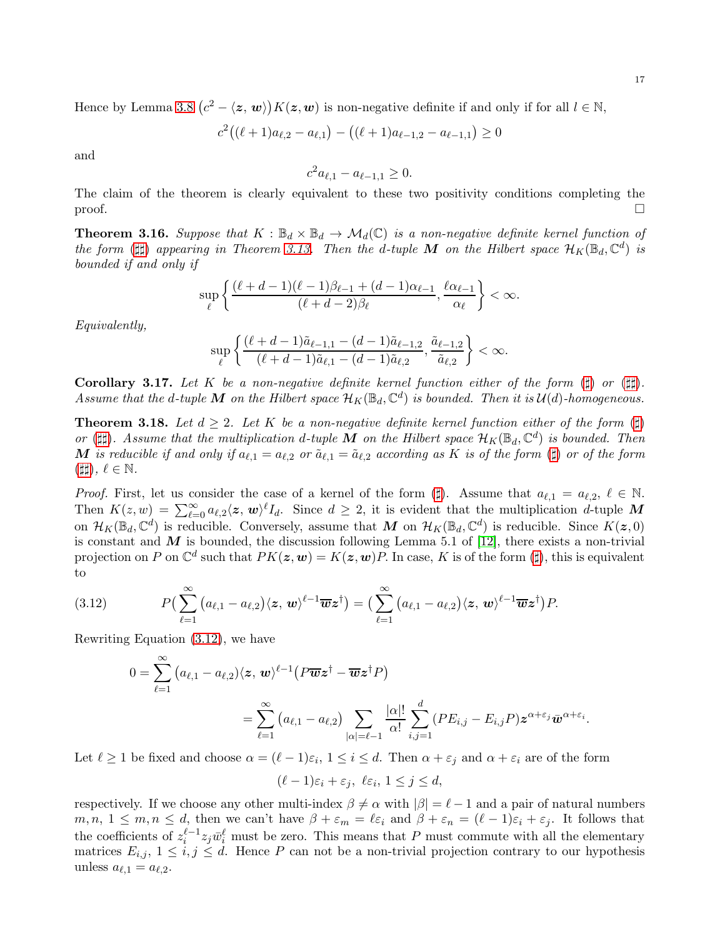Hence by Lemma [3.8](#page-12-2)  $(c^2 - \langle z, w \rangle) K(z, w)$  is non-negative definite if and only if for all  $l \in \mathbb{N}$ ,

$$
c^{2}((\ell+1)a_{\ell,2}-a_{\ell,1}) - ((\ell+1)a_{\ell-1,2}-a_{\ell-1,1}) \geq 0
$$

and

$$
c^2 a_{\ell,1} - a_{\ell-1,1} \ge 0.
$$

The claim of the theorem is clearly equivalent to these two positivity conditions completing the  $\Box$ 

**Theorem 3.16.** Suppose that  $K : \mathbb{B}_d \times \mathbb{B}_d \to \mathcal{M}_d(\mathbb{C})$  is a non-negative definite kernel function of *the form* ( $\sharp$ ) *appearing in Theorem [3.13.](#page-15-0) Then the d-tuple* M *on the Hilbert space*  $\mathcal{H}_K(\mathbb{B}_d, \mathbb{C}^d)$  *is bounded if and only if*

$$
\sup_{\ell} \left\{ \frac{(\ell+d-1)(\ell-1)\beta_{\ell-1}+(d-1)\alpha_{\ell-1}}{(\ell+d-2)\beta_{\ell}}, \frac{\ell \alpha_{\ell-1}}{\alpha_{\ell}} \right\} < \infty.
$$

*Equivalently,*

$$
\sup_{\ell} \left\{ \frac{(\ell+d-1)\tilde{a}_{\ell-1,1} - (d-1)\tilde{a}_{\ell-1,2}}{(\ell+d-1)\tilde{a}_{\ell,1} - (d-1)\tilde{a}_{\ell,2}}, \frac{\tilde{a}_{\ell-1,2}}{\tilde{a}_{\ell,2}} \right\} < \infty.
$$

**Corollary 3.17.** Let K be a non-negative definite kernel function either of the form  $(\sharp)$  or  $(\sharp\sharp)$ . Assume that the d-tuple M on the Hilbert space  $\mathcal{H}_K(\mathbb{B}_d,\mathbb{C}^d)$  is bounded. Then it is  $\mathcal{U}(d)$ -homogeneous.

**Theorem 3.18.** Let  $d \geq 2$ . Let K be a non-negative definite kernel function either of the form  $(\sharp)$ or ( $\sharp$ ). Assume that the multiplication d-tuple M on the Hilbert space  $\mathcal{H}_K(\mathbb{B}_d, \mathbb{C}^d)$  is bounded. Then M is reducible if and only if  $a_{\ell,1} = a_{\ell,2}$  or  $\tilde{a}_{\ell,1} = \tilde{a}_{\ell,2}$  according as K is of the form (‡) or of the form  $(\sharp\sharp),\,\ell\in\mathbb{N}.$ 

*Proof.* First, let us consider the case of a kernel of the form  $(\sharp)$ . Assume that  $a_{\ell,1} = a_{\ell,2}, \ell \in \mathbb{N}$ . Then  $K(z, w) = \sum_{\ell=0}^{\infty} a_{\ell,2} \langle z, w \rangle^{\ell} I_d$ . Since  $d \geq 2$ , it is evident that the multiplication d-tuple M on  $\mathcal{H}_K(\mathbb{B}_d, \mathbb{C}^d)$  is reducible. Conversely, assume that M on  $\mathcal{H}_K(\mathbb{B}_d, \mathbb{C}^d)$  is reducible. Since  $K(z, 0)$ is constant and  $M$  is bounded, the discussion following Lemma 5.1 of [\[12\]](#page-26-14), there exists a non-trivial projection on P on  $\mathbb{C}^d$  such that  $PK(z, w) = K(z, w)P$ . In case, K is of the form (‡), this is equivalent to

(3.12) 
$$
P\left(\sum_{\ell=1}^{\infty} \left(a_{\ell,1} - a_{\ell,2}\right) \langle \mathbf{z}, \mathbf{w} \rangle^{\ell-1} \overline{\mathbf{w}} \mathbf{z}^{\dagger}\right) = \left(\sum_{\ell=1}^{\infty} \left(a_{\ell,1} - a_{\ell,2}\right) \langle \mathbf{z}, \mathbf{w} \rangle^{\ell-1} \overline{\mathbf{w}} \mathbf{z}^{\dagger}\right) P.
$$

Rewriting Equation [\(3.12\)](#page-16-0), we have

<span id="page-16-0"></span>
$$
0 = \sum_{\ell=1}^{\infty} (a_{\ell,1} - a_{\ell,2}) \langle \mathbf{z}, \mathbf{w} \rangle^{\ell-1} (P \overline{\mathbf{w}} \mathbf{z}^{\dagger} - \overline{\mathbf{w}} \mathbf{z}^{\dagger} P)
$$
  
= 
$$
\sum_{\ell=1}^{\infty} (a_{\ell,1} - a_{\ell,2}) \sum_{|\alpha| = \ell-1} \frac{|\alpha|!}{\alpha!} \sum_{i,j=1}^{d} (PE_{i,j} - E_{i,j} P) \mathbf{z}^{\alpha + \varepsilon_j} \overline{\mathbf{w}}^{\alpha + \varepsilon_i}.
$$

Let  $\ell \geq 1$  be fixed and choose  $\alpha = (\ell - 1)\varepsilon_i, 1 \leq i \leq d$ . Then  $\alpha + \varepsilon_j$  and  $\alpha + \varepsilon_i$  are of the form

 $(\ell-1)\varepsilon_i+\varepsilon_j, \ \ell\varepsilon_i, 1\leq j\leq d,$ 

respectively. If we choose any other multi-index  $\beta \neq \alpha$  with  $|\beta| = \ell - 1$  and a pair of natural numbers  $m, n, 1 \leq m, n \leq d$ , then we can't have  $\beta + \varepsilon_m = \ell \varepsilon_i$  and  $\beta + \varepsilon_n = (\ell - 1)\varepsilon_i + \varepsilon_j$ . It follows that the coefficients of  $z_i^{\ell-1}z_j\bar{w}_i^{\ell}$  must be zero. This means that P must commute with all the elementary matrices  $E_{i,j}$ ,  $1 \leq i,j \leq d$ . Hence P can not be a non-trivial projection contrary to our hypothesis unless  $a_{\ell,1} = a_{\ell,2}$ .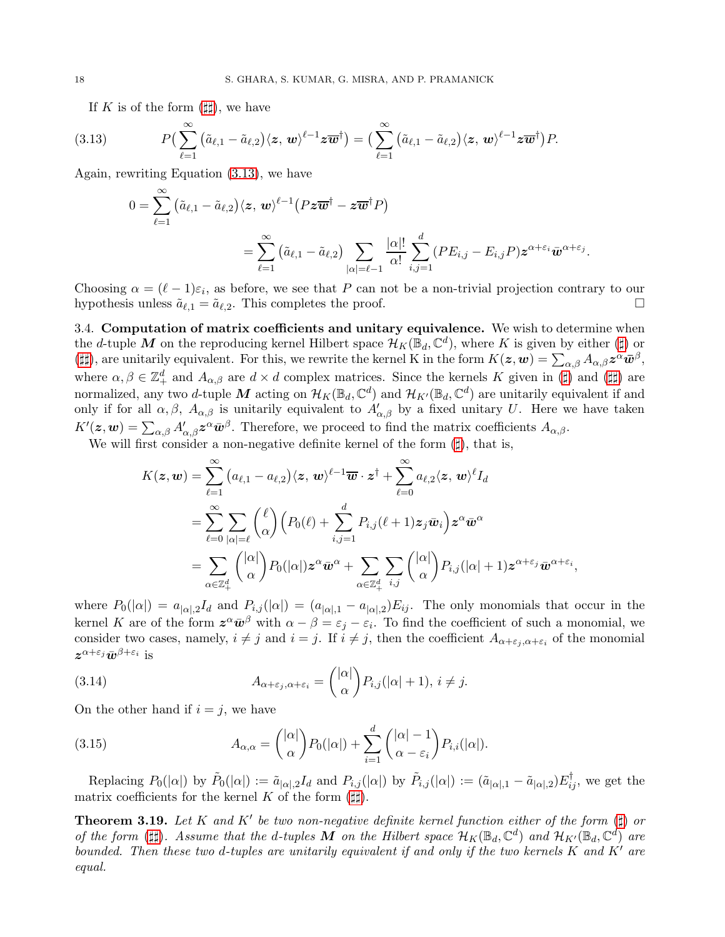If K is of the form  $(\sharp \sharp)$ , we have

(3.13) 
$$
P\left(\sum_{\ell=1}^{\infty} \left(\tilde{a}_{\ell,1} - \tilde{a}_{\ell,2}\right) \langle \mathbf{z}, \mathbf{w} \rangle^{\ell-1} \mathbf{z} \overline{\mathbf{w}}^{\dagger}\right) = \left(\sum_{\ell=1}^{\infty} \left(\tilde{a}_{\ell,1} - \tilde{a}_{\ell,2}\right) \langle \mathbf{z}, \mathbf{w} \rangle^{\ell-1} \mathbf{z} \overline{\mathbf{w}}^{\dagger}\right) P.
$$

Again, rewriting Equation [\(3.13\)](#page-17-0), we have

<span id="page-17-0"></span>
$$
\begin{aligned} 0&=\sum_{\ell=1}^{\infty}\big(\tilde{a}_{\ell,1}-\tilde{a}_{\ell,2}\big)\langle \boldsymbol{z},\,\boldsymbol{w}\rangle^{\ell-1}\big(P\boldsymbol{z}\overline{\boldsymbol{w}}^{\dagger}-\boldsymbol{z}\overline{\boldsymbol{w}}^{\dagger}P\big)\\ &=\sum_{\ell=1}^{\infty}\big(\tilde{a}_{\ell,1}-\tilde{a}_{\ell,2}\big)\sum_{|\alpha|=\ell-1}\frac{|\alpha|!}{\alpha!}\sum_{i,j=1}^{d}(PE_{i,j}-E_{i,j}P)\boldsymbol{z}^{\alpha+\varepsilon_{i}}\bar{\boldsymbol{w}}^{\alpha+\varepsilon_{j}}.\end{aligned}
$$

Choosing  $\alpha = (\ell - 1)\varepsilon_i$ , as before, we see that P can not be a non-trivial projection contrary to our hypothesis unless  $\tilde{a}_{\ell,1} = \tilde{a}_{\ell,2}$ . This completes the proof.

3.4. Computation of matrix coefficients and unitary equivalence. We wish to determine when the d-tuple M on the reproducing kernel Hilbert space  $\mathcal{H}_K(\mathbb{B}_d,\mathbb{C}^d)$ , where K is given by either (‡) or ( $\sharp$ ), are unitarily equivalent. For this, we rewrite the kernel K in the form  $K(z, w) = \sum_{\alpha, \beta} A_{\alpha, \beta} z^{\alpha} \bar{w}^{\beta}$ , where  $\alpha, \beta \in \mathbb{Z}_+^d$  and  $A_{\alpha,\beta}$  are  $d \times d$  complex matrices. Since the kernels K given in (‡) and (##) are normalized, any two d-tuple M acting on  $\mathcal{H}_K(\mathbb{B}_d, \mathbb{C}^d)$  and  $\mathcal{H}_{K'}(\mathbb{B}_d, \mathbb{C}^d)$  are unitarily equivalent if and only if for all  $\alpha, \beta, A_{\alpha,\beta}$  is unitarily equivalent to  $A'_{\alpha,\beta}$  by a fixed unitary U. Here we have taken  $K'(\bm{z}, \bm{w}) = \sum_{\alpha,\beta} A'_{\alpha,\beta} \bm{z}^{\alpha} \bar{\bm{w}}^{\beta}$ . Therefore, we proceed to find the matrix coefficients  $A_{\alpha,\beta}$ .

We will first consider a non-negative definite kernel of the form  $(\sharp)$ , that is,

$$
\begin{aligned} K(\boldsymbol{z},\boldsymbol{w})&=\sum_{\ell=1}^{\infty}\big(a_{\ell,1}-a_{\ell,2}\big)\langle\boldsymbol{z},\,\boldsymbol{w}\rangle^{\ell-1}\overline{\boldsymbol{w}}\cdot\boldsymbol{z}^{\dagger}+\sum_{\ell=0}^{\infty}a_{\ell,2}\langle\boldsymbol{z},\,\boldsymbol{w}\rangle^{\ell}I_d \\ &=\sum_{\ell=0}^{\infty}\sum_{|\alpha|=\ell}\binom{\ell}{\alpha}\Big(P_0(\ell)+\sum_{i,j=1}^{d}P_{i,j}(\ell+1)\boldsymbol{z}_j\bar{\boldsymbol{w}}_i\Big)\boldsymbol{z}^{\alpha}\bar{\boldsymbol{w}}^{\alpha} \\ &=\sum_{\alpha\in\mathbb{Z}_{+}^{d}}\binom{|\alpha|}{\alpha}P_0(|\alpha|)\boldsymbol{z}^{\alpha}\bar{\boldsymbol{w}}^{\alpha}+\sum_{\alpha\in\mathbb{Z}_{+}^{d}}\sum_{i,j}\binom{|\alpha|}{\alpha}P_{i,j}(|\alpha|+1)\boldsymbol{z}^{\alpha+\varepsilon_j}\bar{\boldsymbol{w}}^{\alpha+\varepsilon_i}, \end{aligned}
$$

where  $P_0(|\alpha|) = a_{|\alpha|,2}I_d$  and  $P_{i,j}(|\alpha|) = (a_{|\alpha|,1} - a_{|\alpha|,2})E_{ij}$ . The only monomials that occur in the kernel K are of the form  $\mathbf{z}^{\alpha} \bar{\mathbf{w}}^{\beta}$  with  $\alpha - \beta = \varepsilon_j - \varepsilon_i$ . To find the coefficient of such a monomial, we consider two cases, namely,  $i \neq j$  and  $i = j$ . If  $i \neq j$ , then the coefficient  $A_{\alpha+\varepsilon_j,\alpha+\varepsilon_i}$  of the monomial  $z^{\alpha+\varepsilon_j}\bar w^{\beta+\varepsilon_i}$  is

<span id="page-17-1"></span>(3.14) 
$$
A_{\alpha+\varepsilon_j,\alpha+\varepsilon_i} = \binom{|\alpha|}{\alpha} P_{i,j}(|\alpha|+1), i \neq j.
$$

On the other hand if  $i = j$ , we have

<span id="page-17-3"></span>(3.15) 
$$
A_{\alpha,\alpha} = \binom{|\alpha|}{\alpha} P_0(|\alpha|) + \sum_{i=1}^d \binom{|\alpha|-1}{\alpha-\varepsilon_i} P_{i,i}(|\alpha|).
$$

Replacing  $P_0(|\alpha|)$  by  $\tilde{P}_0(|\alpha|) := \tilde{a}_{|\alpha|,2} I_d$  and  $P_{i,j}(|\alpha|)$  by  $\tilde{P}_{i,j}(|\alpha|) := (\tilde{a}_{|\alpha|,1} - \tilde{a}_{|\alpha|,2}) E_{ij}^{\dagger}$ , we get the matrix coefficients for the kernel K of the form  $(\sharp\sharp)$ .

<span id="page-17-2"></span>**Theorem 3.19.** Let K and K' be two non-negative definite kernel function either of the form  $(\sharp)$  or *of the form* ( $\sharp\sharp$ ). Assume that the d-tuples M on the Hilbert space  $\mathcal{H}_K(\mathbb{B}_d, \mathbb{C}^d)$  and  $\mathcal{H}_{K'}(\mathbb{B}_d, \mathbb{C}^d)$  are *bounded. Then these two* d*-tuples are unitarily equivalent if and only if the two kernels* K *and* K′ *are equal.*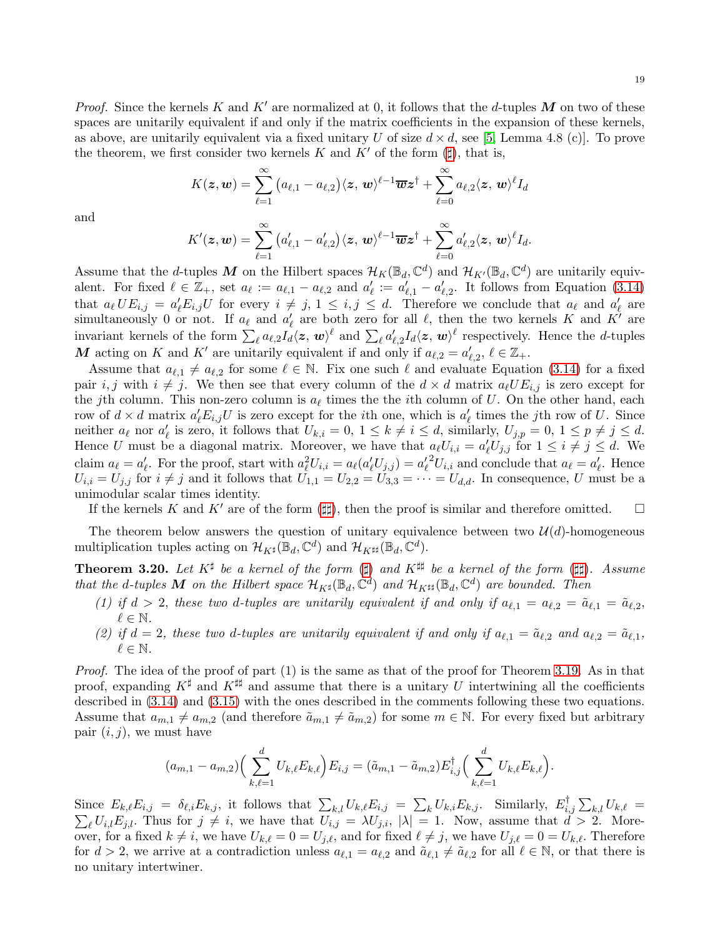*Proof.* Since the kernels K and K' are normalized at 0, it follows that the d-tuples M on two of these spaces are unitarily equivalent if and only if the matrix coefficients in the expansion of these kernels, as above, are unitarily equivalent via a fixed unitary U of size  $d \times d$ , see [\[5,](#page-26-6) Lemma 4.8 (c)]. To prove the theorem, we first consider two kernels K and K' of the form  $(\sharp)$ , that is,

$$
K(\boldsymbol{z},\boldsymbol{w})=\sum_{\ell=1}^{\infty}\big(a_{\ell,1}-a_{\ell,2}\big)\langle \boldsymbol{z},\,\boldsymbol{w}\rangle^{\ell-1}\overline{\boldsymbol{w}}\boldsymbol{z}^{\dagger}+\sum_{\ell=0}^{\infty}a_{\ell,2}\langle \boldsymbol{z},\,\boldsymbol{w}\rangle^{\ell}I_d
$$

and

$$
K'(\boldsymbol{z},\boldsymbol{w})=\sum_{\ell=1}^{\infty}\big(a_{\ell,1}'-a_{\ell,2}'\big)\langle \boldsymbol{z},\,\boldsymbol{w}\rangle^{\ell-1}\overline{\boldsymbol{w}}\boldsymbol{z}^{\dagger}+\sum_{\ell=0}^{\infty}a_{\ell,2}'\langle \boldsymbol{z},\,\boldsymbol{w}\rangle^{\ell}I_d.
$$

Assume that the *d*-tuples M on the Hilbert spaces  $\mathcal{H}_K(\mathbb{B}_d, \mathbb{C}^d)$  and  $\mathcal{H}_{K'}(\mathbb{B}_d, \mathbb{C}^d)$  are unitarily equivalent. For fixed  $\ell \in \mathbb{Z}_+$ , set  $a_{\ell} := a_{\ell,1} - a_{\ell,2}$  and  $a'_{\ell} := a'_{\ell,1} - a'_{\ell,2}$ . It follows from Equation [\(3.14\)](#page-17-1) that  $a_{\ell} U E_{i,j} = a'_{\ell} E_{i,j} U$  for every  $i \neq j, 1 \leq i,j \leq d$ . Therefore we conclude that  $a_{\ell}$  and  $a'_{\ell}$  are simultaneously 0 or not. If  $a_{\ell}$  and  $a'_{\ell}$  are both zero for all  $\ell$ , then the two kernels K and K' are invariant kernels of the form  $\sum_{\ell} a_{\ell,2} I_d \langle \mathbf{z}, \mathbf{w} \rangle^{\ell}$  and  $\sum_{\ell} a_{\ell,2}^{\prime} I_d \langle \mathbf{z}, \mathbf{w} \rangle^{\ell}$  respectively. Hence the *d*-tuples M acting on K and K' are unitarily equivalent if and only if  $a_{\ell,2} = a'_{\ell,2}, \ell \in \mathbb{Z}_+$ .

Assume that  $a_{\ell,1} \neq a_{\ell,2}$  for some  $\ell \in \mathbb{N}$ . Fix one such  $\ell$  and evaluate Equation [\(3.14\)](#page-17-1) for a fixed pair i, j with  $i \neq j$ . We then see that every column of the  $d \times d$  matrix  $a_{\ell}UE_{i,j}$  is zero except for the jth column. This non-zero column is  $a_{\ell}$  times the the *i*th column of U. On the other hand, each row of  $d \times d$  matrix  $a'_{\ell}E_{i,j}U$  is zero except for the *i*th one, which is  $a'_{\ell}$  times the *j*th row of U. Since neither  $a_{\ell}$  nor  $a'_{\ell}$  is zero, it follows that  $U_{k,i} = 0, 1 \leq k \neq i \leq d$ , similarly,  $U_{j,p} = 0, 1 \leq p \neq j \leq d$ . Hence U must be a diagonal matrix. Moreover, we have that  $a_{\ell}U_{i,i} = a'_{\ell}U_{j,j}$  for  $1 \leq i \neq j \leq d$ . We claim  $a_{\ell} = a'_{\ell}$ . For the proof, start with  $a_{\ell}^2 U_{i,i} = a_{\ell} (a'_{\ell} U_{j,j}) = a'_{\ell}^2 U_{i,i}$  and conclude that  $a_{\ell} = a'_{\ell}$ . Hence  $U_{i,i} = U_{j,j}$  for  $i \neq j$  and it follows that  $U_{1,1} = U_{2,2} = U_{3,3} = \cdots = U_{d,d}$ . In consequence, U must be a unimodular scalar times identity.

If the kernels K and K' are of the form  $(\sharp \sharp)$ , then the proof is similar and therefore omitted.  $\square$ 

The theorem below answers the question of unitary equivalence between two  $\mathcal{U}(d)$ -homogeneous multiplication tuples acting on  $\mathcal{H}_{K^{\sharp}}(\mathbb{B}_{d}, \mathbb{C}^{d})$  and  $\mathcal{H}_{K^{\sharp\sharp}}(\mathbb{B}_{d}, \mathbb{C}^{d})$ .

Theorem 3.20. Let  $K^{\sharp}$  be a kernel of the form  $(\sharp)$  and  $K^{\sharp\sharp}$  be a kernel of the form  $(\sharp\sharp)$ . Assume *that the d-tuples* M *on the Hilbert space*  $\mathcal{H}_{K^{\sharp}}(\mathbb{B}_{d}, \mathbb{C}^{d})$  *and*  $\mathcal{H}_{K^{\sharp\sharp}}(\mathbb{B}_{d}, \mathbb{C}^{d})$  *are bounded. Then* 

- *(1) if*  $d > 2$ , *these two d-tuples are unitarily equivalent if and only if*  $a_{\ell,1} = a_{\ell,2} = \tilde{a}_{\ell,1} = \tilde{a}_{\ell,2}$ ,  $\ell \in \mathbb{N}$ .
- (2) if  $d = 2$ , these two d-tuples are unitarily equivalent if and only if  $a_{\ell,1} = \tilde{a}_{\ell,2}$  and  $a_{\ell,2} = \tilde{a}_{\ell,1}$ ,  $\ell \in \mathbb{N}$ .

*Proof.* The idea of the proof of part (1) is the same as that of the proof for Theorem [3.19.](#page-17-2) As in that proof, expanding K<sup> $\sharp$ </sup> and K<sup>#‡</sup> and assume that there is a unitary U intertwining all the coefficients described in [\(3.14\)](#page-17-1) and [\(3.15\)](#page-17-3) with the ones described in the comments following these two equations. Assume that  $a_{m,1} \neq a_{m,2}$  (and therefore  $\tilde{a}_{m,1} \neq \tilde{a}_{m,2}$ ) for some  $m \in \mathbb{N}$ . For every fixed but arbitrary pair  $(i, j)$ , we must have

$$
(a_{m,1} - a_{m,2}) \Big( \sum_{k,\ell=1}^d U_{k,\ell} E_{k,\ell} \Big) E_{i,j} = (\tilde{a}_{m,1} - \tilde{a}_{m,2}) E_{i,j}^\dagger \Big( \sum_{k,\ell=1}^d U_{k,\ell} E_{k,\ell} \Big).
$$

Since  $E_{k,\ell}E_{i,j} = \delta_{\ell,i}E_{k,j}$ , it follows that  $\sum_{k,l}U_{k,\ell}E_{i,j} = \sum_{k}U_{k,i}E_{k,j}$ . Similarly,  $E_{i,j}^{\dagger}\sum_{k,l}U_{k,\ell} =$  $\sum_{\ell} U_{i,l} E_{j,l}$ . Thus for  $j \neq i$ , we have that  $U_{i,j} = \lambda U_{j,i}$ ,  $|\lambda| = 1$ . Now, assume that  $d > 2$ . Moreover, for a fixed  $k \neq i$ , we have  $U_{k,\ell} = 0 = U_{j,\ell}$ , and for fixed  $\ell \neq j$ , we have  $U_{j,\ell} = 0 = U_{k,\ell}$ . Therefore for  $d > 2$ , we arrive at a contradiction unless  $a_{\ell,1} = a_{\ell,2}$  and  $\tilde{a}_{\ell,1} \neq \tilde{a}_{\ell,2}$  for all  $\ell \in \mathbb{N}$ , or that there is no unitary intertwiner.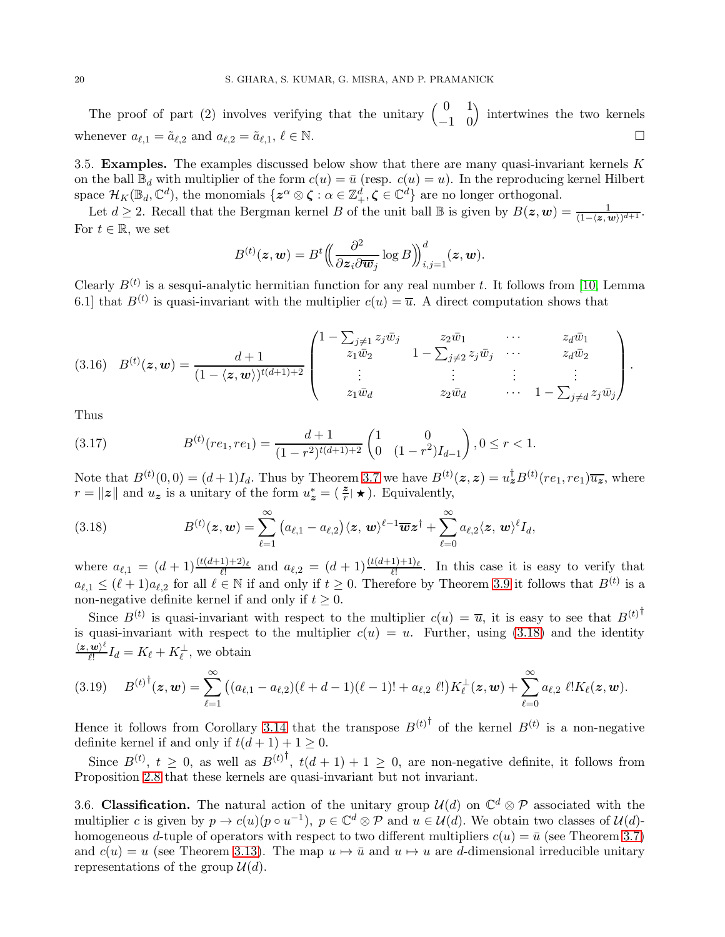The proof of part (2) involves verifying that the unitary  $\begin{pmatrix} 0 & 1 \\ -1 & 0 \end{pmatrix}$  intertwines the two kernels whenever  $a_{\ell,1} = \tilde{a}_{\ell,2}$  and  $a_{\ell,2} = \tilde{a}_{\ell,1}, \ell \in \mathbb{N}$ .

3.5. Examples. The examples discussed below show that there are many quasi-invariant kernels  $K$ on the ball  $\mathbb{B}_d$  with multiplier of the form  $c(u) = \bar{u}$  (resp.  $c(u) = u$ ). In the reproducing kernel Hilbert space  $\mathcal{H}_K(\mathbb{B}_d, \mathbb{C}^d)$ , the monomials  $\{z^{\alpha} \otimes \zeta : \alpha \in \mathbb{Z}_+^d, \zeta \in \mathbb{C}^d\}$  are no longer orthogonal.

Let  $d \geq 2$ . Recall that the Bergman kernel B of the unit ball  $\mathbb B$  is given by  $B(z, w) = \frac{1}{(1 - \langle z, w \rangle)^{d+1}}$ . For  $t \in \mathbb{R}$ , we set

$$
B^{(t)}(\boldsymbol{z}, \boldsymbol{w}) = B^t \Big( \hspace{-0.2mm} \Big( \frac{\partial^2}{\partial \boldsymbol{z}_i \partial \overline{\boldsymbol{w}}_j} \log B \hspace{-0.2mm} \Big) \hspace{-0.2mm} \Big)_{i,j=1}^d (\boldsymbol{z}, \boldsymbol{w}).
$$

Clearly  $B^{(t)}$  is a sesqui-analytic hermitian function for any real number t. It follows from [\[10,](#page-26-8) Lemma 6.1] that  $B^{(t)}$  is quasi-invariant with the multiplier  $c(u) = \overline{u}$ . A direct computation shows that

$$
(3.16) \quad B^{(t)}(z, \mathbf{w}) = \frac{d+1}{(1-\langle z, \mathbf{w}\rangle)^{t(d+1)+2}} \begin{pmatrix} 1-\sum_{j\neq 1} z_j \bar{w}_j & z_2 \bar{w}_1 & \cdots & z_d \bar{w}_1 \\ z_1 \bar{w}_2 & 1-\sum_{j\neq 2} z_j \bar{w}_j & \cdots & z_d \bar{w}_2 \\ \vdots & \vdots & \vdots & \vdots \\ z_1 \bar{w}_d & z_2 \bar{w}_d & \cdots & 1-\sum_{j\neq d} z_j \bar{w}_j \end{pmatrix}.
$$

Thus

(3.17) 
$$
B^{(t)}(re_1, re_1) = \frac{d+1}{(1-r^2)^{t(d+1)+2}} \begin{pmatrix} 1 & 0 \ 0 & (1-r^2)I_{d-1} \end{pmatrix}, 0 \le r < 1.
$$

Note that  $B^{(t)}(0,0) = (d+1)I_d$ . Thus by Theorem [3.7](#page-11-0) we have  $B^{(t)}(z, z) = u_z^{\dagger} B^{(t)}(re_1, re_1)\overline{u_z}$ , where  $r = ||z||$  and  $u_z$  is a unitary of the form  $u_z^* = (\frac{z}{r} | \star)$ . Equivalently,

<span id="page-19-0"></span>(3.18) 
$$
B^{(t)}(z,w)=\sum_{\ell=1}^{\infty} (a_{\ell,1}-a_{\ell,2})\langle z,w\rangle^{\ell-1}\overline{w}z^{\dagger}+\sum_{\ell=0}^{\infty} a_{\ell,2}\langle z,w\rangle^{\ell}I_d,
$$

where  $a_{\ell,1} = (d+1) \frac{(t(d+1)+2)_{\ell}}{\ell!}$  and  $a_{\ell,2} = (d+1) \frac{(t(d+1)+1)_{\ell}}{\ell!}$ . In this case it is easy to verify that  $a_{\ell,1} \leq (\ell+1)a_{\ell,2}$  for all  $\ell \in \mathbb{N}$  if and only if  $t \geq 0$ . Therefore by Theorem [3.9](#page-12-3) it follows that  $B^{(t)}$  is a non-negative definite kernel if and only if  $t \geq 0$ .

Since  $B^{(t)}$  is quasi-invariant with respect to the multiplier  $c(u) = \overline{u}$ , it is easy to see that  $B^{(t)}$ is quasi-invariant with respect to the multiplier  $c(u) = u$ . Further, using [\(3.18\)](#page-19-0) and the identity  $\langle \bm{z}, \bm{w} \rangle^\ell$  $\frac{w_i}{\ell!}I_d = K_{\ell} + K_{\ell}^{\perp}$ , we obtain

$$
(3.19) \tB(t)†(\mathbf{z}, \mathbf{w}) = \sum_{\ell=1}^{\infty} ((a_{\ell,1} - a_{\ell,2})(\ell + d - 1)(\ell - 1)! + a_{\ell,2} \ell!) K_{\ell}^{\perp}(\mathbf{z}, \mathbf{w}) + \sum_{\ell=0}^{\infty} a_{\ell,2} \ell! K_{\ell}(\mathbf{z}, \mathbf{w}).
$$

Hence it follows from Corollary [3.14](#page-15-2) that the transpose  $B^{(t)}$  of the kernel  $B^{(t)}$  is a non-negative definite kernel if and only if  $t(d + 1) + 1 \geq 0$ .

Since  $B^{(t)}$ ,  $t \geq 0$ , as well as  $B^{(t)}$ ,  $t(d+1)+1 \geq 0$ , are non-negative definite, it follows from Proposition [2.8](#page-7-1) that these kernels are quasi-invariant but not invariant.

3.6. Classification. The natural action of the unitary group  $\mathcal{U}(d)$  on  $\mathbb{C}^d \otimes \mathcal{P}$  associated with the multiplier c is given by  $p \to c(u)(p \circ u^{-1}), p \in \mathbb{C}^d \otimes \mathcal{P}$  and  $u \in \mathcal{U}(d)$ . We obtain two classes of  $\mathcal{U}(d)$ homogeneous d-tuple of operators with respect to two different multipliers  $c(u) = \bar{u}$  (see Theorem [3.7\)](#page-11-0) and  $c(u) = u$  (see Theorem [3.13\)](#page-15-0). The map  $u \mapsto \bar{u}$  and  $u \mapsto u$  are d-dimensional irreducible unitary representations of the group  $\mathcal{U}(d)$ .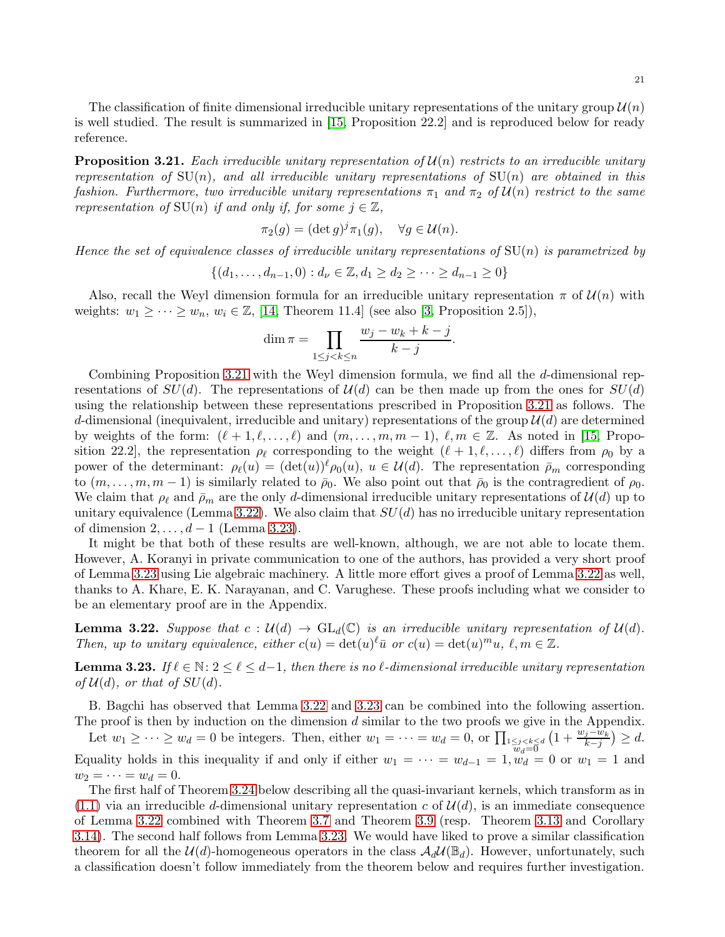The classification of finite dimensional irreducible unitary representations of the unitary group  $\mathcal{U}(n)$ is well studied. The result is summarized in [\[15,](#page-26-13) Proposition 22.2] and is reproduced below for ready reference.

<span id="page-20-0"></span>Proposition 3.21. *Each irreducible unitary representation of* U(n) *restricts to an irreducible unitary representation of*  $SU(n)$ *, and all irreducible unitary representations of*  $SU(n)$  *are obtained in this fashion. Furthermore, two irreducible unitary representations*  $\pi_1$  *and*  $\pi_2$  *of*  $\mathcal{U}(n)$  *restrict to the same representation of*  $SU(n)$  *if and only if, for some*  $j \in \mathbb{Z}$ *,* 

$$
\pi_2(g) = (\det g)^j \pi_1(g), \quad \forall g \in \mathcal{U}(n).
$$

*Hence the set of equivalence classes of irreducible unitary representations of* SU(n) *is parametrized by*

$$
\{(d_1, \ldots, d_{n-1}, 0) : d_{\nu} \in \mathbb{Z}, d_1 \geq d_2 \geq \cdots \geq d_{n-1} \geq 0\}
$$

Also, recall the Weyl dimension formula for an irreducible unitary representation  $\pi$  of  $\mathcal{U}(n)$  with weights:  $w_1 \geq \cdots \geq w_n$ ,  $w_i \in \mathbb{Z}$ , [\[14,](#page-26-15) Theorem 11.4] (see also [\[3,](#page-26-16) Proposition 2.5]),

$$
\dim \pi = \prod_{1 \le j < k \le n} \frac{w_j - w_k + k - j}{k - j}.
$$

Combining Proposition [3.21](#page-20-0) with the Weyl dimension formula, we find all the d-dimensional representations of  $SU(d)$ . The representations of  $\mathcal{U}(d)$  can be then made up from the ones for  $SU(d)$ using the relationship between these representations prescribed in Proposition [3.21](#page-20-0) as follows. The d-dimensional (inequivalent, irreducible and unitary) representations of the group  $\mathcal{U}(d)$  are determined by weights of the form:  $(\ell+1,\ell,\ldots,\ell)$  and  $(m,\ldots,m,m-1), \ell,m \in \mathbb{Z}$ . As noted in [\[15,](#page-26-13) Proposition 22.2], the representation  $\rho_{\ell}$  corresponding to the weight  $(\ell + 1, \ell, ..., \ell)$  differs from  $\rho_0$  by a power of the determinant:  $\rho_{\ell}(u) = (\det(u))^{\ell} \rho_0(u), u \in \mathcal{U}(d)$ . The representation  $\bar{\rho}_m$  corresponding to  $(m, \ldots, m, m-1)$  is similarly related to  $\bar{\rho}_0$ . We also point out that  $\bar{\rho}_0$  is the contragredient of  $\rho_0$ . We claim that  $\rho_{\ell}$  and  $\bar{\rho}_m$  are the only d-dimensional irreducible unitary representations of  $\mathcal{U}(d)$  up to unitary equivalence (Lemma [3.22\)](#page-20-1). We also claim that  $SU(d)$  has no irreducible unitary representation of dimension  $2, \ldots, d-1$  (Lemma [3.23\)](#page-20-2).

It might be that both of these results are well-known, although, we are not able to locate them. However, A. Koranyi in private communication to one of the authors, has provided a very short proof of Lemma [3.23](#page-20-2) using Lie algebraic machinery. A little more effort gives a proof of Lemma [3.22](#page-20-1) as well, thanks to A. Khare, E. K. Narayanan, and C. Varughese. These proofs including what we consider to be an elementary proof are in the Appendix.

<span id="page-20-1"></span>**Lemma 3.22.** Suppose that  $c : \mathcal{U}(d) \to \text{GL}_d(\mathbb{C})$  is an irreducible unitary representation of  $\mathcal{U}(d)$ . *Then, up to unitary equivalence, either*  $c(u) = \det(u)^\ell \bar{u}$  *or*  $c(u) = \det(u)^m u$ ,  $\ell, m \in \mathbb{Z}$ .

<span id="page-20-2"></span>**Lemma 3.23.** *If*  $\ell \in \mathbb{N}: 2 \leq \ell \leq d-1$ , then there is no  $\ell$ -dimensional irreducible unitary representation *of*  $\mathcal{U}(d)$ *, or that of*  $SU(d)$ *.* 

B. Bagchi has observed that Lemma [3.22](#page-20-1) and [3.23](#page-20-2) can be combined into the following assertion. The proof is then by induction on the dimension  $d$  similar to the two proofs we give in the Appendix.

Let  $w_1 \geq \cdots \geq w_d = 0$  be integers. Then, either  $w_1 = \cdots = w_d = 0$ , or  $\prod_{\substack{1 \leq j < k \leq d \\ w_d = 0}}$  $\left(1+\frac{w_j-w_k}{k-j}\right) \geq d.$ Equality holds in this inequality if and only if either  $w_1 = \cdots = w_{d-1} = 1$ ,  $\tilde{w}_d = 0$  or  $w_1 = 1$  and  $w_2 = \cdots = w_d = 0.$ 

The first half of Theorem [3.24](#page-21-0) below describing all the quasi-invariant kernels, which transform as in  $(1.1)$  via an irreducible d-dimensional unitary representation c of  $\mathcal{U}(d)$ , is an immediate consequence of Lemma [3.22](#page-20-1) combined with Theorem [3.7](#page-11-0) and Theorem [3.9](#page-12-3) (resp. Theorem [3.13](#page-15-0) and Corollary [3.14\)](#page-15-2). The second half follows from Lemma [3.23.](#page-20-2) We would have liked to prove a similar classification theorem for all the  $\mathcal{U}(d)$ -homogeneous operators in the class  $\mathcal{A}_d\mathcal{U}(\mathbb{B}_d)$ . However, unfortunately, such a classification doesn't follow immediately from the theorem below and requires further investigation.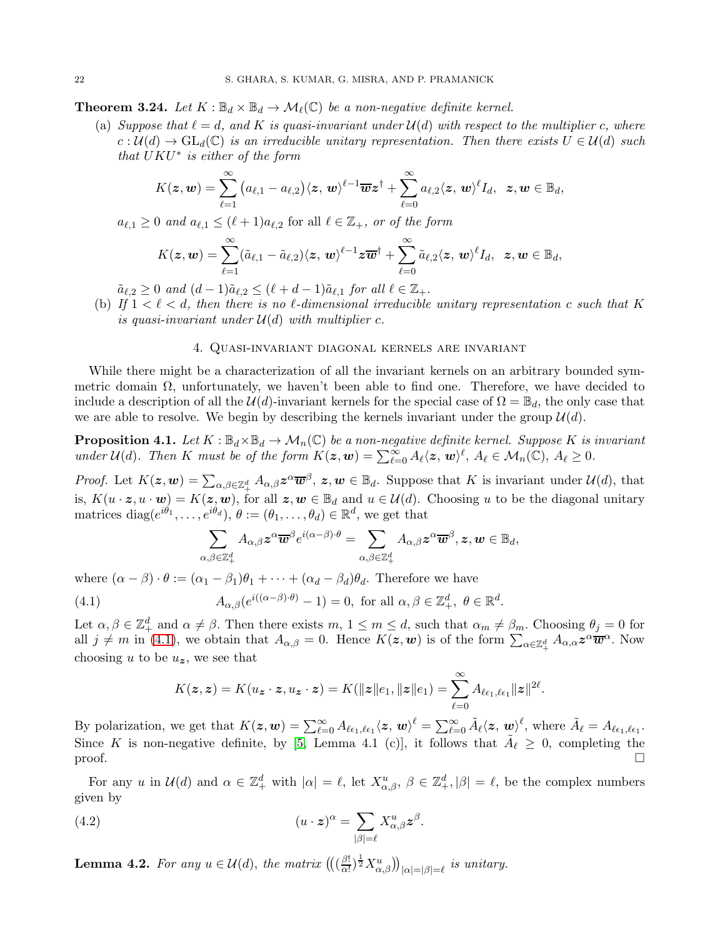<span id="page-21-0"></span>**Theorem 3.24.** *Let*  $K : \mathbb{B}_d \times \mathbb{B}_d \to \mathcal{M}_\ell(\mathbb{C})$  *be a non-negative definite kernel.* 

(a) *Suppose that*  $\ell = d$ , and K is quasi-invariant under  $\mathcal{U}(d)$  with respect to the multiplier c, where  $c: \mathcal{U}(d) \to \text{GL}_d(\mathbb{C})$  *is an irreducible unitary representation. Then there exists*  $U \in \mathcal{U}(d)$  *such that* UKU∗ *is either of the form*

$$
K(\boldsymbol{z},\boldsymbol{w})=\sum_{\ell=1}^{\infty}\big(a_{\ell,1}-a_{\ell,2}\big)\langle \boldsymbol{z},\,\boldsymbol{w}\rangle^{\ell-1}\overline{\boldsymbol{w}}\boldsymbol{z}^{\dagger}+\sum_{\ell=0}^{\infty}a_{\ell,2}\langle \boldsymbol{z},\,\boldsymbol{w}\rangle^{\ell}I_d,\ \, \boldsymbol{z},\boldsymbol{w}\in\mathbb{B}_d,
$$

 $a_{\ell,1} \geq 0$  *and*  $a_{\ell,1} \leq (\ell+1)a_{\ell,2}$  for all  $\ell \in \mathbb{Z}_+$ *, or of the form* 

$$
K(\boldsymbol z, \boldsymbol w) = \sum_{\ell=1}^\infty (\tilde a_{\ell,1} - \tilde a_{\ell,2})\langle \boldsymbol z, \boldsymbol w \rangle^{\ell-1} \boldsymbol z \overline{\boldsymbol w}^\dagger + \sum_{\ell=0}^\infty \tilde a_{\ell,2}\langle \boldsymbol z, \boldsymbol w \rangle^\ell I_d, \ \ \boldsymbol z, \boldsymbol w \in \mathbb B_d,
$$

 $\tilde{a}_{\ell,2} \geq 0$  and  $(d-1)\tilde{a}_{\ell,2} \leq (\ell+d-1)\tilde{a}_{\ell,1}$  for all  $\ell \in \mathbb{Z}_+$ .

(b) If  $1 < \ell < d$ , then there is no  $\ell$ -dimensional irreducible unitary representation c such that K *is quasi-invariant under*  $\mathcal{U}(d)$  *with multiplier c.* 

### 4. Quasi-invariant diagonal kernels are invariant

While there might be a characterization of all the invariant kernels on an arbitrary bounded symmetric domain Ω, unfortunately, we haven't been able to find one. Therefore, we have decided to include a description of all the  $\mathcal{U}(d)$ -invariant kernels for the special case of  $\Omega = \mathbb{B}_d$ , the only case that we are able to resolve. We begin by describing the kernels invariant under the group  $\mathcal{U}(d)$ .

**Proposition 4.1.** Let  $K : \mathbb{B}_d \times \mathbb{B}_d \to \mathcal{M}_n(\mathbb{C})$  be a non-negative definite kernel. Suppose K is invariant *under*  $\mathcal{U}(d)$ *. Then* K *must be of the form*  $K(z, w) = \sum_{\ell=0}^{\infty} A_{\ell} \langle z, w \rangle^{\ell}$ ,  $A_{\ell} \in \mathcal{M}_n(\mathbb{C})$ ,  $A_{\ell} \geq 0$ *.* 

*Proof.* Let  $K(z, w) = \sum_{\alpha, \beta \in \mathbb{Z}_+^d} A_{\alpha, \beta} z^{\alpha} \overline{w}^{\beta}, z, w \in \mathbb{B}_d$ . Suppose that K is invariant under  $\mathcal{U}(d)$ , that is,  $K(u \cdot z, u \cdot w) = K(z, w)$ , for all  $z, w \in \mathbb{B}_d$  and  $u \in \mathcal{U}(d)$ . Choosing u to be the diagonal unitary matrices diag $(e^{i\theta_1}, \ldots, e^{i\theta_d}), \theta := (\theta_1, \ldots, \theta_d) \in \mathbb{R}^d$ , we get that

<span id="page-21-1"></span>
$$
\sum_{\alpha,\beta\in\mathbb{Z}_+^d}A_{\alpha,\beta}\boldsymbol{z}^{\alpha}\overline{\boldsymbol{w}}^{\beta}e^{i(\alpha-\beta)\cdot\theta}=\sum_{\alpha,\beta\in\mathbb{Z}_+^d}A_{\alpha,\beta}\boldsymbol{z}^{\alpha}\overline{\boldsymbol{w}}^{\beta},\boldsymbol{z},\boldsymbol{w}\in\mathbb{B}_d,
$$

where  $(\alpha - \beta) \cdot \theta := (\alpha_1 - \beta_1)\theta_1 + \cdots + (\alpha_d - \beta_d)\theta_d$ . Therefore we have

(4.1) 
$$
A_{\alpha,\beta}(e^{i((\alpha-\beta)\cdot\theta)}-1)=0, \text{ for all } \alpha,\beta\in\mathbb{Z}_+^d, \ \theta\in\mathbb{R}^d.
$$

Let  $\alpha, \beta \in \mathbb{Z}_+^d$  and  $\alpha \neq \beta$ . Then there exists  $m, 1 \leq m \leq d$ , such that  $\alpha_m \neq \beta_m$ . Choosing  $\theta_j = 0$  for all  $j \neq m$  in [\(4.1\)](#page-21-1), we obtain that  $A_{\alpha,\beta} = 0$ . Hence  $K(z, w)$  is of the form  $\sum_{\alpha \in \mathbb{Z}_+^d} A_{\alpha,\alpha} z^{\alpha} \overline{w}^{\alpha}$ . Now choosing u to be  $u_z$ , we see that

$$
K(\boldsymbol{z}, \boldsymbol{z}) = K(u_{\boldsymbol{z}} \cdot \boldsymbol{z}, u_{\boldsymbol{z}} \cdot \boldsymbol{z}) = K(||\boldsymbol{z}||e_1, ||\boldsymbol{z}||e_1) = \sum_{\ell=0}^{\infty} A_{\ell \epsilon_1, \ell \epsilon_1} ||\boldsymbol{z}||^{2\ell}
$$

.

By polarization, we get that  $K(z, w) = \sum_{\ell=0}^{\infty} A_{\ell \epsilon_1, \ell \epsilon_1} \langle z, w \rangle^{\ell} = \sum_{\ell=0}^{\infty} \tilde{A}_{\ell} \langle z, w \rangle^{\ell}$ , where  $\tilde{A}_{\ell} = A_{\ell \epsilon_1, \ell \epsilon_1}$ . Since K is non-negative definite, by [\[5,](#page-26-6) Lemma 4.1 (c)], it follows that  $\tilde{A}_{\ell} \geq 0$ , completing the  $\Box$ 

For any u in  $\mathcal{U}(d)$  and  $\alpha \in \mathbb{Z}_+^d$  with  $|\alpha| = \ell$ , let  $X_{\alpha,\beta}^u$ ,  $\beta \in \mathbb{Z}_+^d$ ,  $|\beta| = \ell$ , be the complex numbers given by

(4.2) 
$$
(u \cdot z)^{\alpha} = \sum_{|\beta|=\ell} X_{\alpha,\beta}^u z^{\beta}.
$$

<span id="page-21-2"></span>**Lemma 4.2.** For any  $u \in \mathcal{U}(d)$ , the matrix  $\left(\left(\frac{\beta!}{\alpha!}\right)\right)$  $\frac{\beta!}{\alpha!}$ ) $\frac{1}{2}X^u_{\alpha,\beta}$ ))<sub>| $\alpha$ |=| $\beta$ |= $\ell$  is unitary.</sub>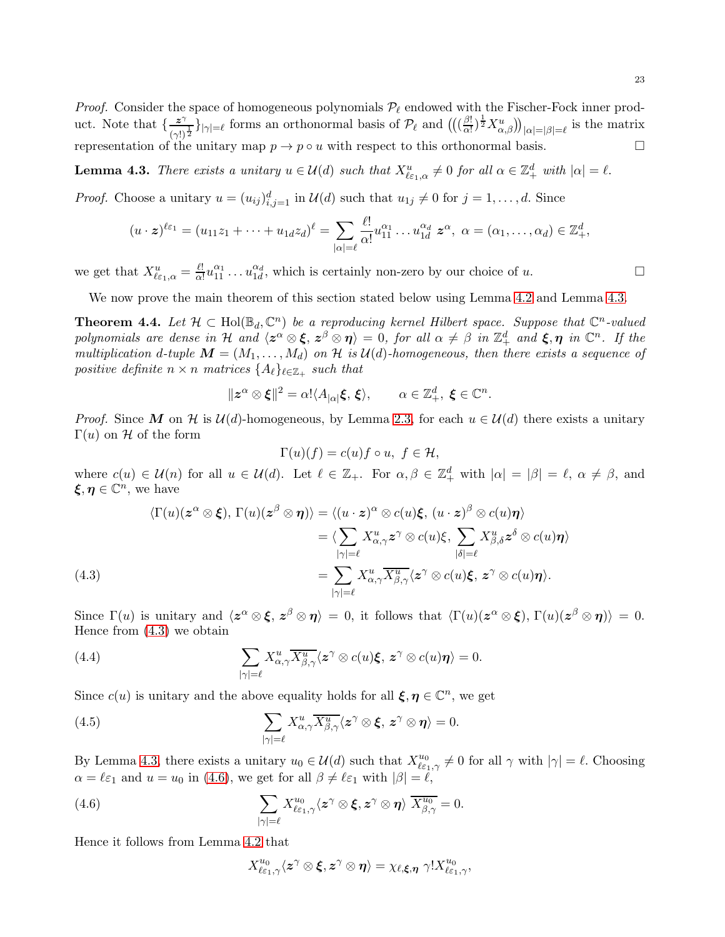*Proof.* Consider the space of homogeneous polynomials  $\mathcal{P}_{\ell}$  endowed with the Fischer-Fock inner product. Note that  $\frac{z^{\gamma}}{z}$  $\frac{z^{\gamma}}{(\gamma!)^{\frac{1}{2}}}$ } $_{|\gamma|=\ell}$  forms an orthonormal basis of  $\mathcal{P}_{\ell}$  and  $\left(\left(\frac{\beta!}{\alpha!}\right)$  $\frac{\beta!}{\alpha!}$ ) $\frac{1}{2}X^u_{\alpha,\beta}$ ))<sub>| $\alpha$ |=| $\beta$ |= $\ell$  is the matrix</sub> representation of the unitary map  $p \to p \circ u$  with respect to this orthonormal basis.

<span id="page-22-0"></span>**Lemma 4.3.** *There exists a unitary*  $u \in \mathcal{U}(d)$  *such that*  $X_{\ell \epsilon_1, \alpha}^u \neq 0$  *for all*  $\alpha \in \mathbb{Z}_+^d$  *with*  $|\alpha| = \ell$ .

*Proof.* Choose a unitary  $u = (u_{ij})_{i,j=1}^d$  in  $\mathcal{U}(d)$  such that  $u_{1j} \neq 0$  for  $j = 1, \ldots, d$ . Since

$$
(u\cdot z)^{\ell\varepsilon_1}=(u_{11}z_1+\cdots+u_{1d}z_d)^{\ell}=\sum_{|\alpha|=\ell}\frac{\ell!}{\alpha!}u_{11}^{\alpha_1}\ldots u_{1d}^{\alpha_d}z^{\alpha},\ \alpha=(\alpha_1,\ldots,\alpha_d)\in\mathbb{Z}^d_+,
$$

we get that  $X_{\ell\varepsilon_1,\alpha}^u = \frac{\ell!}{\alpha!}$  $\frac{\ell!}{\alpha!}u_{11}^{\alpha_1} \dots u_{1d}^{\alpha_d}$ , which is certainly non-zero by our choice of u.

We now prove the main theorem of this section stated below using Lemma [4.2](#page-21-2) and Lemma [4.3.](#page-22-0)

**Theorem 4.4.** Let  $\mathcal{H} \subset \text{Hol}(\mathbb{B}_d, \mathbb{C}^n)$  be a reproducing kernel Hilbert space. Suppose that  $\mathbb{C}^n$ -valued *polynomials are dense in* H *and*  $\langle z^{\alpha} \otimes \xi, z^{\beta} \otimes \eta \rangle = 0$ , for all  $\alpha \neq \beta$  in  $\mathbb{Z}_{+}^{d}$  and  $\xi, \eta$  in  $\mathbb{C}^{n}$ . If the *multiplication* d-tuple  $M = (M_1, \ldots, M_d)$  on  $\mathcal{H}$  is  $\mathcal{U}(d)$ -homogeneous, then there exists a sequence of  $positive$  definite  $n \times n$  *matrices*  $\{A_{\ell}\}_{\ell \in \mathbb{Z}_+}$  *such that* 

$$
\|z^{\alpha}\otimes\xi\|^2=\alpha!\langle A_{|\alpha|}\xi,\xi\rangle,\qquad \alpha\in\mathbb{Z}^d_+,\ \xi\in\mathbb{C}^n.
$$

*Proof.* Since M on H is  $U(d)$ -homogeneous, by Lemma [2.3,](#page-5-1) for each  $u \in U(d)$  there exists a unitary Γ(*u*) on H of the form

$$
\Gamma(u)(f) = c(u)f \circ u, \ f \in \mathcal{H},
$$

where  $c(u) \in \mathcal{U}(n)$  for all  $u \in \mathcal{U}(d)$ . Let  $\ell \in \mathbb{Z}_+$ . For  $\alpha, \beta \in \mathbb{Z}_+^d$  with  $|\alpha| = |\beta| = \ell, \alpha \neq \beta$ , and  $\xi, \eta \in \mathbb{C}^n$ , we have

(4.3)  
\n
$$
\langle \Gamma(u)(z^{\alpha} \otimes \xi), \Gamma(u)(z^{\beta} \otimes \eta) \rangle = \langle (u \cdot z)^{\alpha} \otimes c(u)\xi, (u \cdot z)^{\beta} \otimes c(u)\eta \rangle
$$
\n
$$
= \langle \sum_{|\gamma|=\ell} X_{\alpha,\gamma}^{u} z^{\gamma} \otimes c(u)\xi, \sum_{|\delta|=\ell} X_{\beta,\delta}^{u} z^{\delta} \otimes c(u)\eta \rangle
$$
\n
$$
= \sum_{|\gamma|=\ell} X_{\alpha,\gamma}^{u} \overline{X_{\beta,\gamma}^{u}} \langle z^{\gamma} \otimes c(u)\xi, z^{\gamma} \otimes c(u)\eta \rangle.
$$

<span id="page-22-1"></span>Since  $\Gamma(u)$  is unitary and  $\langle z^{\alpha} \otimes \xi, z^{\beta} \otimes \eta \rangle = 0$ , it follows that  $\langle \Gamma(u)(z^{\alpha} \otimes \xi), \Gamma(u)(z^{\beta} \otimes \eta) \rangle = 0$ . Hence from [\(4.3\)](#page-22-1) we obtain

(4.4) 
$$
\sum_{|\gamma|=\ell} X_{\alpha,\gamma}^u \overline{X_{\beta,\gamma}^u} \langle z^{\gamma} \otimes c(u) \xi, z^{\gamma} \otimes c(u) \eta \rangle = 0.
$$

Since  $c(u)$  is unitary and the above equality holds for all  $\xi, \eta \in \mathbb{C}^n$ , we get

(4.5) 
$$
\sum_{|\gamma|=\ell} X_{\alpha,\gamma}^u \overline{X_{\beta,\gamma}^u} \langle z^{\gamma} \otimes \xi, z^{\gamma} \otimes \eta \rangle = 0.
$$

By Lemma [4.3,](#page-22-0) there exists a unitary  $u_0 \in \mathcal{U}(d)$  such that  $X_{\ell \varepsilon_1, \gamma}^{u_0} \neq 0$  for all  $\gamma$  with  $|\gamma| = \ell$ . Choosing  $\alpha = \ell \varepsilon_1$  and  $u = u_0$  in [\(4.6\)](#page-22-2), we get for all  $\beta \neq \ell \varepsilon_1$  with  $|\beta| = \ell$ ,

(4.6) 
$$
\sum_{|\gamma|=\ell} X_{\ell \varepsilon_1, \gamma}^{u_0} \langle z^{\gamma} \otimes \xi, z^{\gamma} \otimes \eta \rangle \overline{X_{\beta, \gamma}^{u_0}} = 0.
$$

Hence it follows from Lemma [4.2](#page-21-2) that

<span id="page-22-2"></span>
$$
X^{u_0}_{\ell \varepsilon_1, \gamma}\langle \boldsymbol{z}^\gamma\otimes \boldsymbol{\xi}, \boldsymbol{z}^\gamma\otimes \boldsymbol{\eta}\rangle = \chi_{\ell, \boldsymbol{\xi}, \boldsymbol{\eta}}\ \gamma! X^{u_0}_{\ell \varepsilon_1, \gamma},
$$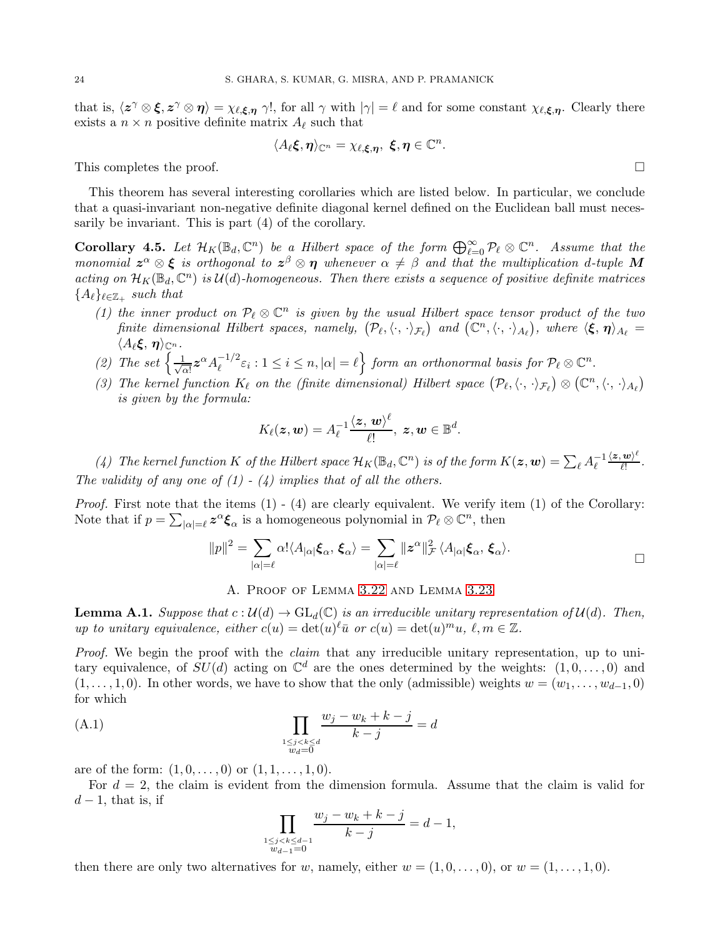that is,  $\langle z^{\gamma} \otimes \xi, z^{\gamma} \otimes \eta \rangle = \chi_{\ell, \xi, \eta} \gamma!$ , for all  $\gamma$  with  $|\gamma| = \ell$  and for some constant  $\chi_{\ell, \xi, \eta}$ . Clearly there exists a  $n \times n$  positive definite matrix  $A_{\ell}$  such that

$$
\langle A_\ell \boldsymbol{\xi}, \boldsymbol{\eta}\rangle_{\mathbb C^n} = \chi_{\ell, \boldsymbol{\xi}, \boldsymbol{\eta}}, \ \boldsymbol{\xi}, \boldsymbol{\eta} \in \mathbb C^n.
$$

This completes the proof.  $\Box$ 

This theorem has several interesting corollaries which are listed below. In particular, we conclude that a quasi-invariant non-negative definite diagonal kernel defined on the Euclidean ball must necessarily be invariant. This is part (4) of the corollary.

<span id="page-23-0"></span>**Corollary 4.5.** Let  $\mathcal{H}_K(\mathbb{B}_d, \mathbb{C}^n)$  be a Hilbert space of the form  $\bigoplus_{\ell=0}^{\infty} \mathcal{P}_\ell \otimes \mathbb{C}^n$ . Assume that the *monomial*  $z^{\alpha} \otimes \xi$  *is orthogonal to*  $z^{\beta} \otimes \eta$  *whenever*  $\alpha \neq \beta$  *and that the multiplication d-tuple* M acting on  $\mathcal{H}_K(\mathbb{B}_d,\mathbb{C}^n)$  is  $\mathcal{U}(d)$ -homogeneous. Then there exists a sequence of positive definite matrices  ${A_{\ell}}_{\ell \in \mathbb{Z}_+}$  such that

- (1) the inner product on  $P_\ell \otimes \mathbb{C}^n$  is given by the usual Hilbert space tensor product of the two *finite dimensional Hilbert spaces, namely,*  $(\mathcal{P}_{\ell}, \langle \cdot, \cdot \rangle_{\mathcal{F}_{\ell}})$  and  $(\mathbb{C}^n, \langle \cdot, \cdot \rangle_{A_{\ell}})$ , where  $\langle \xi, \eta \rangle_{A_{\ell}} =$  $\langle A_\ell \boldsymbol{\xi}, \boldsymbol{\eta} \rangle_{\mathbb{C}^n}$ .
- (2) The set  $\frac{1}{\sqrt{2}}$  $\frac{1}{\alpha!}\boldsymbol{z}^{\alpha}A_{\ell}^{-1/2}\varepsilon_{i}:1\leq i\leq n,|\alpha|=\ell\Big\}$  form an orthonormal basis for  $\mathcal{P}_{\ell}\otimes\mathbb{C}^{n}.$
- (3) The kernel function  $K_{\ell}$  on the (finite dimensional) Hilbert space  $(\mathcal{P}_{\ell}, \langle \cdot, \cdot \rangle_{\mathcal{F}_{\ell}}) \otimes (\mathbb{C}^n, \langle \cdot, \cdot \rangle_{A_{\ell}})$ *is given by the formula:*

$$
K_{\ell}(\boldsymbol{z},\boldsymbol{w})=A_{\ell}^{-1}\frac{\langle \boldsymbol{z},\,\boldsymbol{w}\rangle^{\ell}}{\ell!},\,\boldsymbol{z},\boldsymbol{w}\in\mathbb{B}^{d}.
$$

(4) The kernel function K of the Hilbert space  $\mathcal{H}_K(\mathbb{B}_d, \mathbb{C}^n)$  is of the form  $K(z, w) = \sum_{\ell} A_{\ell}^{-1} \frac{\langle z, w \rangle^{\ell}}{\ell!}$  $\frac{w}{\ell!}$ . *The validity of any one of (1) - (4) implies that of all the others.*

*Proof.* First note that the items (1) - (4) are clearly equivalent. We verify item (1) of the Corollary: Note that if  $p = \sum_{|\alpha|=\ell} z^{\alpha} \xi_{\alpha}$  is a homogeneous polynomial in  $\mathcal{P}_{\ell} \otimes \mathbb{C}^n$ , then

$$
||p||^2 = \sum_{|\alpha|=\ell} \alpha! \langle A_{|\alpha|} \xi_{\alpha}, \xi_{\alpha} \rangle = \sum_{|\alpha|=\ell} ||z^{\alpha}||^2 \zeta \langle A_{|\alpha|} \xi_{\alpha}, \xi_{\alpha} \rangle.
$$

### A. Proof of Lemma [3.22](#page-20-1) and Lemma [3.23](#page-20-2)

<span id="page-23-2"></span>**Lemma A.1.** *Suppose that*  $c: \mathcal{U}(d) \to GL_d(\mathbb{C})$  *is an irreducible unitary representation of*  $\mathcal{U}(d)$ *. Then, up to unitary equivalence, either*  $c(u) = \det(u)^\ell \bar{u}$  *or*  $c(u) = \det(u)^m u$ ,  $\ell, m \in \mathbb{Z}$ .

*Proof.* We begin the proof with the *claim* that any irreducible unitary representation, up to unitary equivalence, of  $SU(d)$  acting on  $\mathbb{C}^d$  are the ones determined by the weights:  $(1,0,\ldots,0)$  and  $(1, \ldots, 1, 0)$ . In other words, we have to show that the only (admissible) weights  $w = (w_1, \ldots, w_{d-1}, 0)$ for which

(A.1) 
$$
\prod_{\substack{1 \le j < k \le d \\ w_d = 0}} \frac{w_j - w_k + k - j}{k - j} = d
$$

are of the form:  $(1, 0, \ldots, 0)$  or  $(1, 1, \ldots, 1, 0)$ .

For  $d = 2$ , the claim is evident from the dimension formula. Assume that the claim is valid for  $d-1$ , that is, if

<span id="page-23-1"></span>
$$
\prod_{\substack{1 \le j < k \le d-1 \\ w_{d-1} = 0}} \frac{w_j - w_k + k - j}{k - j} = d - 1,
$$

then there are only two alternatives for w, namely, either  $w = (1, 0, \ldots, 0)$ , or  $w = (1, \ldots, 1, 0)$ .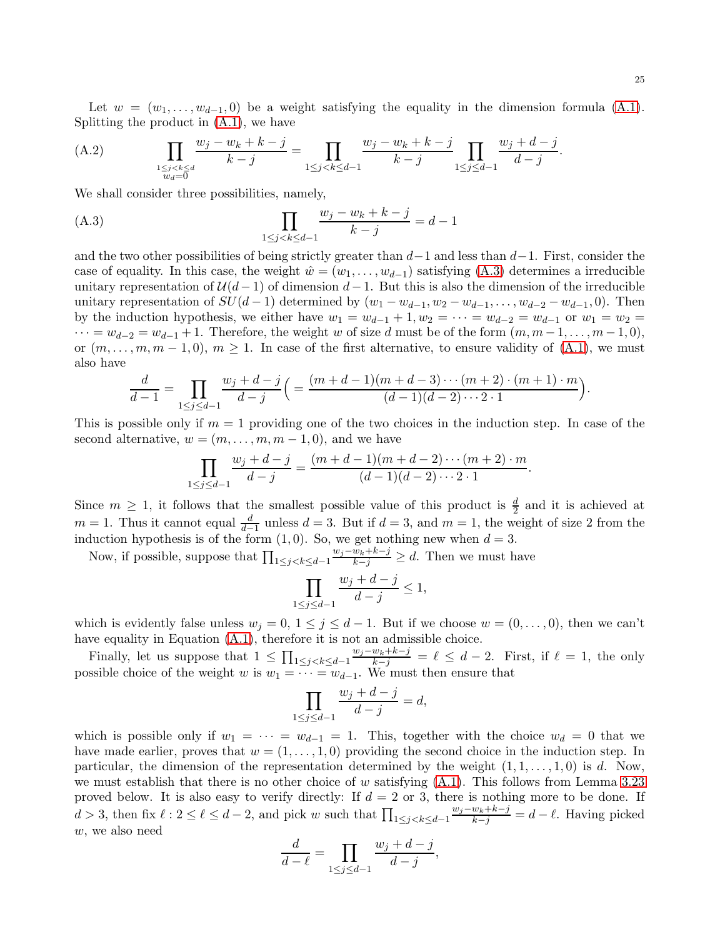Let  $w = (w_1, \ldots, w_{d-1}, 0)$  be a weight satisfying the equality in the dimension formula [\(A.1\)](#page-23-1). Splitting the product in [\(A.1\)](#page-23-1), we have

<span id="page-24-1"></span>(A.2) 
$$
\prod_{\substack{1 \le j < k \le d \\ w_d = 0}} \frac{w_j - w_k + k - j}{k - j} = \prod_{1 \le j < k \le d-1} \frac{w_j - w_k + k - j}{k - j} \prod_{1 \le j \le d-1} \frac{w_j + d - j}{d - j}.
$$

We shall consider three possibilities, namely,

<span id="page-24-0"></span>(A.3) 
$$
\prod_{1 \le j < k \le d-1} \frac{w_j - w_k + k - j}{k - j} = d - 1
$$

and the two other possibilities of being strictly greater than  $d-1$  and less than  $d-1$ . First, consider the case of equality. In this case, the weight  $\hat{w} = (w_1, \dots, w_{d-1})$  satisfying [\(A.3\)](#page-24-0) determines a irreducible unitary representation of  $\mathcal{U}(d-1)$  of dimension  $d-1$ . But this is also the dimension of the irreducible unitary representation of  $SU(d-1)$  determined by  $(w_1 - w_{d-1}, w_2 - w_{d-1}, \ldots, w_{d-2} - w_{d-1}, 0)$ . Then by the induction hypothesis, we either have  $w_1 = w_{d-1} + 1, w_2 = \cdots = w_{d-2} = w_{d-1}$  or  $w_1 = w_2 =$  $\cdots = w_{d-2} = w_{d-1} + 1$ . Therefore, the weight w of size d must be of the form  $(m, m-1, \ldots, m-1, 0)$ , or  $(m, \ldots, m, m-1, 0), m \ge 1$ . In case of the first alternative, to ensure validity of  $(A.1)$ , we must also have

$$
\frac{d}{d-1} = \prod_{1 \le j \le d-1} \frac{w_j + d - j}{d-j} \left( \frac{(m+d-1)(m+d-3)\cdots(m+2) \cdot (m+1) \cdot m}{(d-1)(d-2)\cdots 2 \cdot 1} \right).
$$

This is possible only if  $m = 1$  providing one of the two choices in the induction step. In case of the second alternative,  $w = (m, \ldots, m, m-1, 0)$ , and we have

$$
\prod_{1 \le j \le d-1} \frac{w_j + d - j}{d - j} = \frac{(m + d - 1)(m + d - 2) \cdots (m + 2) \cdot m}{(d - 1)(d - 2) \cdots 2 \cdot 1}
$$

.

Since  $m \geq 1$ , it follows that the smallest possible value of this product is  $\frac{d}{2}$  and it is achieved at  $m = 1$ . Thus it cannot equal  $\frac{d}{d-1}$  unless  $d = 3$ . But if  $d = 3$ , and  $m = 1$ , the weight of size 2 from the induction hypothesis is of the form  $(1, 0)$ . So, we get nothing new when  $d = 3$ .

Now, if possible, suppose that  $\prod_{1 \leq j < k \leq d-1}$  $\frac{w_j-w_k+k-j}{k-j} \geq d$ . Then we must have

$$
\prod_{1 \le j \le d-1} \frac{w_j + d - j}{d - j} \le 1,
$$

which is evidently false unless  $w_j = 0, 1 \le j \le d-1$ . But if we choose  $w = (0, \ldots, 0)$ , then we can't have equality in Equation  $(A.1)$ , therefore it is not an admissible choice.

Finally, let us suppose that  $1 \leq \prod_{1 \leq j < k \leq d-1}$  $\frac{w_j-w_k+k-j}{k-j} = \ell \leq d-2$ . First, if  $\ell = 1$ , the only possible choice of the weight w is  $w_1 = \cdots = w_{d-1}$ . We must then ensure that

$$
\prod_{1 \le j \le d-1} \frac{w_j + d - j}{d - j} = d,
$$

which is possible only if  $w_1 = \cdots = w_{d-1} = 1$ . This, together with the choice  $w_d = 0$  that we have made earlier, proves that  $w = (1, \ldots, 1, 0)$  providing the second choice in the induction step. In particular, the dimension of the representation determined by the weight  $(1, 1, \ldots, 1, 0)$  is d. Now, we must establish that there is no other choice of w satisfying  $(A.1)$ . This follows from Lemma [3.23](#page-20-2) proved below. It is also easy to verify directly: If  $d = 2$  or 3, there is nothing more to be done. If  $d > 3$ , then fix  $\ell : 2 \leq \ell \leq d-2$ , and pick w such that  $\prod_{1 \leq j < k \leq d-1}$  $\frac{w_j - w_k + k - j}{k - j} = d - \ell$ . Having picked w, we also need

$$
\frac{d}{d-\ell} = \prod_{1 \le j \le d-1} \frac{w_j + d - j}{d - j},
$$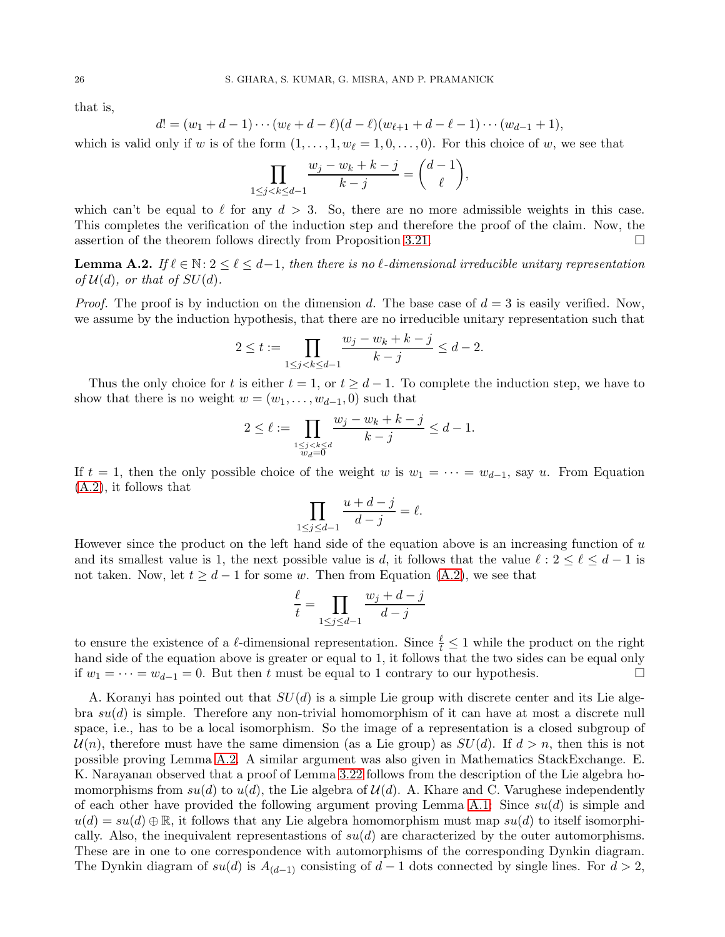that is,

$$
d! = (w_1 + d - 1) \cdots (w_{\ell} + d - \ell)(d - \ell)(w_{\ell+1} + d - \ell - 1) \cdots (w_{d-1} + 1),
$$

which is valid only if w is of the form  $(1,\ldots,1,w_\ell=1,0,\ldots,0)$ . For this choice of w, we see that

$$
\prod_{1 \le j < k \le d-1} \frac{w_j - w_k + k - j}{k - j} = \binom{d-1}{\ell},
$$

which can't be equal to  $\ell$  for any  $d > 3$ . So, there are no more admissible weights in this case. This completes the verification of the induction step and therefore the proof of the claim. Now, the assertion of the theorem follows directly from Proposition [3.21.](#page-20-0)

<span id="page-25-0"></span>**Lemma A.2.** *If*  $\ell \in \mathbb{N}: 2 \leq \ell \leq d-1$ , then there is no  $\ell$ -dimensional irreducible unitary representation *of*  $\mathcal{U}(d)$ *, or that of*  $SU(d)$ *.* 

*Proof.* The proof is by induction on the dimension d. The base case of  $d = 3$  is easily verified. Now, we assume by the induction hypothesis, that there are no irreducible unitary representation such that

$$
2 \le t := \prod_{1 \le j < k \le d-1} \frac{w_j - w_k + k - j}{k - j} \le d - 2.
$$

Thus the only choice for t is either  $t = 1$ , or  $t \geq d - 1$ . To complete the induction step, we have to show that there is no weight  $w = (w_1, \ldots, w_{d-1}, 0)$  such that

$$
2 \leq \ell := \prod_{\substack{1 \leq j < k \leq d \\ w_d = \overline{0}}} \frac{w_j - w_k + k - j}{k - j} \leq d - 1.
$$

If  $t = 1$ , then the only possible choice of the weight w is  $w_1 = \cdots = w_{d-1}$ , say u. From Equation [\(A.2\)](#page-24-1), it follows that

$$
\prod_{1 \le j \le d-1} \frac{u+d-j}{d-j} = \ell.
$$

However since the product on the left hand side of the equation above is an increasing function of u and its smallest value is 1, the next possible value is d, it follows that the value  $\ell : 2 \leq \ell \leq d-1$  is not taken. Now, let  $t \geq d-1$  for some w. Then from Equation [\(A.2\)](#page-24-1), we see that

$$
\frac{\ell}{t} = \prod_{1 \le j \le d-1} \frac{w_j + d - j}{d - j}
$$

to ensure the existence of a  $\ell$ -dimensional representation. Since  $\frac{\ell}{t} \leq 1$  while the product on the right hand side of the equation above is greater or equal to 1, it follows that the two sides can be equal only if  $w_1 = \cdots = w_{d-1} = 0$ . But then t must be equal to 1 contrary to our hypothesis. □

A. Koranyi has pointed out that  $SU(d)$  is a simple Lie group with discrete center and its Lie algebra  $su(d)$  is simple. Therefore any non-trivial homomorphism of it can have at most a discrete null space, i.e., has to be a local isomorphism. So the image of a representation is a closed subgroup of  $\mathcal{U}(n)$ , therefore must have the same dimension (as a Lie group) as  $SU(d)$ . If  $d > n$ , then this is not possible proving Lemma [A.2.](#page-25-0) A similar argument was also given in Mathematics StackExchange. E. K. Narayanan observed that a proof of Lemma [3.22](#page-20-1) follows from the description of the Lie algebra homomorphisms from  $su(d)$  to  $u(d)$ , the Lie algebra of  $\mathcal{U}(d)$ . A. Khare and C. Varughese independently of each other have provided the following argument proving Lemma [A.1:](#page-23-2) Since  $su(d)$  is simple and  $u(d) = su(d) \oplus \mathbb{R}$ , it follows that any Lie algebra homomorphism must map  $su(d)$  to itself isomorphically. Also, the inequivalent representastions of  $su(d)$  are characterized by the outer automorphisms. These are in one to one correspondence with automorphisms of the corresponding Dynkin diagram. The Dynkin diagram of  $su(d)$  is  $A_{(d-1)}$  consisting of  $d-1$  dots connected by single lines. For  $d > 2$ ,